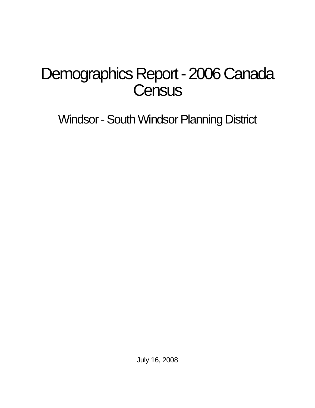# Demographics Report - 2006 Canada **Census**

Windsor - South Windsor Planning District

July 16, 2008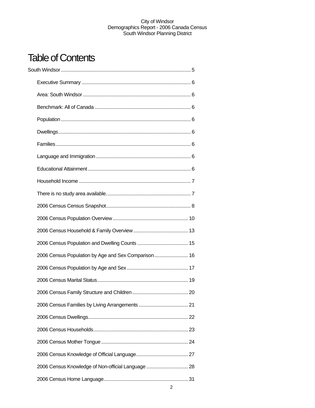## Table of Contents

| 2006 Census Population by Age and Sex Comparison 16 |  |
|-----------------------------------------------------|--|
|                                                     |  |
|                                                     |  |
|                                                     |  |
|                                                     |  |
|                                                     |  |
|                                                     |  |
|                                                     |  |
|                                                     |  |
| 2006 Census Knowledge of Non-official Language  28  |  |
|                                                     |  |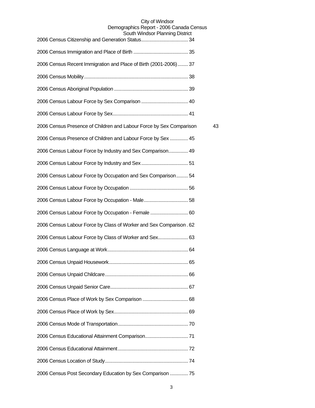### City of Windsor Demographics Report - 2006 Canada Census

| South Windsor Planning District                                     |    |
|---------------------------------------------------------------------|----|
|                                                                     |    |
| 2006 Census Recent Immigration and Place of Birth (2001-2006) 37    |    |
|                                                                     |    |
|                                                                     |    |
|                                                                     |    |
|                                                                     |    |
| 2006 Census Presence of Children and Labour Force by Sex Comparison | 43 |
| 2006 Census Presence of Children and Labour Force by Sex  45        |    |
| 2006 Census Labour Force by Industry and Sex Comparison 49          |    |
|                                                                     |    |
| 2006 Census Labour Force by Occupation and Sex Comparison 54        |    |
|                                                                     |    |
|                                                                     |    |
| 2006 Census Labour Force by Occupation - Female  60                 |    |
| 2006 Census Labour Force by Class of Worker and Sex Comparison. 62  |    |
| 2006 Census Labour Force by Class of Worker and Sex 63              |    |
|                                                                     |    |
|                                                                     |    |
|                                                                     |    |
|                                                                     |    |
|                                                                     |    |
|                                                                     |    |
|                                                                     |    |
|                                                                     |    |
|                                                                     |    |
|                                                                     |    |
| 2006 Census Post Secondary Education by Sex Comparison  75          |    |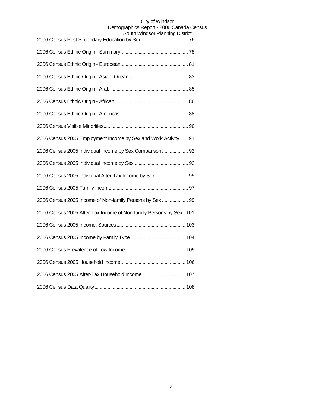| 2006 Census 2005 Employment Income by Sex and Work Activity  91    |
|--------------------------------------------------------------------|
| 2006 Census 2005 Individual Income by Sex Comparison 92            |
|                                                                    |
| 2006 Census 2005 Individual After-Tax Income by Sex 95             |
|                                                                    |
| 2006 Census 2005 Income of Non-family Persons by Sex  99           |
| 2006 Census 2005 After-Tax Income of Non-family Persons by Sex 101 |
|                                                                    |
|                                                                    |
|                                                                    |
|                                                                    |
| 2006 Census 2005 After-Tax Household Income  107                   |
|                                                                    |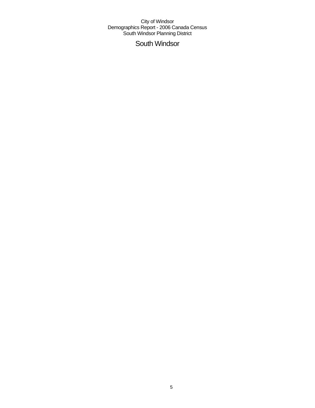## South Windsor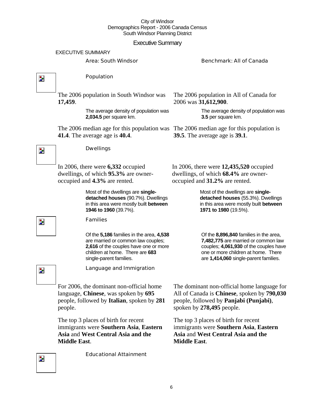### Executive Summary

EXECUTIVE SUMMARY

#### Area: South Windsor Benchmark: All of Canada

 $\overline{\mathbf{z}}$ 

 $\overline{\phantom{a}}$ 

### Population

Dwellings

The 2006 population in South Windsor was **17,459**.

> The average density of population was **2,034.5** per square km.

The 2006 median age for this population was The 2006 median age for this population is **41.4**. The average age is **40.4**.

The 2006 population in All of Canada for 2006 was **31,612,900**.

> The average density of population was **3.5** per square km.

**39.5**. The average age is **39.1**.

In 2006, there were **6,332** occupied dwellings, of which **95.3%** are owneroccupied and **4.3%** are rented.

> Most of the dwellings are **singledetached houses** (90.7%). Dwellings in this area were mostly built **between 1946 to 1960** (39.7%).

#### Families

Of the **5,186** families in the area, **4,538**  are married or common law couples; **2,616** of the couples have one or more children at home. There are **683**  single-parent families.

In 2006, there were **12,435,520** occupied dwellings, of which **68.4%** are owneroccupied and **31.2%** are rented.

> Most of the dwellings are **singledetached houses** (55.3%). Dwellings in this area were mostly built **between 1971 to 1980** (19.5%).

Of the **8,896,840** families in the area, **7,482,775** are married or common law couples; **4,061,930** of the couples have one or more children at home. There are **1,414,060** single-parent families.

Z.

Language and Immigration

For 2006, the dominant non-official home language, **Chinese**, was spoken by **695** people, followed by **Italian**, spoken by **281** people.

The top 3 places of birth for recent immigrants were **Southern Asia**, **Eastern Asia** and **West Central Asia and the Middle East**.

Educational Attainment

The dominant non-official home language for All of Canada is **Chinese**, spoken by **790,030** people, followed by **Panjabi (Punjabi)**, spoken by **278,495** people.

The top 3 places of birth for recent immigrants were **Southern Asia**, **Eastern Asia** and **West Central Asia and the Middle East**.

Z.

 $\overline{\phantom{a}}$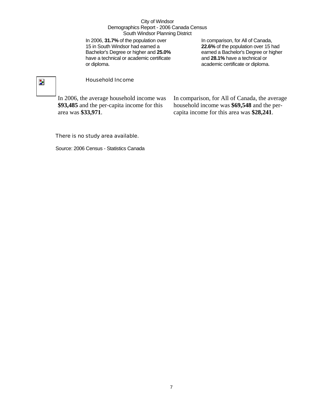In 2006, **31.7%** of the population over 15 in South Windsor had earned a Bachelor's Degree or higher and **25.0%** have a technical or academic certificate or diploma.

In comparison, for All of Canada, **22.6%** of the population over 15 had earned a Bachelor's Degree or higher and **28.1%** have a technical or academic certificate or diploma.

## $\overline{\phantom{a}}$

#### Household Income

In 2006, the average household income was **\$93,485** and the per-capita income for this area was **\$33,971**.

In comparison, for All of Canada, the average household income was **\$69,548** and the percapita income for this area was **\$28,241**.

#### There is no study area available.

Source: 2006 Census - Statistics Canada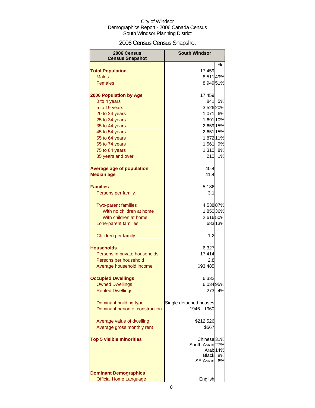## 2006 Census Census Snapshot

| 2006 Census<br><b>Census Snapshot</b>                         | <b>South Windsor</b>                            |                 |
|---------------------------------------------------------------|-------------------------------------------------|-----------------|
|                                                               |                                                 | %               |
| <b>Total Population</b>                                       | 17,459                                          |                 |
| <b>Males</b>                                                  | 8,51149%                                        |                 |
| <b>Females</b>                                                | 8,94951%                                        |                 |
| <b>2006 Population by Age</b>                                 | 17,459                                          |                 |
| 0 to 4 years                                                  | 841                                             | 5%              |
| 5 to 19 years                                                 | 3,526 20%                                       |                 |
| 20 to 24 years                                                | 1,071 6%                                        |                 |
| 25 to 34 years                                                | 1,691 10%                                       |                 |
| 35 to 44 years                                                | 2,659 15%                                       |                 |
| 45 to 54 years                                                | 2,651 15%                                       |                 |
| 55 to 64 years                                                | 1,872 11%                                       |                 |
| 65 to 74 years                                                | 1,561                                           | 9%              |
| 75 to 84 years                                                | 1,310                                           | 8%              |
| 85 years and over                                             | 210                                             | 1%              |
| <b>Average age of population</b>                              | 40.4                                            |                 |
| <b>Median age</b>                                             | 41.4                                            |                 |
| <b>Families</b>                                               | 5,186                                           |                 |
| Persons per family                                            | 3.1                                             |                 |
| <b>Two-parent families</b>                                    | 4,53887%                                        |                 |
| With no children at home                                      | 1,850 36%                                       |                 |
| With children at home                                         | 2,616 50%                                       |                 |
| Lone-parent families                                          | 68313%                                          |                 |
| Children per family                                           | 1.2                                             |                 |
| Households                                                    | 6,327                                           |                 |
| Persons in private households                                 | 17,414                                          |                 |
| Persons per household                                         | 2.8                                             |                 |
| Average household income                                      | \$93,485                                        |                 |
|                                                               |                                                 |                 |
| <b>Occupied Dwellings</b>                                     | 6,332                                           |                 |
| <b>Owned Dwellings</b>                                        | 6,034 95%                                       |                 |
| <b>Rented Dwellings</b>                                       | 273                                             | 4%              |
| Dominant building type                                        | Single detached houses                          |                 |
| Dominant period of construction                               | 1946 - 1960                                     |                 |
| Average value of dwelling                                     | \$212,526                                       |                 |
| Average gross monthly rent                                    | \$567                                           |                 |
| <b>Top 5 visible minorities</b>                               | Chinese <sup>31%</sup><br>South Asian 27%       |                 |
|                                                               | Arab <sub>14%</sub><br>Black<br><b>SE Asian</b> | <b>8%</b><br>6% |
|                                                               |                                                 |                 |
| <b>Dominant Demographics</b><br><b>Official Home Language</b> | English                                         |                 |
|                                                               |                                                 |                 |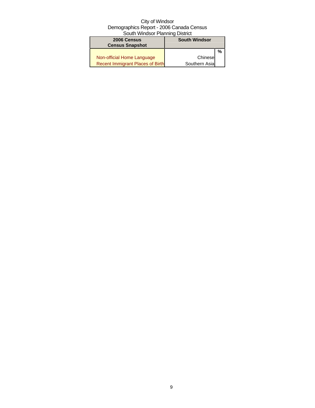| 2006 Census<br><b>Census Snapshot</b> | <b>South Windsor</b> |   |
|---------------------------------------|----------------------|---|
|                                       |                      | % |
| Non-official Home Language            | Chinese              |   |
| Recent Immigrant Places of Birth      | Southern Asia        |   |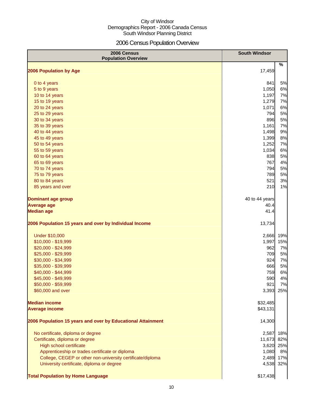## 2006 Census Population Overview

| 2006 Census<br><b>Population Overview</b>                   | <b>South Windsor</b> |     |
|-------------------------------------------------------------|----------------------|-----|
| 2006 Population by Age                                      | 17,459               | %   |
|                                                             |                      |     |
| 0 to 4 years                                                | 841                  | 5%  |
| 5 to 9 years                                                | 1,050                | 6%  |
| 10 to 14 years                                              | 1,197                | 7%  |
| 15 to 19 years                                              | 1,279                | 7%  |
| 20 to 24 years                                              | 1,071                | 6%  |
| 25 to 29 years                                              | 794                  | 5%  |
| 30 to 34 years                                              | 896                  | 5%  |
| 35 to 39 years                                              | 1,161                | 7%  |
| 40 to 44 years                                              | 1,498                | 9%  |
| 45 to 49 years                                              | 1,399                | 8%  |
| 50 to 54 years                                              | 1,252                | 7%  |
| 55 to 59 years                                              | 1,034                | 6%  |
| 60 to 64 years                                              | 838                  | 5%  |
| 65 to 69 years                                              | 767                  | 4%  |
| 70 to 74 years                                              | 794                  | 5%  |
| 75 to 79 years                                              | 789                  | 5%  |
| 80 to 84 years                                              | 521                  | 3%  |
| 85 years and over                                           | 210                  | 1%  |
| <b>Dominant age group</b>                                   | 40 to 44 years       |     |
| <b>Average age</b>                                          | 40.4                 |     |
| <b>Median age</b>                                           | 41.4                 |     |
| 2006 Population 15 years and over by Individual Income      | 13,734               |     |
| <b>Under \$10,000</b>                                       | 2,666                | 19% |
| \$10,000 - \$19,999                                         | 1,997                | 15% |
| \$20,000 - \$24,999                                         | 962                  | 7%  |
| \$25,000 - \$29,999                                         | 709                  | 5%  |
| \$30,000 - \$34,999                                         | 924                  | 7%  |
| \$35,000 - \$39,999                                         | 666                  | 5%  |
| \$40,000 - \$44,999                                         | 759                  | 6%  |
| \$45,000 - \$49,999                                         | 590                  | 4%  |
| \$50,000 - \$59,999                                         | 921                  | 7%  |
| \$60,000 and over                                           | 3,393                | 25% |
| <b>Median income</b>                                        | \$32,485             |     |
| <b>Average income</b>                                       | \$43,131             |     |
| 2006 Population 15 years and over by Educational Attainment | 14,300               |     |
| No certificate, diploma or degree                           | 2,587                | 18% |
| Certificate, diploma or degree                              | 11,673               | 82% |
| High school certificate                                     | 3,620                | 25% |
| Apprenticeship or trades certificate or diploma             | 1,080                | 8%  |
| College, CEGEP or other non-university certificate/diploma  | 2,489                | 17% |
| University certificate, diploma or degree                   | 4,538                | 32% |
| <b>Total Population by Home Language</b>                    | \$17,438             |     |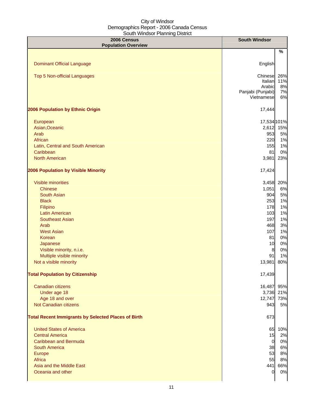| 2006 Census<br><b>Population Overview</b>                  | <b>South Windsor</b> |           |
|------------------------------------------------------------|----------------------|-----------|
|                                                            |                      | %         |
| <b>Dominant Official Language</b>                          | English              |           |
|                                                            |                      |           |
| Top 5 Non-official Languages                               | Chinese              | 26%       |
|                                                            | Italian<br>Arabic    | 11%<br>8% |
|                                                            | Panjabi (Punjabi)    | 7%        |
|                                                            | Vietnamese           | 6%        |
| 2006 Population by Ethnic Origin                           | 17,444               |           |
| European                                                   | 17,534 101%          |           |
| Asian, Oceanic                                             | 2,612                | 15%       |
| Arab                                                       | 953                  | 5%        |
| African                                                    | 220                  | 1%        |
| Latin, Central and South American                          | 155                  | 1%        |
| Caribbean                                                  | 81                   | 0%        |
| <b>North American</b>                                      | 3,981                | 23%       |
| 2006 Population by Visible Minority                        | 17,424               |           |
| Visible minorities                                         | 3,458                | 20%       |
| <b>Chinese</b>                                             | 1,051                | 6%        |
| <b>South Asian</b>                                         | 904                  | 5%        |
| <b>Black</b>                                               | 253                  | 1%        |
| Filipino                                                   | 178                  | 1%        |
| <b>Latin American</b>                                      | 103                  | 1%        |
| <b>Southeast Asian</b>                                     | 197                  | 1%        |
| Arab                                                       | 468                  | 3%        |
| <b>West Asian</b>                                          | 107                  | 1%        |
| Korean                                                     | 81                   | 0%        |
| Japanese                                                   | 10                   | 0%        |
| Visible minority, n.i.e.                                   | $\boldsymbol{8}$     | 0%        |
| Multiple visible minority                                  | 91                   | 1%        |
| Not a visible minority                                     | 13,981               | 80%       |
| <b>Total Population by Citizenship</b>                     | 17,439               |           |
| Canadian citizens                                          | 16,487               | 95%       |
| Under age 18                                               | 3,736                | 21%       |
| Age 18 and over                                            | 12,747               | 73%       |
| Not Canadian citizens                                      | 943                  | 5%        |
| <b>Total Recent Immigrants by Selected Places of Birth</b> | 673                  |           |
| <b>United States of America</b>                            |                      | 65 10%    |
| <b>Central America</b>                                     | 15                   | 2%        |
| <b>Caribbean and Bermuda</b>                               | $\overline{0}$       | 0%        |
| <b>South America</b>                                       | 38                   | 6%        |
| Europe                                                     | 53                   | 8%        |
| Africa                                                     | 55                   | 8%        |
| Asia and the Middle East                                   | 441                  | 66%       |
| Oceania and other                                          | $\mathbf 0$          | 0%        |
|                                                            |                      |           |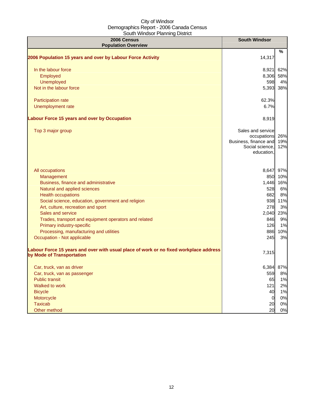| 2006 Census<br><b>Population Overview</b>                                                                          | <b>South Windsor</b>                     |     |
|--------------------------------------------------------------------------------------------------------------------|------------------------------------------|-----|
|                                                                                                                    |                                          | %   |
| 2006 Population 15 years and over by Labour Force Activity                                                         | 14,317                                   |     |
| In the labour force                                                                                                | 8,921                                    | 62% |
| Employed                                                                                                           | 8,306                                    | 58% |
| Unemployed                                                                                                         | 598                                      | 4%  |
| Not in the labour force                                                                                            | 5,393                                    | 38% |
| Participation rate                                                                                                 | 62.3%                                    |     |
| Unemployment rate                                                                                                  | 6.7%                                     |     |
| <b>Labour Force 15 years and over by Occupation</b>                                                                | 8,919                                    |     |
| Top 3 major group                                                                                                  | Sales and service                        |     |
|                                                                                                                    | occupations                              | 26% |
|                                                                                                                    | Business, finance and<br>Social science, | 19% |
|                                                                                                                    | education,                               | 12% |
|                                                                                                                    |                                          |     |
| All occupations                                                                                                    | 8,647                                    | 97% |
| Management                                                                                                         | 850                                      | 10% |
| Business, finance and administrative                                                                               | 1,446                                    | 16% |
| Natural and applied sciences                                                                                       | 528                                      | 6%  |
| <b>Health occupations</b>                                                                                          | 682                                      | 8%  |
| Social science, education, government and religion                                                                 | 938                                      | 11% |
| Art, culture, recreation and sport                                                                                 | 278                                      | 3%  |
| Sales and service                                                                                                  | 2,040                                    | 23% |
| Trades, transport and equipment operators and related                                                              | 846                                      | 9%  |
| Primary industry-specific                                                                                          | 126                                      | 1%  |
| Processing, manufacturing and utilities                                                                            | 886                                      | 10% |
| Occupation - Not applicable                                                                                        | 245                                      | 3%  |
| Labour Force 15 years and over with usual place of work or no fixed workplace address<br>by Mode of Transportation | 7,315                                    |     |
| Car, truck, van as driver                                                                                          | 6,384                                    | 87% |
| Car, truck, van as passenger                                                                                       | 559                                      | 8%  |
| <b>Public transit</b>                                                                                              | 65                                       | 1%  |
| Walked to work                                                                                                     | 121                                      | 2%  |
| <b>Bicycle</b>                                                                                                     | 40                                       | 1%  |
| Motorcycle                                                                                                         | $\mathbf 0$                              | 0%  |
| <b>Taxicab</b>                                                                                                     | 20                                       | 0%  |
| Other method                                                                                                       | 20                                       | 0%  |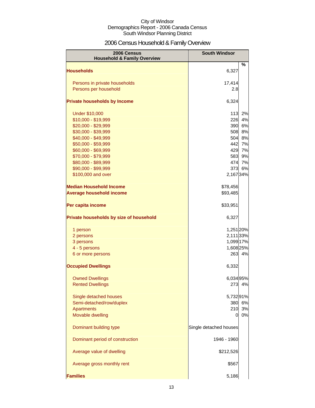## 2006 Census Household & Family Overview

| 2006 Census<br><b>Household &amp; Family Overview</b> | <b>South Windsor</b>   |        |
|-------------------------------------------------------|------------------------|--------|
|                                                       |                        | %      |
| <b>Households</b>                                     | 6,327                  |        |
| Persons in private households                         | 17,414                 |        |
| Persons per household                                 | 2.8                    |        |
|                                                       |                        |        |
| <b>Private households by Income</b>                   | 6,324                  |        |
| <b>Under \$10,000</b>                                 | 113                    | 2%     |
| \$10,000 - \$19,999                                   | 226                    | 4%     |
| \$20,000 - \$29,999                                   | 390                    | 6%     |
| \$30,000 - \$39,999                                   | 508                    | 8%     |
| \$40,000 - \$49,999                                   | 504                    | 8%     |
| \$50,000 - \$59,999                                   | 442                    | 7%     |
| \$60,000 - \$69,999                                   | 429                    | 7%     |
| \$70,000 - \$79,999                                   | 583                    | 9%     |
| \$80,000 - \$89,999                                   | 474                    | 7%     |
| \$90,000 - \$99,999                                   | 373                    | 6%     |
| \$100,000 and over                                    | 2,167 34%              |        |
| <b>Median Household Income</b>                        | \$78,456               |        |
| <b>Average household income</b>                       | \$93,485               |        |
| Per capita income                                     | \$33,951               |        |
| Private households by size of household               | 6,327                  |        |
| 1 person                                              | 1,251 20%              |        |
| 2 persons                                             | 2,111 33%              |        |
| 3 persons                                             | 1,099 17%              |        |
| 4 - 5 persons                                         | 1,608 25%              |        |
| 6 or more persons                                     |                        | 263 4% |
| <b>Occupied Dwellings</b>                             | 6,332                  |        |
| <b>Owned Dwellings</b>                                | 6,034 95%              |        |
| <b>Rented Dwellings</b>                               | 273                    | 4%     |
|                                                       |                        |        |
| Single detached houses                                | 5,73291%               |        |
| Semi-detached/row/duplex                              | 380                    | 6%     |
| <b>Apartments</b>                                     | 210                    | 3%     |
| Movable dwelling                                      | 0                      | 0%     |
| Dominant building type                                | Single detached houses |        |
| Dominant period of construction                       | 1946 - 1960            |        |
| Average value of dwelling                             | \$212,526              |        |
| Average gross monthly rent                            | \$567                  |        |
| <b>Families</b>                                       | 5,186                  |        |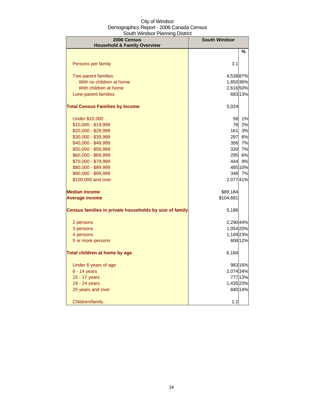| 2006 Census<br><b>Household &amp; Family Overview</b>   | <b>South Windsor</b> |         |
|---------------------------------------------------------|----------------------|---------|
|                                                         |                      | %       |
|                                                         |                      |         |
| Persons per family                                      | 3.1                  |         |
| <b>Two-parent families</b>                              | 4,53887%             |         |
| With no children at home                                | 1,850 36%            |         |
| With children at home                                   | 2,616 50%            |         |
| Lone-parent families                                    |                      | 683 13% |
| <b>Total Census Families by Income</b>                  | 5,024                |         |
| <b>Under \$10,000</b>                                   | 58                   | 1%      |
| \$10,000 - \$19,999                                     | 78                   | 2%      |
| \$20,000 - \$29,999                                     | 161                  | 3%      |
| \$30,000 - \$39,999                                     | 297                  | 6%      |
| \$40,000 - \$49,999                                     | 356                  | 7%      |
| \$50,000 - \$59,999                                     | 330                  | 7%      |
| \$60,000 - \$69,999                                     | 295                  | 6%      |
| \$70,000 - \$79,999                                     | 444                  | 9%      |
| \$80,000 - \$89,999                                     |                      | 485 10% |
| \$90,000 - \$99,999                                     |                      | 348 7%  |
| \$100,000 and over                                      | 2,07741%             |         |
| <b>Median income</b>                                    | \$89,184             |         |
| <b>Average income</b>                                   | \$104,681            |         |
| Census families in private households by size of family | 5,186                |         |
| 2 persons                                               | 2,290 44%            |         |
| 3 persons                                               | 1,054 20%            |         |
| 4 persons                                               | 1,169 23%            |         |
| 5 or more persons                                       |                      | 608 12% |
| Total children at home by age                           | 6,184                |         |
| Under 6 years of age                                    |                      | 983 16% |
| $6 - 14$ years                                          | 2,074 34%            |         |
| 15 - 17 years                                           |                      | 777 13% |
| 18 - 24 years                                           | 1,435 23%            |         |
| 25 years and over                                       |                      | 840 14% |
| Children/family                                         | 1.2                  |         |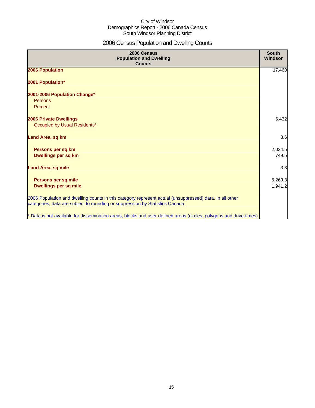## 2006 Census Population and Dwelling Counts

| 2006 Census<br><b>Population and Dwelling</b><br><b>Counts</b>                                                                                                                           | <b>South</b><br>Windsor |
|------------------------------------------------------------------------------------------------------------------------------------------------------------------------------------------|-------------------------|
| 2006 Population                                                                                                                                                                          | 17,460                  |
| 2001 Population*                                                                                                                                                                         |                         |
| 2001-2006 Population Change*<br>Persons<br>Percent                                                                                                                                       |                         |
| 2006 Private Dwellings<br>Occupied by Usual Residents*                                                                                                                                   | 6,432                   |
| Land Area, sq km                                                                                                                                                                         | 8.6                     |
| Persons per sq km<br>Dwellings per sq km                                                                                                                                                 | 2,034.5<br>749.5        |
| <b>Land Area, sq mile</b>                                                                                                                                                                | 3.3                     |
| Persons per sq mile<br><b>Dwellings per sq mile</b>                                                                                                                                      | 5,269.3<br>1,941.2      |
| 2006 Population and dwelling counts in this category represent actual (unsuppressed) data. In all other<br>categories, data are subject to rounding or suppression by Statistics Canada. |                         |
| * Data is not available for dissemination areas, blocks and user-defined areas (circles, polygons and drive-times)                                                                       |                         |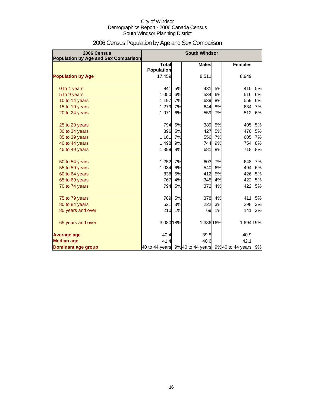| 2006 Census<br><b>Population by Age and Sex Comparison</b> |                                   |    | <b>South Windsor</b> |    |                                                    |    |
|------------------------------------------------------------|-----------------------------------|----|----------------------|----|----------------------------------------------------|----|
|                                                            | <b>Total</b><br><b>Population</b> |    | <b>Males</b>         |    | <b>Females</b>                                     |    |
| <b>Population by Age</b>                                   | 17,459                            |    | 8,511                |    | 8,949                                              |    |
| 0 to 4 years                                               | 841                               | 5% | 431                  | 5% | 410                                                | 5% |
| 5 to 9 years                                               | 1,050                             | 6% | 534                  | 6% | 516                                                | 6% |
| 10 to 14 years                                             | 1,197                             | 7% | 639                  | 8% | 559                                                | 6% |
| 15 to 19 years                                             | 1,279                             | 7% | 644                  | 8% | 634                                                | 7% |
| 20 to 24 years                                             | 1,071                             | 6% | 559                  | 7% | 512                                                | 6% |
| 25 to 29 years                                             | 794                               | 5% | 389                  | 5% | 405                                                | 5% |
| 30 to 34 years                                             | 896                               | 5% | 427                  | 5% | 470                                                | 5% |
| 35 to 39 years                                             | 1,161                             | 7% | 556                  | 7% | 605                                                | 7% |
| 40 to 44 years                                             | 1,498                             | 9% | 744                  | 9% | 754                                                | 8% |
| 45 to 49 years                                             | 1,399                             | 8% | 681                  | 8% | 718                                                | 8% |
| 50 to 54 years                                             | 1,252                             | 7% | 603                  | 7% | 648                                                | 7% |
| 55 to 59 years                                             | 1,034                             | 6% | 540                  | 6% | 494                                                | 6% |
| 60 to 64 years                                             | 838                               | 5% | 412                  | 5% | 426                                                | 5% |
| 65 to 69 years                                             | 767                               | 4% | 345                  | 4% | 422                                                | 5% |
| 70 to 74 years                                             | 794                               | 5% | 372                  | 4% | 422                                                | 5% |
| 75 to 79 years                                             | 789                               | 5% | 378                  | 4% | 411                                                | 5% |
| 80 to 84 years                                             | 521                               | 3% | 222                  | 3% | 298                                                | 3% |
| 85 years and over                                          | 210                               | 1% | 69                   | 1% | 141                                                | 2% |
| 65 years and over                                          | 3,080 18%                         |    | 1,386 16%            |    | 1,694 19%                                          |    |
| <b>Average age</b>                                         | 40.4                              |    | 39.8                 |    | 40.9                                               |    |
| <b>Median age</b>                                          | 41.4                              |    | 40.6                 |    | 42.1                                               |    |
| Dominant age group                                         |                                   |    |                      |    | 40 to 44 years 9% 40 to 44 years 9% 40 to 44 years | 9% |

## 2006 Census Population by Age and Sex Comparison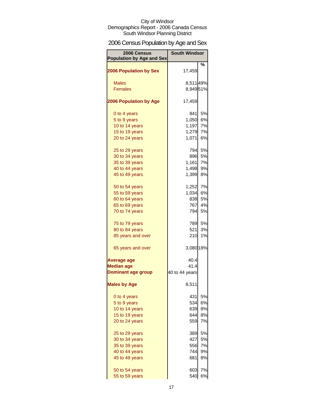## 2006 Census Population by Age and Sex

| 2006 Census<br><b>Population by Age and Sex</b> | <b>South Windsor</b> |        |
|-------------------------------------------------|----------------------|--------|
|                                                 |                      | %      |
| <b>2006 Population by Sex</b>                   | 17,459               |        |
| <b>Males</b>                                    | 8,511 49%            |        |
| <b>Females</b>                                  | 8,94951%             |        |
|                                                 |                      |        |
| <b>2006 Population by Age</b>                   | 17,459               |        |
| 0 to 4 years                                    | 841                  | 5%     |
| 5 to 9 years                                    | 1,050                | 6%     |
| 10 to 14 years                                  | 1,197                | 7%     |
| 15 to 19 years                                  | 1,279                | 7%     |
| 20 to 24 years                                  | 1,071                | 6%     |
| 25 to 29 years                                  | 794                  | 5%     |
| 30 to 34 years                                  | 896                  | 5%     |
| 35 to 39 years                                  | 1,161                | 7%     |
| 40 to 44 years                                  | 1,498                | 9%     |
| 45 to 49 years                                  | 1,399                | 8%     |
| 50 to 54 years                                  | 1,252                | 7%     |
| 55 to 59 years                                  | 1,034                | 6%     |
| 60 to 64 years                                  | 838                  | 5%     |
| 65 to 69 years                                  | 767                  | 4%     |
| 70 to 74 years                                  | 794                  | 5%     |
| 75 to 79 years                                  |                      | 789 5% |
| 80 to 84 years                                  | 521                  | 3%     |
| 85 years and over                               | 210                  | 1%     |
| 65 years and over                               | 3,080 18%            |        |
| <b>Average age</b>                              | 40.4                 |        |
| <b>Median age</b>                               | 41.4                 |        |
| <b>Dominant age group</b>                       | 40 to 44 years       |        |
| <b>Males by Age</b>                             | 8,511                |        |
| 0 to 4 years                                    | 431                  | 5%     |
| 5 to 9 years                                    | 534                  | 6%     |
| 10 to 14 years                                  | 639                  | 8%     |
| 15 to 19 years                                  | 644                  | 8%     |
| 20 to 24 years                                  | 559                  | 7%     |
| 25 to 29 years                                  | 389                  | 5%     |
| 30 to 34 years                                  | 427                  | 5%     |
| 35 to 39 years                                  | 556                  | 7%     |
| 40 to 44 years                                  | 744                  | 9%     |
| 45 to 49 years                                  | 681                  | 8%     |
| 50 to 54 years                                  | 603                  | 7%     |
| 55 to 59 years                                  | 540                  | 6%     |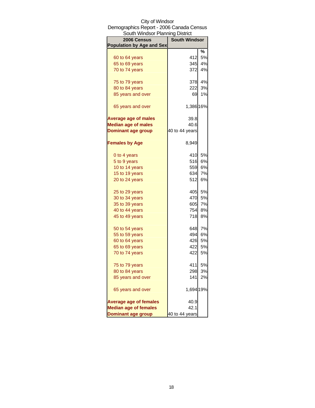| South Windsor Planning District  |                      |           |
|----------------------------------|----------------------|-----------|
| 2006 Census                      | <b>South Windsor</b> |           |
| <b>Population by Age and Sex</b> |                      |           |
|                                  |                      | %         |
| 60 to 64 years                   | 412                  | 5%        |
| 65 to 69 years                   | 345                  | 4%        |
| 70 to 74 years                   | 372                  | 4%        |
| 75 to 79 years                   | 378                  | 4%        |
| 80 to 84 years                   | 222                  | 3%        |
| 85 years and over                | 69                   | 1%        |
| 65 years and over                | 1,386 16%            |           |
| <b>Average age of males</b>      | 39.8                 |           |
| <b>Median age of males</b>       | 40.6                 |           |
| <b>Dominant age group</b>        | 40 to 44 years       |           |
| <b>Females by Age</b>            | 8,949                |           |
| 0 to 4 years                     | 410                  | 5%        |
| 5 to 9 years                     | 516                  | 6%        |
| 10 to 14 years                   | 559                  | 6%        |
| 15 to 19 years                   | 634                  | 7%        |
| 20 to 24 years                   | 512                  | 6%        |
| 25 to 29 years                   | 405                  | 5%        |
| 30 to 34 years                   | 470                  | 5%        |
| 35 to 39 years                   | 605                  | 7%        |
| 40 to 44 years                   | 754                  | 8%        |
| 45 to 49 years                   | 718                  | <b>8%</b> |
| 50 to 54 years                   | 648                  | 7%        |
| 55 to 59 years                   | 494                  | 6%        |
| 60 to 64 years                   | 426                  | 5%        |
| 65 to 69 years                   | 422                  | 5%        |
| 70 to 74 years                   | 422                  | 5%        |
| 75 to 79 years                   | 411                  | 5%        |
| 80 to 84 years                   | 298                  | 3%        |
| 85 years and over                | 141                  | 2%        |
| 65 years and over                | 1,694 19%            |           |
| <b>Average age of females</b>    | 40.9                 |           |
| <b>Median age of females</b>     | 42.1                 |           |
| <b>Dominant age group</b>        | 40 to 44 years       |           |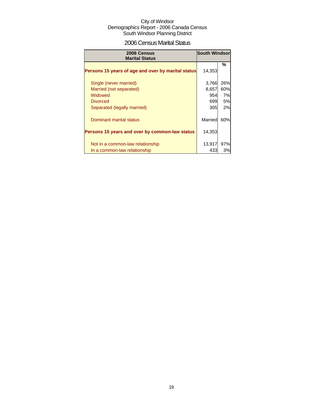## 2006 Census Marital Status

| 2006 Census<br><b>Marital Status</b>               | <b>South Windsor</b> |           |
|----------------------------------------------------|----------------------|-----------|
| Persons 15 years of age and over by marital status | 14,353               | %         |
| Single (never married)                             | 3,766                | 26%       |
| Married (not separated)                            | 8,657                | 60%       |
| Widowed                                            | 954                  | 7%        |
| <b>Divorced</b>                                    | 699                  | <b>5%</b> |
| Separated (legally married)                        | 305                  | 2%        |
| Dominant marital status                            | Married              | 60%       |
| Persons 15 years and over by common-law status     | 14,353               |           |
| Not in a common-law relationship                   | 13,917               | 97%       |
| In a common-law relationship                       | 433                  | 3%        |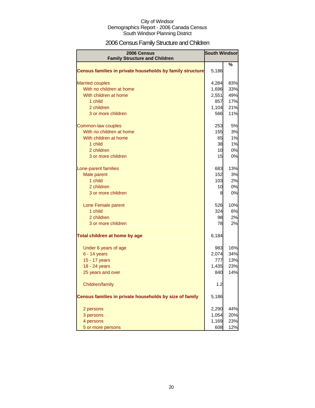## 2006 Census Family Structure and Children

| 2006 Census                                               | <b>South Windsor</b> |     |
|-----------------------------------------------------------|----------------------|-----|
| <b>Family Structure and Children</b>                      |                      |     |
| Census families in private households by family structure | 5,186                | ℅   |
| <b>Married couples</b>                                    | 4,284                | 83% |
| With no children at home                                  | 1,696                | 33% |
| With children at home                                     | 2,551                | 49% |
| 1 child                                                   | 857                  | 17% |
| 2 children                                                | 1,104                | 21% |
| 3 or more children                                        | 566                  | 11% |
| Common-law couples                                        | 253                  | 5%  |
| With no children at home                                  | <b>155</b>           | 3%  |
| With children at home                                     | 65                   | 1%  |
| 1 child                                                   | 38                   | 1%  |
| 2 children                                                | 10                   | 0%  |
| 3 or more children                                        | 15                   | 0%  |
| Lone-parent families                                      | 683                  | 13% |
| Male parent                                               | 152                  | 3%  |
| 1 child                                                   | 103                  | 2%  |
| 2 children                                                | 10                   | 0%  |
| 3 or more children                                        | 8                    | 0%  |
| Lone Female parent                                        | 526                  | 10% |
| 1 child                                                   | 324                  | 6%  |
| 2 children                                                | 98                   | 2%  |
| 3 or more children                                        | 78                   | 2%  |
| Total children at home by age                             | 6,184                |     |
| Under 6 years of age                                      | 983                  | 16% |
| 6 - 14 years                                              | 2,074                | 34% |
| 15 - 17 years                                             | 777                  | 13% |
| 18 - 24 years                                             | 1,435                | 23% |
| 25 years and over                                         | 840                  | 14% |
| Children/family                                           | 1.2                  |     |
| Census families in private households by size of family   | 5,186                |     |
| 2 persons                                                 | 2,290                | 44% |
| 3 persons                                                 | 1,054                | 20% |
| 4 persons                                                 | 1,169                | 23% |
| 5 or more persons                                         | 608                  | 12% |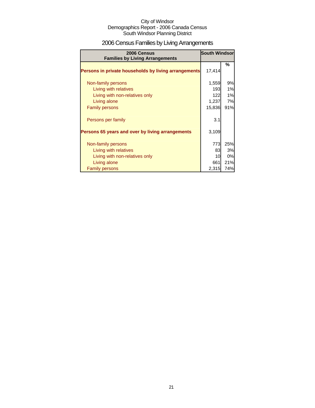## 2006 Census Families by Living Arrangements

| 2006 Census<br><b>Families by Living Arrangements</b> | <b>South Windsor</b> |           |
|-------------------------------------------------------|----------------------|-----------|
|                                                       |                      | %         |
| Persons in private households by living arrangements  | 17,414               |           |
| Non-family persons                                    | 1,559                | 9%        |
| Living with relatives                                 | 193                  | 1%        |
| Living with non-relatives only                        | 122                  | 1%        |
| Living alone                                          | 1,237                | <b>7%</b> |
| <b>Family persons</b>                                 | 15,836               | 91%       |
| Persons per family                                    | 3.1                  |           |
| Persons 65 years and over by living arrangements      | 3,109                |           |
| Non-family persons                                    | 773                  | 25%       |
| Living with relatives                                 | 83                   | 3%        |
| Living with non-relatives only                        | 10                   | 0%        |
| Living alone                                          | 661                  | 21%       |
| <b>Family persons</b>                                 | 2,315                | 74%       |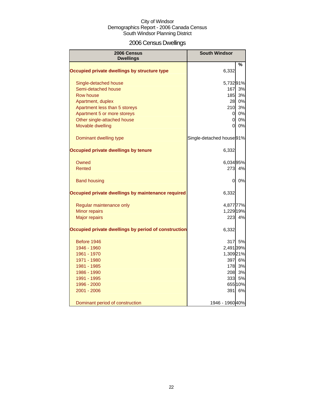## 2006 Census Dwellings

| 2006 Census<br><b>Dwellings</b>                      | <b>South Windsor</b>      |         |
|------------------------------------------------------|---------------------------|---------|
|                                                      |                           | %       |
| Occupied private dwellings by structure type         | 6,332                     |         |
| Single-detached house                                | 5,73291%                  |         |
| Semi-detached house                                  | 167                       | 3%      |
| Row house                                            | 185                       | 3%      |
| Apartment, duplex                                    | 28                        | 0%      |
| Apartment less than 5 storeys                        | 210                       | 3%      |
| Apartment 5 or more storeys                          | 0                         | 0%      |
| Other single-attached house                          | $\overline{0}$            | 0%      |
| Movable dwelling                                     | 0                         | 0%      |
| Dominant dwelling type                               | Single-detached house 91% |         |
| Occupied private dwellings by tenure                 | 6,332                     |         |
| Owned                                                | 6,034 95%                 |         |
| Rented                                               | 273                       | 4%      |
| <b>Band housing</b>                                  | 0                         | 0%      |
| Occupied private dwellings by maintenance required   | 6,332                     |         |
| Regular maintenance only                             | 4,877 77%                 |         |
| <b>Minor repairs</b>                                 | 1,229 19%                 |         |
| <b>Major repairs</b>                                 | 223                       | 4%      |
| Occupied private dwellings by period of construction | 6,332                     |         |
| Before 1946                                          | 317                       | 5%      |
| 1946 - 1960                                          | 2,491 39%                 |         |
| 1961 - 1970                                          | 1,309 21%                 |         |
| 1971 - 1980                                          | 397                       | 6%      |
| 1981 - 1985                                          | 178                       | 3%      |
| 1986 - 1990                                          | 208                       | 3%      |
| 1991 - 1995                                          | 333                       | 5%      |
| 1996 - 2000                                          |                           | 655 10% |
| 2001 - 2006                                          | 391                       | 6%      |
| Dominant period of construction                      | 1946 - 1960 40%           |         |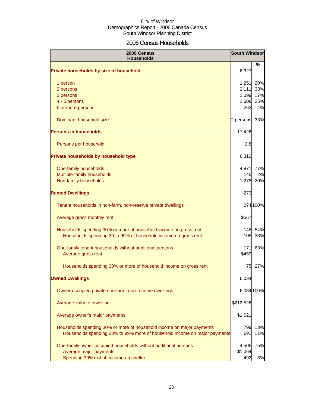## 2006 Census Households

| 2006 Census<br><b>Households</b>                                              | <b>South Windsor</b> |            |
|-------------------------------------------------------------------------------|----------------------|------------|
| Private households by size of household                                       | 6,327                | %          |
| 1 person                                                                      | 1,251                | 20%        |
| 2 persons                                                                     | 2,111                | 33%        |
| 3 persons                                                                     | 1,099<br>1,608       | 17%<br>25% |
| 4 - 5 persons<br>6 or more persons                                            | 263                  | 4%         |
| Dominant household size                                                       | 2 persons            | 33%        |
| <b>Persons in households</b>                                                  | 17,426               |            |
| Persons per household                                                         | 2.8                  |            |
| Private households by household type                                          | 6,312                |            |
| One-family households                                                         | 4,871                | 77%        |
| Multiple-family households                                                    | 145                  | 2%         |
| Non-family households                                                         | 1,278                | 20%        |
| <b>Rented Dwellings</b>                                                       | 273                  |            |
| Tenant households in non-farm, non-reserve private dwellings                  |                      | 274 100%   |
| Average gross monthly rent                                                    | \$567                |            |
| Households spending 30% or more of household income on gross rent             | 148                  | 54%        |
| Households spending 30 to 99% of household income on gross rent               | 105                  | 38%        |
| One-family tenant households without additional persons<br>Average gross rent | 171<br>\$459         | 63%        |
| Households spending 30% or more of household income on gross rent             | 75                   | 27%        |
| <b>Owned Dwellings</b>                                                        | 6,034                |            |
| Owner-occupied private non-farm, non-reserve dwellings                        | 6,034 100%           |            |
| Average value of dwelling                                                     | \$212,526            |            |
| Average owner's major payments                                                | \$1,021              |            |
| Households spending 30% or more of household income on major payments         | 799                  | 13%        |
| Households spending 30% to 99% more of household income on major payments     | 691                  | 11%        |
| One-family owner-occupied households without additional persons               | 4,505                | 75%        |
| Average major payments                                                        | \$1,064              |            |
| Spending 30%+ of hh income on shelter                                         | 492                  | 8%         |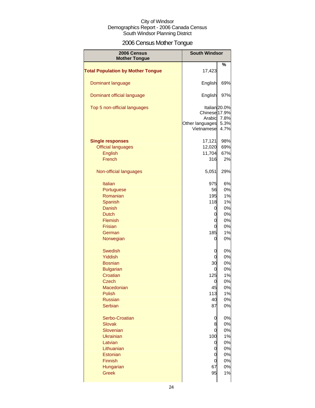## 2006 Census Mother Tongue

| 2006 Census<br><b>Mother Tongue</b>      | <b>South Windsor</b>                                     |                                       |
|------------------------------------------|----------------------------------------------------------|---------------------------------------|
|                                          |                                                          |                                       |
| <b>Total Population by Mother Tongue</b> | 17,423                                                   | %                                     |
| Dominant language                        | English                                                  | 69%                                   |
| Dominant official language               | English                                                  | 97%                                   |
| Top 5 non-official languages             | Chinese 17.9%<br>Arabic<br>Other languages<br>Vietnamese | Italian 20.0%<br>7.8%<br>5.3%<br>4.7% |
| <b>Single responses</b>                  | 17,121                                                   | 98%                                   |
| <b>Official languages</b>                | 12,020                                                   | 69%                                   |
|                                          |                                                          |                                       |
| <b>English</b>                           | 11,704                                                   | 67%                                   |
| French                                   | 316                                                      | 2%                                    |
| Non-official languages                   | 5,051                                                    | 29%                                   |
| <b>Italian</b>                           | 975                                                      | 6%                                    |
| Portuguese                               | 56                                                       | 0%                                    |
|                                          |                                                          |                                       |
| Romanian                                 | 195                                                      | 1%                                    |
| Spanish                                  | 118                                                      | 1%                                    |
| Danish                                   | 0                                                        | 0%                                    |
| <b>Dutch</b>                             | 0                                                        | 0%                                    |
| Flemish                                  | 0                                                        | 0%                                    |
| <b>Frisian</b>                           | 0                                                        | 0%                                    |
| German                                   | 185                                                      | 1%                                    |
| Norwegian                                | 0                                                        | 0%                                    |
| <b>Swedish</b>                           | 0                                                        | 0%                                    |
| Yiddish                                  | 0                                                        | 0%                                    |
| <b>Bosnian</b>                           | 30                                                       | 0%                                    |
|                                          |                                                          |                                       |
| <b>Bulgarian</b>                         | 0                                                        | 0%                                    |
| Croatian                                 | 125                                                      | 1%                                    |
| <b>Czech</b>                             | U                                                        | 0%                                    |
| Macedonian                               | 45                                                       | 0%                                    |
| Polish                                   | 113                                                      | 1%                                    |
| <b>Russian</b>                           | 40                                                       | 0%                                    |
| Serbian                                  | 87                                                       | 0%                                    |
| Serbo-Croatian                           | 0                                                        | 0%                                    |
| <b>Slovak</b>                            | 8                                                        | 0%                                    |
| Slovenian                                | 0                                                        | 0%                                    |
| <b>Ukrainian</b>                         | 100                                                      | 1%                                    |
| Latvian                                  | 0                                                        | 0%                                    |
| Lithuanian                               | 0                                                        | 0%                                    |
| Estonian                                 |                                                          |                                       |
|                                          | 0                                                        | 0%                                    |
| Finnish                                  | 0                                                        | 0%                                    |
| Hungarian                                | 67                                                       | 0%                                    |
| <b>Greek</b>                             | 95                                                       | 1%                                    |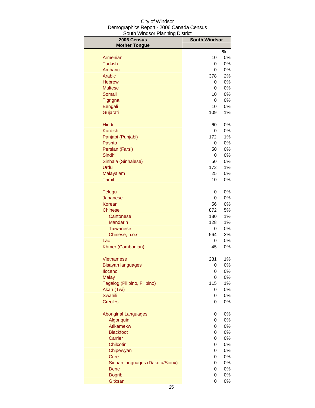| 2006 Census<br><b>Mother Tongue</b> | <b>South Windsor</b> |       |
|-------------------------------------|----------------------|-------|
|                                     |                      | %     |
| Armenian                            | 10                   | 0%    |
| <b>Turkish</b>                      | 0                    | 0%    |
| Amharic                             | 0                    | 0%    |
| Arabic                              | 378                  | 2%    |
| <b>Hebrew</b>                       | 0                    | 0%    |
| <b>Maltese</b>                      | 0                    | 0%    |
| Somali                              | 10                   | 0%    |
| Tigrigna                            | 0                    | 0%    |
| <b>Bengali</b>                      | 10                   | 0%    |
| Gujarati                            | 109                  | 1%    |
| Hindi                               | 60                   | 0%    |
| <b>Kurdish</b>                      | 0                    | 0%    |
| Panjabi (Punjabi)                   | 172                  | 1%    |
| Pashto                              | 0                    | 0%    |
| Persian (Farsi)                     | 50                   | 0%    |
| Sindhi                              | 0                    | 0%    |
| Sinhala (Sinhalese)                 | 50                   | 0%    |
| Urdu                                | 173                  | 1%    |
| Malayalam                           | 25                   | 0%    |
| Tamil                               | 10                   | 0%    |
| <b>Telugu</b>                       | 0                    | 0%    |
| Japanese                            | 0                    | 0%    |
| Korean                              | 56                   | 0%    |
| <b>Chinese</b>                      | 872                  | 5%    |
| Cantonese                           | 180                  | $1\%$ |
| <b>Mandarin</b>                     | 128                  | 1%    |
| <b>Taiwanese</b>                    | 0                    | 0%    |
| Chinese, n.o.s.                     | 564                  | 3%    |
| Lao                                 | 0                    | 0%    |
| Khmer (Cambodian)                   | 45                   | 0%    |
| Vietnamese                          | 231                  | $1\%$ |
| Bisayan languages                   | 0                    | 0%    |
| <b>Ilocano</b>                      | 0                    | 0%    |
| <b>Malay</b>                        | 0                    | 0%    |
| Tagalog (Pilipino, Filipino)        | 115                  | 1%    |
| Akan (Twi)                          | 0                    | 0%    |
| <b>Swahili</b>                      | 0                    | 0%    |
| <b>Creoles</b>                      | 0                    | 0%    |
| <b>Aboriginal Languages</b>         | 0                    | 0%    |
| Algonquin                           | 0                    | 0%    |
| Atikamekw                           | 0                    | 0%    |
| <b>Blackfoot</b>                    | 0                    | 0%    |
| Carrier                             | 0                    | 0%    |
| Chilcotin                           | 0                    | 0%    |
| Chipewyan                           | 0                    | 0%    |
| <b>Cree</b>                         | 0                    | 0%    |
| Siouan languages (Dakota/Sioux)     | 0                    | 0%    |
| Dene                                | 0                    | 0%    |
| <b>Dogrib</b>                       | 0                    | 0%    |
| Gitksan                             | 0                    | 0%    |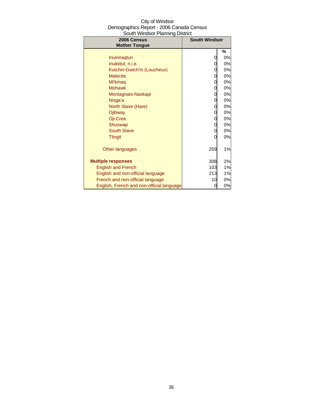| City of Windsor                          |
|------------------------------------------|
| Demographics Report - 2006 Canada Census |
| South Windsor Planning District          |

| 2006 Census<br><b>Mother Tongue</b>       | <b>South Windsor</b> |    |
|-------------------------------------------|----------------------|----|
|                                           |                      | %  |
| Inuinnagtun                               | 0                    | 0% |
| Inuktitut, n.i.e.                         | 0                    | 0% |
| Kutchin-Gwich'in (Loucheux)               | 0                    | 0% |
| <b>Malecite</b>                           | 0                    | 0% |
| Mi'kmag                                   | 0                    | 0% |
| <b>Mohawk</b>                             | 0                    | 0% |
| Montagnais-Naskapi                        | 0                    | 0% |
| Nisga'a                                   | 0                    | 0% |
| North Slave (Hare)                        | 0                    | 0% |
| Ojibway                                   | 0                    | 0% |
| Oji-Cree                                  | 0                    | 0% |
| Shuswap                                   | 0                    | 0% |
| <b>South Slave</b>                        | 0                    | 0% |
| <b>Tlingit</b>                            | 0                    | 0% |
| Other languages                           | 259                  | 1% |
| <b>Multiple responses</b>                 | 308                  | 2% |
| <b>English and French</b>                 | 103                  | 1% |
| English and non-official language         | 213                  | 1% |
| French and non-official language          | 10                   | 0% |
| English, French and non-official language | 0                    | 0% |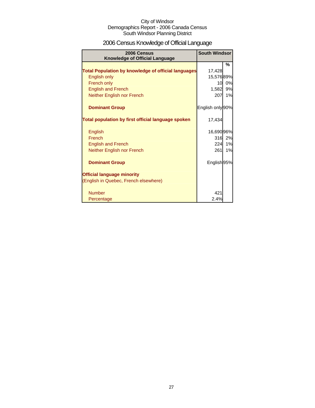## 2006 Census Knowledge of Official Language

| 2006 Census<br><b>Knowledge of Official Language</b>       | <b>South Windsor</b> |    |
|------------------------------------------------------------|----------------------|----|
|                                                            |                      | %  |
| <b>Total Population by knowledge of official languages</b> | 17,428               |    |
| English only                                               | 15,57689%            |    |
| French only                                                | 10                   | 0% |
| <b>English and French</b>                                  | 1,582                | 9% |
| Neither English nor French                                 | 207                  | 1% |
| <b>Dominant Group</b>                                      | English only 90%     |    |
| Total population by first official language spoken         | 17,434               |    |
| English                                                    | 16,690 96%           |    |
| French                                                     | 316                  | 2% |
| <b>English and French</b>                                  | 224                  | 1% |
| Neither English nor French                                 | 261                  | 1% |
| <b>Dominant Group</b>                                      | English 95%          |    |
| <b>Official language minority</b>                          |                      |    |
| (English in Quebec, French elsewhere)                      |                      |    |
| <b>Number</b>                                              | 421                  |    |
| Percentage                                                 | 2.4%                 |    |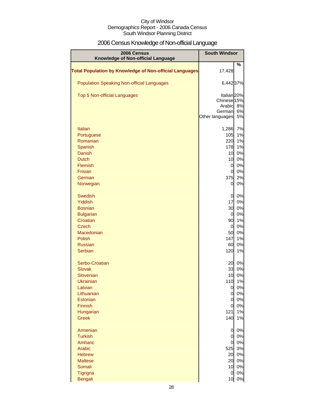## 2006 Census Knowledge of Non-official Language

| 2006 Census<br>Knowledge of Non-official Language              | <b>South Windsor</b>   |          |
|----------------------------------------------------------------|------------------------|----------|
|                                                                |                        | %        |
| <b>Total Population by Knowledge of Non-official Languages</b> | 17,428                 |          |
| <b>Population Speaking Non-official Languages</b>              | 6,442 37%              |          |
| <b>Top 5 Non-official Languages</b>                            | Italian <sub>20%</sub> |          |
|                                                                | Chinese 15%            |          |
|                                                                | Arabic<br>German       | 8%<br>6% |
|                                                                | Other languages        | 5%       |
| <b>Italian</b>                                                 | 1,286                  | 7%       |
| Portuguese                                                     | 105                    | 1%       |
| Romanian                                                       | 220                    | 1%       |
| Spanish                                                        | 178                    | 1%       |
| <b>Danish</b>                                                  | 10 <sup>1</sup>        | 0%       |
| <b>Dutch</b>                                                   | 10                     | 0%       |
| Flemish                                                        | $\overline{0}$         | 0%       |
| Frisian<br>German                                              | 0<br>375               | 0%<br>2% |
| Norwegian                                                      | $\overline{0}$         | 0%       |
| <b>Swedish</b>                                                 | 0                      | 0%       |
| Yiddish                                                        | 17                     | 0%       |
| <b>Bosnian</b>                                                 | 30                     | 0%       |
| <b>Bulgarian</b>                                               | $\overline{0}$         | 0%       |
| Croatian                                                       | 90                     | 1%       |
| Czech<br>Macedonian                                            | $\overline{0}$<br>50   | 0%<br>0% |
| <b>Polish</b>                                                  | 147                    | 1%       |
| <b>Russian</b>                                                 | 60                     | 0%       |
| Serbian                                                        | 120                    | 1%       |
| Serbo-Croatian                                                 | 20                     | 0%       |
| <b>Slovak</b>                                                  | 33                     | 0%       |
| Slovenian                                                      | 10                     | 0%       |
| <b>Ukrainian</b><br>Latvian                                    | 110<br>$\overline{0}$  | 1%<br>0% |
| Lithuanian                                                     | $\overline{0}$         | 0%       |
| Estonian                                                       | $\overline{0}$         | 0%       |
| Finnish                                                        | 0                      | 0%       |
| Hungarian                                                      | 121                    | 1%       |
| <b>Greek</b>                                                   | 140                    | 1%       |
| Armenian                                                       | 0                      | 0%       |
| <b>Turkish</b>                                                 | 0<br>$\overline{O}$    | 0%       |
| Amharic<br>Arabic                                              | 525                    | 0%<br>3% |
| <b>Hebrew</b>                                                  | 20                     | 0%       |
| <b>Maltese</b>                                                 | 20                     | 0%       |
| Somali                                                         | 10                     | 0%       |
| Tigrigna                                                       | $\overline{0}$         | 0%       |
| <b>Bengali</b>                                                 | 10                     | 0%       |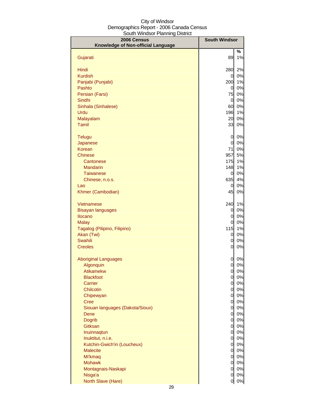| 2006 Census<br>Knowledge of Non-official Language | <b>South Windsor</b> |          |
|---------------------------------------------------|----------------------|----------|
|                                                   |                      | %        |
| Gujarati                                          | 89                   | 1%       |
| Hindi                                             | 280                  | 2%       |
| <b>Kurdish</b>                                    | 0                    | 0%       |
| Panjabi (Punjabi)                                 | 200                  | 1%       |
| Pashto                                            | $\overline{0}$       | 0%       |
| Persian (Farsi)                                   | 75                   | 0%       |
| Sindhi                                            | $\overline{0}$       | 0%       |
| Sinhala (Sinhalese)                               | 60                   | 0%       |
| Urdu                                              | 196                  | 1%       |
| Malayalam                                         | 20                   | 0%       |
| <b>Tamil</b>                                      | 33                   | 0%       |
| <b>Telugu</b>                                     | 0                    | 0%       |
| Japanese                                          | $\overline{0}$       | 0%       |
| Korean                                            | 71                   | 0%       |
| <b>Chinese</b>                                    | 957                  | 5%       |
| Cantonese                                         | 175                  | 1%       |
| <b>Mandarin</b>                                   | 148                  | 1%       |
| <b>Taiwanese</b>                                  | 0                    | 0%       |
| Chinese, n.o.s.                                   | 635                  | 4%       |
| Lao                                               | $\overline{0}$       | 0%       |
| Khmer (Cambodian)                                 | 45                   | 0%       |
| Vietnamese                                        | 240                  | 1%       |
| <b>Bisayan languages</b>                          | 0                    | 0%       |
| Ilocano                                           | 0                    | 0%       |
| <b>Malay</b>                                      | 0                    | 0%       |
| Tagalog (Pilipino, Filipino)                      | 115                  | 1%       |
| Akan (Twi)                                        | 0                    | 0%       |
| Swahili                                           | 0                    | 0%       |
| <b>Creoles</b>                                    | 0                    | 0%       |
| <b>Aboriginal Languages</b>                       | 0                    | 0%       |
| Algonquin                                         | $\overline{0}$       | 0%       |
| <b>Atikamekw</b>                                  | $\overline{0}$       | 0%       |
| <b>Blackfoot</b>                                  | $\overline{0}$       | 0%       |
| Carrier                                           | 0                    | 0%       |
| Chilcotin                                         | $\overline{0}$       | 0%       |
| Chipewyan                                         | <sub>0</sub>         | 0%       |
| <b>Cree</b>                                       | $\overline{0}$       | 0%       |
| Siouan languages (Dakota/Sioux)                   | $\overline{0}$       | 0%       |
| Dene                                              | $\overline{0}$       | 0%       |
| <b>Dogrib</b>                                     | <sub>0</sub>         | 0%       |
| Gitksan<br>Inuinnaqtun                            | 0<br><sub>0</sub>    | 0%<br>0% |
| Inuktitut, n.i.e.                                 | <sub>0</sub>         | 0%       |
| Kutchin-Gwich'in (Loucheux)                       | <sub>0</sub>         | 0%       |
| <b>Malecite</b>                                   | 0                    | 0%       |
| Mi'kmaq                                           | 0                    | 0%       |
| <b>Mohawk</b>                                     | $\overline{0}$       | 0%       |
| Montagnais-Naskapi                                | $\overline{0}$       | $0\%$    |
| Nisga'a                                           | 0                    | 0%       |
| North Slave (Hare)                                | 0                    | $0\%$    |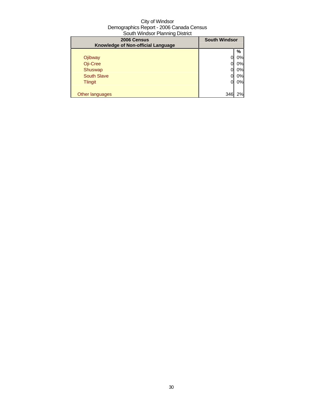| <b>South Windsor</b><br>2006 Census<br>Knowledge of Non-official Language |     |    |
|---------------------------------------------------------------------------|-----|----|
|                                                                           |     | %  |
| Ojibway                                                                   |     | 0% |
| Oji-Cree                                                                  |     | 0% |
| Shuswap                                                                   |     | 0% |
| <b>South Slave</b>                                                        |     | 0% |
| <b>Tlingit</b>                                                            | 0   | 0% |
|                                                                           |     |    |
| Other languages                                                           | 346 | 2% |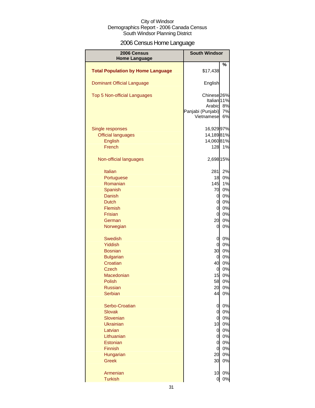## 2006 Census Home Language

| 2006 Census<br><b>Home Language</b>      | <b>South Windsor</b>            |          |
|------------------------------------------|---------------------------------|----------|
|                                          |                                 | %        |
| <b>Total Population by Home Language</b> | \$17,438                        |          |
| <b>Dominant Official Language</b>        | English                         |          |
| Top 5 Non-official Languages             | Chinese <sub>26%</sub>          |          |
|                                          | Italian <sup>11%</sup>          |          |
|                                          | Arabic                          | 8%       |
|                                          | Panjabi (Punjabi)<br>Vietnamese | 7%<br>6% |
|                                          |                                 |          |
| Single responses                         | 16,92997%                       |          |
| <b>Official languages</b>                | 14,18981%                       |          |
| <b>English</b>                           | 14,06081%                       |          |
| French                                   | 128                             | 1%       |
| Non-official languages                   | 2,698 15%                       |          |
| <b>Italian</b>                           | 281                             | 2%       |
| Portuguese                               | 18                              | 0%       |
| Romanian                                 | 145                             | 1%       |
| Spanish                                  | 70                              | 0%       |
| Danish                                   | 0                               | 0%       |
| <b>Dutch</b>                             | $\mathbf 0$                     | 0%       |
| Flemish                                  | $\overline{0}$                  | 0%       |
| <b>Frisian</b>                           | $\mathbf 0$                     | 0%       |
| German                                   | 20                              | 0%       |
| Norwegian                                | 0                               | 0%       |
| <b>Swedish</b>                           | 0                               | 0%       |
| <b>Yiddish</b>                           | $\mathbf 0$                     | 0%       |
| <b>Bosnian</b>                           | 30                              | 0%       |
| <b>Bulgarian</b>                         | 0                               | 0%       |
| Croatian                                 | 40                              | 0%       |
| <b>Czech</b>                             | $\mathbf 0$                     | 0%       |
| Macedonian                               | 15                              | 0%       |
| Polish                                   | 58                              | 0%       |
| <b>Russian</b>                           | 20                              | 0%       |
| <b>Serbian</b>                           | 44                              | 0%       |
| Serbo-Croatian                           | 0                               | 0%       |
| <b>Slovak</b>                            | $\mathbf 0$                     | 0%       |
| Slovenian                                | $\mathbf 0$                     | 0%       |
| <b>Ukrainian</b>                         | 10                              | 0%       |
| Latvian                                  | $\mathbf 0$                     | 0%       |
| Lithuanian                               | 0                               | 0%       |
| Estonian                                 | 0                               | 0%       |
| Finnish                                  | $\boldsymbol{0}$                | 0%       |
| Hungarian                                | 20                              | 0%       |
| <b>Greek</b>                             | 30                              | 0%       |
| Armenian                                 | 10                              | 0%       |
| <b>Turkish</b>                           | $\overline{0}$                  | 0%       |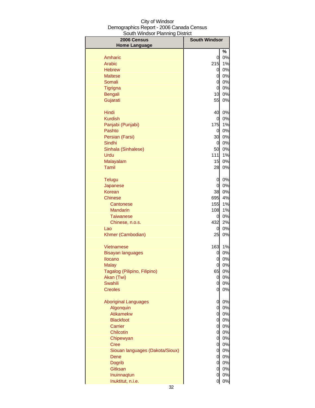| 2006 Census<br><b>Home Language</b> | <b>South Windsor</b> |       |
|-------------------------------------|----------------------|-------|
|                                     |                      | %     |
| Amharic                             | 0                    | 0%    |
| Arabic                              | 215                  | 1%    |
| <b>Hebrew</b>                       | 0                    | 0%    |
| <b>Maltese</b>                      | 0                    | 0%    |
| Somali                              | 0                    | 0%    |
| <b>Tigrigna</b>                     | $\mathbf 0$          | 0%    |
| Bengali                             | 10                   | 0%    |
| Gujarati                            | 55                   | 0%    |
|                                     |                      |       |
| Hindi                               | 40                   | 0%    |
| <b>Kurdish</b>                      | 0                    | 0%    |
| Panjabi (Punjabi)                   | 175                  | 1%    |
| Pashto                              | $\overline{0}$       | 0%    |
| Persian (Farsi)                     | 30                   | 0%    |
| Sindhi                              | $\overline{0}$       | 0%    |
| Sinhala (Sinhalese)                 | 50                   | 0%    |
| Urdu                                | 111                  | 1%    |
| Malayalam                           | 15                   | $0\%$ |
| <b>Tamil</b>                        | 28                   | 0%    |
| <b>Telugu</b>                       | 0                    | 0%    |
| Japanese                            | 0                    | 0%    |
| <b>Korean</b>                       | 38                   | 0%    |
| <b>Chinese</b>                      | 695                  | 4%    |
| Cantonese                           | 155                  | 1%    |
| <b>Mandarin</b>                     | 108                  | 1%    |
| <b>Taiwanese</b>                    | 0                    | 0%    |
| Chinese, n.o.s.                     | 432                  | 2%    |
| Lao                                 | 0                    | 0%    |
| Khmer (Cambodian)                   | 25                   | 0%    |
| Vietnamese                          | 163                  | 1%    |
| <b>Bisayan languages</b>            | 0                    | 0%    |
| <b>Ilocano</b>                      | 0                    | 0%    |
| Malav                               | 0                    | 0%    |
| Tagalog (Pilipino, Filipino)        | 65                   | 0%    |
| Akan (Twi)                          | 0                    | 0%    |
| Swahili                             | 0                    | 0%    |
| <b>Creoles</b>                      | 0                    | 0%    |
| <b>Aboriginal Languages</b>         | 0                    | 0%    |
| Algonquin                           | $\mathbf 0$          | 0%    |
| Atikamekw                           | $\mathbf 0$          | 0%    |
| <b>Blackfoot</b>                    | $\overline{0}$       | 0%    |
| Carrier                             | $\overline{0}$       | 0%    |
| Chilcotin                           | $\overline{0}$       | 0%    |
| Chipewyan                           | $\overline{0}$       | 0%    |
| <b>Cree</b>                         | $\overline{0}$       | 0%    |
| Siouan languages (Dakota/Sioux)     | $\overline{0}$       | 0%    |
| Dene                                | $\overline{O}$       | 0%    |
| Dogrib                              | $\overline{0}$       | 0%    |
| Gitksan                             | $\overline{0}$       | 0%    |
| Inuinnaqtun                         | $\overline{0}$       | 0%    |
| Inuktitut, n.i.e.                   | 0                    | $0\%$ |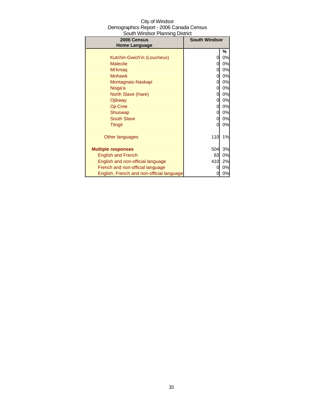| City of Windsor                          |
|------------------------------------------|
| Demographics Report - 2006 Canada Census |
| South Windsor Planning District          |

| 2006 Census<br><b>Home Language</b>       | <b>South Windsor</b> |    |
|-------------------------------------------|----------------------|----|
|                                           |                      | %  |
| Kutchin-Gwich'in (Loucheux)               | 0                    | 0% |
| <b>Malecite</b>                           | 0                    | 0% |
| Mi'kmag                                   | 0                    | 0% |
| <b>Mohawk</b>                             | 0                    | 0% |
| Montagnais-Naskapi                        | 0                    | 0% |
| Nisga'a                                   | 0                    | 0% |
| North Slave (Hare)                        | 0                    | 0% |
| Ojibway                                   | 0                    | 0% |
| Oji-Cree                                  | 0                    | 0% |
| Shuswap                                   | 0                    | 0% |
| <b>South Slave</b>                        | 0                    | 0% |
| <b>Tlingit</b>                            | 0                    | 0% |
| Other languages                           | 110                  | 1% |
| <b>Multiple responses</b>                 | 504                  | 3% |
| <b>English and French</b>                 | 83                   | 0% |
| English and non-official language         | 410                  | 2% |
| French and non-official language          | 0                    | 0% |
| English, French and non-official language | 0                    | 0% |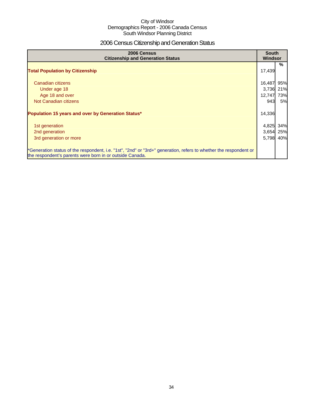## 2006 Census Citizenship and Generation Status

| 2006 Census<br><b>Citizenship and Generation Status</b>                                                                                                                       | <b>South</b><br>Windsor |     |
|-------------------------------------------------------------------------------------------------------------------------------------------------------------------------------|-------------------------|-----|
| <b>Total Population by Citizenship</b>                                                                                                                                        | 17,439                  | %   |
| Canadian citizens                                                                                                                                                             | 16,487                  | 95% |
| Under age 18                                                                                                                                                                  | 3,736                   | 21% |
| Age 18 and over                                                                                                                                                               | 12,747                  | 73% |
| Not Canadian citizens                                                                                                                                                         | 943                     | 5%  |
| Population 15 years and over by Generation Status*                                                                                                                            | 14,336                  |     |
| 1st generation                                                                                                                                                                | 4,825                   | 34% |
| 2nd generation                                                                                                                                                                | 3,654                   | 25% |
| 3rd generation or more                                                                                                                                                        | 5,798                   | 40% |
| *Generation status of the respondent, i.e. "1st", "2nd" or "3rd+" generation, refers to whether the respondent or<br>the respondent's parents were born in or outside Canada. |                         |     |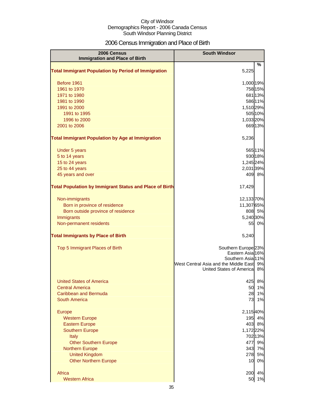## 2006 Census Immigration and Place of Birth

| <b>2006 Census</b><br><b>Immigration and Place of Birth</b>    | <b>South Windsor</b>                  |               |
|----------------------------------------------------------------|---------------------------------------|---------------|
| <b>Total Immigrant Population by Period of Immigration</b>     | 5,225                                 | $\frac{9}{6}$ |
| Before 1961                                                    | 1,000 19%                             |               |
| 1961 to 1970                                                   | 758 15%                               |               |
| 1971 to 1980                                                   | 681 13%                               |               |
| 1981 to 1990                                                   | 586 11%                               |               |
| 1991 to 2000                                                   | 1,510 29%                             |               |
| 1991 to 1995                                                   | 505 10%                               |               |
| 1996 to 2000                                                   | 1,033 20%                             |               |
| 2001 to 2006                                                   | 669 13%                               |               |
| <b>Total Immigrant Population by Age at Immigration</b>        | 5,236                                 |               |
| Under 5 years                                                  | 565 11%                               |               |
| 5 to 14 years                                                  | 930 18%                               |               |
| 15 to 24 years                                                 | 1,245 24%                             |               |
| 25 to 44 years                                                 | 2,031 39%                             |               |
| 45 years and over                                              | 409 8%                                |               |
| <b>Total Population by Immigrant Status and Place of Birth</b> | 17,429                                |               |
| Non-immigrants                                                 | 12,13370%                             |               |
| Born in province of residence                                  | 11,307 65%                            |               |
| Born outside province of residence                             | 808 5%                                |               |
| Immigrants                                                     | 5,240 30%                             |               |
| Non-permanent residents                                        |                                       | 55 0%         |
| <b>Total Immigrants by Place of Birth</b>                      | 5,240                                 |               |
| Top 5 Immigrant Places of Birth                                | Southern Europe <sup>23%</sup>        |               |
|                                                                | Eastern Asia 16%<br>Southern Asia 11% |               |
|                                                                | West Central Asia and the Middle East | 9%            |
|                                                                | United States of Americal             | 8%            |
| <b>United States of America</b>                                | 425                                   | 8%            |
| <b>Central America</b>                                         | 50                                    | 1%            |
| Caribbean and Bermuda                                          | 28                                    | 1%            |
| <b>South America</b>                                           | 73                                    | 1%            |
| <b>Europe</b>                                                  | 2,11540%                              |               |
| <b>Western Europe</b>                                          | 195                                   | 4%            |
| <b>Eastern Europe</b>                                          | 403                                   | 8%            |
| <b>Southern Europe</b>                                         | 1,172 22%                             |               |
| <b>Italy</b>                                                   | 702 13%                               |               |
| <b>Other Southern Europe</b><br><b>Northern Europe</b>         | 477<br>343                            | 9%<br>7%      |
| <b>United Kingdom</b>                                          | 278                                   | 5%            |
| <b>Other Northern Europe</b>                                   | 10                                    | 0%            |
| Africa                                                         | 200                                   | 4%            |
| <b>Western Africa</b>                                          | 50                                    | 1%            |
|                                                                |                                       |               |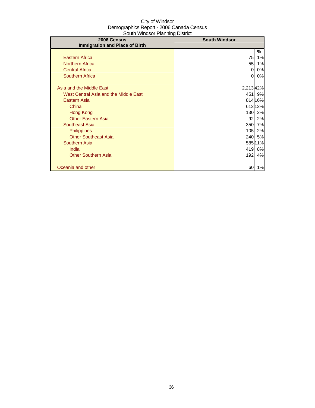| 2006 Census                           | <b>South Windsor</b> |         |
|---------------------------------------|----------------------|---------|
| <b>Immigration and Place of Birth</b> |                      |         |
|                                       |                      | %       |
| <b>Eastern Africa</b>                 | 75                   | 1%      |
| <b>Northern Africa</b>                | 55                   | 1%      |
| <b>Central Africa</b>                 | 0                    | 0%      |
| <b>Southern Africa</b>                | 0                    | 0%      |
|                                       |                      |         |
| Asia and the Middle East              | 2,213 42%            |         |
| West Central Asia and the Middle East |                      | 451 9%  |
| Eastern Asia                          |                      | 814 16% |
| China                                 |                      | 612 12% |
| Hong Kong                             | 130                  | 2%      |
| <b>Other Eastern Asia</b>             | 92                   | 2%      |
| <b>Southeast Asia</b>                 | 350                  | 7%      |
| <b>Philippines</b>                    | 105                  | 2%      |
| <b>Other Southeast Asia</b>           | 240                  | 5%      |
| <b>Southern Asia</b>                  |                      | 58511%  |
| India                                 | 419                  | 8%      |
| <b>Other Southern Asia</b>            | 192                  | 4%      |
|                                       |                      |         |
| Oceania and other                     | 60                   | 1%      |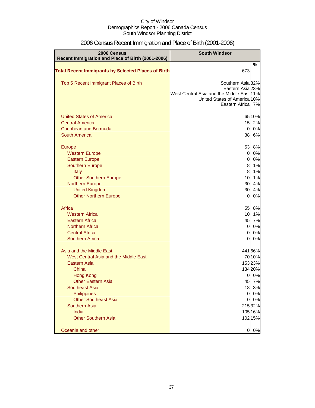| 2006 Census<br>Recent Immigration and Place of Birth (2001-2006) | <b>South Windsor</b>                                                                          |                    |
|------------------------------------------------------------------|-----------------------------------------------------------------------------------------------|--------------------|
| <b>Total Recent Immigrants by Selected Places of Birth</b>       | 673                                                                                           | %                  |
| Top 5 Recent Immigrant Places of Birth                           | Southern Asia <sup>32%</sup><br>Eastern Asia 23%<br>West Central Asia and the Middle East 11% |                    |
|                                                                  | United States of America 10%<br>Eastern Africal 7%                                            |                    |
| <b>United States of America</b>                                  |                                                                                               | 6510%              |
| <b>Central America</b>                                           | 15                                                                                            | 2%                 |
| Caribbean and Bermuda                                            | $\overline{0}$                                                                                | 0%                 |
| <b>South America</b>                                             | 38                                                                                            | 6%                 |
| <b>Europe</b>                                                    | 53                                                                                            | 8%                 |
| <b>Western Europe</b>                                            | $\overline{0}$                                                                                | 0%                 |
| <b>Eastern Europe</b>                                            | $\overline{0}$                                                                                | 0%                 |
| <b>Southern Europe</b>                                           | 8                                                                                             | 1%                 |
| Italy                                                            | 8                                                                                             | 1%                 |
| <b>Other Southern Europe</b>                                     | 10                                                                                            | 1%                 |
| <b>Northern Europe</b>                                           | 30                                                                                            | 4%                 |
| <b>United Kingdom</b>                                            | 30                                                                                            | 4%                 |
| <b>Other Northern Europe</b>                                     | $\overline{0}$                                                                                | 0%                 |
| Africa                                                           | 55                                                                                            | 8%                 |
| <b>Western Africa</b>                                            | 10                                                                                            | 1%                 |
| <b>Eastern Africa</b>                                            | 45                                                                                            | 7%                 |
| <b>Northern Africa</b>                                           | $\overline{0}$                                                                                | 0%                 |
| <b>Central Africa</b>                                            | $\overline{0}$                                                                                | 0%                 |
| <b>Southern Africa</b>                                           | $\overline{0}$                                                                                | 0%                 |
| Asia and the Middle East                                         |                                                                                               | 441 66%            |
| West Central Asia and the Middle East                            |                                                                                               | 7010%              |
| <b>Eastern Asia</b>                                              |                                                                                               | 15323%             |
| China                                                            |                                                                                               | 134 20%            |
| <b>Hong Kong</b>                                                 | 0                                                                                             | 0%                 |
| <b>Other Eastern Asia</b>                                        | 45                                                                                            | 7%                 |
| Southeast Asia                                                   | 18                                                                                            | 3%                 |
| Philippines                                                      | $\overline{0}$                                                                                | 0%                 |
| <b>Other Southeast Asia</b>                                      | 0                                                                                             | 0%                 |
| <b>Southern Asia</b><br>India                                    |                                                                                               | 215 32%<br>105 16% |
| <b>Other Southern Asia</b>                                       |                                                                                               | 102 15%            |
|                                                                  |                                                                                               |                    |
| Oceania and other                                                | 0                                                                                             | 0%                 |

# 2006 Census Recent Immigration and Place of Birth (2001-2006)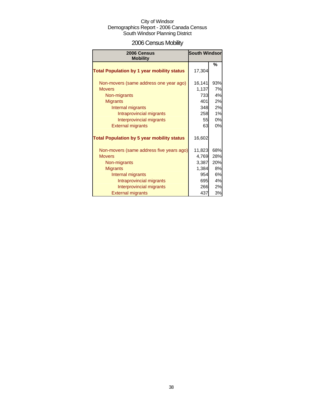# 2006 Census Mobility

| 2006 Census                                       | <b>South Windsor</b> |     |  |
|---------------------------------------------------|----------------------|-----|--|
| <b>Mobility</b>                                   |                      |     |  |
| <b>Total Population by 1 year mobility status</b> | 17,304               | %   |  |
| Non-movers (same address one year ago)            | 16,141               | 93% |  |
| <b>Movers</b>                                     | 1,137                | 7%  |  |
| Non-migrants                                      | 733                  | 4%  |  |
| <b>Migrants</b>                                   | 401                  | 2%  |  |
| Internal migrants                                 | 348                  | 2%  |  |
| Intraprovincial migrants                          | 258                  | 1%  |  |
| Interprovincial migrants                          | 55                   | 0%  |  |
| <b>External migrants</b>                          | 63                   | 0%  |  |
| <b>Total Population by 5 year mobility status</b> | 16,602               |     |  |
| Non-movers (same address five years ago)          | 11,823               | 68% |  |
| <b>Movers</b>                                     | 4,769                | 28% |  |
| Non-migrants                                      | 3,387                | 20% |  |
| <b>Migrants</b>                                   | 1,384                | 8%  |  |
| Internal migrants                                 | 954                  | 6%  |  |
| Intraprovincial migrants                          | 695                  | 4%  |  |
| Interprovincial migrants                          | 266                  | 2%  |  |
| <b>External migrants</b>                          | 437                  | 3%  |  |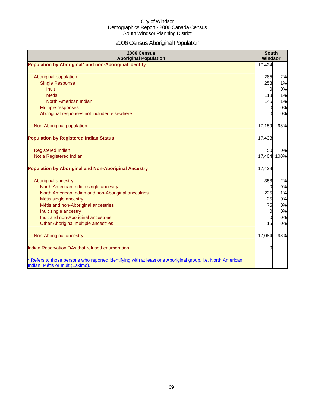# 2006 Census Aboriginal Population

| 2006 Census<br><b>Aboriginal Population</b>                                                                                                                                                                                                                                                 | <b>South</b><br>Windsor                                                      |                                              |
|---------------------------------------------------------------------------------------------------------------------------------------------------------------------------------------------------------------------------------------------------------------------------------------------|------------------------------------------------------------------------------|----------------------------------------------|
| Population by Aboriginal* and non-Aboriginal Identity                                                                                                                                                                                                                                       | 17,424                                                                       |                                              |
| Aboriginal population<br><b>Single Response</b><br><b>Inuit</b>                                                                                                                                                                                                                             | 285<br>258<br>$\overline{0}$                                                 | 2%<br>1%<br>0%                               |
| <b>Metis</b><br>North American Indian<br>Multiple responses<br>Aboriginal responses not included elsewhere                                                                                                                                                                                  | 113<br>145<br>$\overline{0}$<br>$\Omega$                                     | 1%<br>1%<br>0%<br>0%                         |
| Non-Aboriginal population                                                                                                                                                                                                                                                                   | 17,159                                                                       | 98%                                          |
| <b>Population by Registered Indian Status</b>                                                                                                                                                                                                                                               | 17,433                                                                       |                                              |
| <b>Registered Indian</b><br>Not a Registered Indian                                                                                                                                                                                                                                         | 50<br>17,404 100%                                                            | 0%                                           |
| <b>Population by Aboriginal and Non-Aboriginal Ancestry</b>                                                                                                                                                                                                                                 | 17,429                                                                       |                                              |
| Aboriginal ancestry<br>North American Indian single ancestry<br>North American Indian and non-Aboriginal ancestries<br>Métis single ancestry<br>Métis and non-Aboriginal ancestries<br>Inuit single ancestry<br>Inuit and non-Aboriginal ancestries<br>Other Aboriginal multiple ancestries | 353<br>$\Omega$<br>225<br>25<br>75<br>$\overline{0}$<br>$\overline{0}$<br>15 | 2%<br>0%<br>1%<br>0%<br>0%<br>0%<br>0%<br>0% |
| Non-Aboriginal ancestry                                                                                                                                                                                                                                                                     | 17,084                                                                       | 98%                                          |
| Indian Reservation DAs that refused enumeration                                                                                                                                                                                                                                             | $\Omega$                                                                     |                                              |
| * Refers to those persons who reported identifying with at least one Aboriginal group, i.e. North American<br>Indian, Métis or Inuit (Eskimo).                                                                                                                                              |                                                                              |                                              |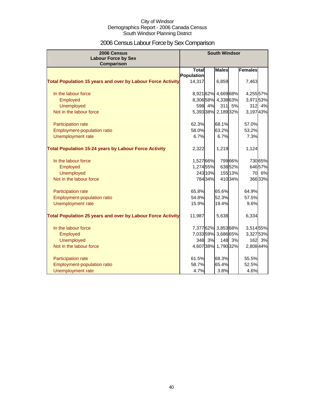# 2006 Census Labour Force by Sex Comparison

| 2006 Census                                                        | <b>South Windsor</b>       |         |                     |         |                |         |
|--------------------------------------------------------------------|----------------------------|---------|---------------------|---------|----------------|---------|
| <b>Labour Force by Sex</b>                                         |                            |         |                     |         |                |         |
| <b>Comparison</b>                                                  |                            |         |                     |         |                |         |
|                                                                    | <b>Total</b><br>Population |         | <b>Males</b>        |         | <b>Females</b> |         |
| <b>Total Population 15 years and over by Labour Force Activity</b> | 14,317                     |         | 6,859               |         | 7,463          |         |
|                                                                    |                            |         |                     |         |                |         |
| In the labour force                                                |                            |         | 8,921 62% 4,669 68% |         | 4,25557%       |         |
| Employed                                                           |                            |         | 8,30658% 4,33863%   |         | 3,97153%       |         |
| <b>Unemployed</b>                                                  | 598                        | 4%      | 311                 | 5%      | 312            | 4%      |
| Not in the labour force                                            |                            |         | 5,39338% 2,18932%   |         | 3,19743%       |         |
| Participation rate                                                 | 62.3%                      |         | 68.1%               |         | 57.0%          |         |
| Employment-population ratio                                        | 58.0%                      |         | 63.2%               |         | 53.2%          |         |
| Unemployment rate                                                  | 6.7%                       |         | 6.7%                |         | 7.3%           |         |
| <b>Total Population 15-24 years by Labour Force Activity</b>       | 2,322                      |         | 1,219               |         | 1,124          |         |
| In the labour force                                                | 1,52766%                   |         |                     | 79966%  |                | 730 65% |
| Employed                                                           | 1,27455%                   |         |                     | 63852%  |                | 64657%  |
| <b>Unemployed</b>                                                  |                            | 243 10% |                     | 155 13% | 70             | 6%      |
| Not in the labour force                                            |                            | 78434%  |                     | 410 34% |                | 36633%  |
| Participation rate                                                 | 65.8%                      |         | 65.6%               |         | 64.9%          |         |
| Employment-population ratio                                        | 54.8%                      |         | 52.3%               |         | 57.5%          |         |
| Unemployment rate                                                  | 15.9%                      |         | 19.4%               |         | 9.6%           |         |
| <b>Total Population 25 years and over by Labour Force Activity</b> | 11,987                     |         | 5,638               |         | 6,334          |         |
| In the labour force                                                |                            |         | 7,37762% 3,85368%   |         | 3,514 55%      |         |
| Employed                                                           |                            |         | 7,03359% 3,68665%   |         | 3,327 53%      |         |
| <b>Unemployed</b>                                                  |                            | 348 3%  |                     | 148 3%  | 162            | 3%      |
| Not in the labour force                                            |                            |         | 4,60738% 1,79032%   |         | 2,808 44%      |         |
| Participation rate                                                 | 61.5%                      |         | 68.3%               |         | 55.5%          |         |
| <b>Employment-population ratio</b>                                 | 58.7%                      |         | 65.4%               |         | 52.5%          |         |
| Unemployment rate                                                  | 4.7%                       |         | 3.8%                |         | 4.6%           |         |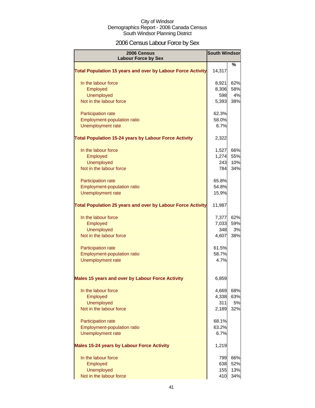# 2006 Census Labour Force by Sex

| 2006 Census<br><b>Labour Force by Sex</b>                          | <b>South Windsor</b> |     |
|--------------------------------------------------------------------|----------------------|-----|
|                                                                    |                      | ℅   |
| <b>Total Population 15 years and over by Labour Force Activity</b> | 14,317               |     |
| In the labour force                                                | 8,921                | 62% |
| Employed                                                           | 8,306                | 58% |
| <b>Unemployed</b>                                                  | 598                  | 4%  |
| Not in the labour force                                            | 5,393                | 38% |
| Participation rate                                                 | 62.3%                |     |
| Employment-population ratio                                        | 58.0%                |     |
| Unemployment rate                                                  | 6.7%                 |     |
| <b>Total Population 15-24 years by Labour Force Activity</b>       | 2,322                |     |
| In the labour force                                                | 1,527                | 66% |
| Employed                                                           | 1,274                | 55% |
| <b>Unemployed</b>                                                  | 243                  | 10% |
| Not in the labour force                                            | 784                  | 34% |
| Participation rate                                                 | 65.8%                |     |
| Employment-population ratio                                        | 54.8%                |     |
| Unemployment rate                                                  | 15.9%                |     |
| <b>Total Population 25 years and over by Labour Force Activity</b> | 11,987               |     |
| In the labour force                                                | 7,377                | 62% |
| Employed                                                           | 7,033                | 59% |
| <b>Unemployed</b>                                                  | 348                  | 3%  |
| Not in the labour force                                            | 4,607                | 38% |
| Participation rate                                                 | 61.5%                |     |
| Employment-population ratio                                        | 58.7%                |     |
| Unemployment rate                                                  | 4.7%                 |     |
| <b>Males 15 years and over by Labour Force Activity</b>            | 6,859                |     |
| In the labour force                                                | 4,669                | 68% |
| Employed                                                           | 4,338                | 63% |
| Unemployed                                                         | 311                  | 5%  |
| Not in the labour force                                            | 2,189                | 32% |
| Participation rate                                                 | 68.1%                |     |
| Employment-population ratio                                        | 63.2%                |     |
| Unemployment rate                                                  | 6.7%                 |     |
| <b>Males 15-24 years by Labour Force Activity</b>                  | 1,219                |     |
| In the labour force                                                | 799                  | 66% |
| Employed                                                           | 638                  | 52% |
| Unemployed                                                         | 155                  | 13% |
| Not in the labour force                                            | 410                  | 34% |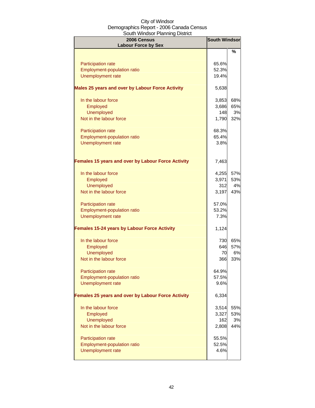| 2006 Census<br><b>Labour Force by Sex</b>           | <b>South Windsor</b> |     |
|-----------------------------------------------------|----------------------|-----|
|                                                     |                      | %   |
|                                                     | 65.6%                |     |
| <b>Participation rate</b>                           | 52.3%                |     |
| Employment-population ratio<br>Unemployment rate    | 19.4%                |     |
|                                                     |                      |     |
| Males 25 years and over by Labour Force Activity    | 5,638                |     |
| In the labour force                                 | 3,853                | 68% |
| Employed                                            | 3,686                | 65% |
| <b>Unemployed</b>                                   | 148                  | 3%  |
| Not in the labour force                             | 1,790                | 32% |
| Participation rate                                  | 68.3%                |     |
| Employment-population ratio                         | 65.4%                |     |
| Unemployment rate                                   | 3.8%                 |     |
|                                                     |                      |     |
| Females 15 years and over by Labour Force Activity  | 7,463                |     |
| In the labour force                                 | 4,255                | 57% |
| Employed                                            | 3,971                | 53% |
| <b>Unemployed</b>                                   | 312                  | 4%  |
| Not in the labour force                             | 3,197                | 43% |
| Participation rate                                  | 57.0%                |     |
| Employment-population ratio                         | 53.2%                |     |
| <b>Unemployment rate</b>                            | 7.3%                 |     |
| <b>Females 15-24 years by Labour Force Activity</b> | 1,124                |     |
|                                                     |                      |     |
| In the labour force                                 | 730                  | 65% |
| Employed                                            | 646                  | 57% |
| <b>Unemployed</b>                                   | 70                   | 6%  |
| Not in the labour force                             | 366                  | 33% |
| Participation rate                                  | 64.9%                |     |
| Employment-population ratio                         | 57.5%                |     |
| Unemployment rate                                   | 9.6%                 |     |
| Females 25 years and over by Labour Force Activity  | 6,334                |     |
| In the labour force                                 | 3,514                | 55% |
| Employed                                            | 3,327                | 53% |
| <b>Unemployed</b>                                   | 162                  | 3%  |
| Not in the labour force                             | 2,808                | 44% |
| Participation rate                                  | 55.5%                |     |
| Employment-population ratio                         | 52.5%                |     |
| <b>Unemployment rate</b>                            | 4.6%                 |     |
|                                                     |                      |     |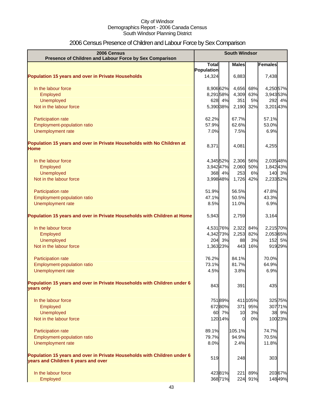# 2006 Census Presence of Children and Labour Force by Sex Comparison

| 2006 Census<br>Presence of Children and Labour Force by Sex Comparison                                          | <b>South Windsor</b> |         |              |          |           |  |
|-----------------------------------------------------------------------------------------------------------------|----------------------|---------|--------------|----------|-----------|--|
|                                                                                                                 | <b>Total</b>         |         | <b>Males</b> |          | Females   |  |
|                                                                                                                 | Population           |         |              |          |           |  |
| <b>Population 15 years and over in Private Households</b>                                                       | 14,324               |         | 6,883        |          | 7,438     |  |
| In the labour force                                                                                             | 8,90662%             |         | 4,656        | 68%      | 4,25057%  |  |
| Employed                                                                                                        | 8,29158%             |         | 4,309        | 63%      | 3,943 53% |  |
| Unemployed                                                                                                      |                      | 628 4%  | 351          | 5%       | 292 4%    |  |
| Not in the labour force                                                                                         | 5,390 38%            |         | 2,190        | 32%      | 3,20143%  |  |
| Participation rate                                                                                              | 62.2%                |         | 67.7%        |          | 57.1%     |  |
| Employment-population ratio                                                                                     | 57.9%                |         | 62.6%        |          | 53.0%     |  |
| Unemployment rate                                                                                               | 7.0%                 |         | 7.5%         |          | 6.9%      |  |
| Population 15 years and over in Private Households with No Children at<br><b>Home</b>                           | 8,371                |         | 4,081        |          | 4,255     |  |
| In the labour force                                                                                             | 4,345 52%            |         | 2,306        | 56%      | 2,035 48% |  |
| Employed                                                                                                        | 3,942 47%            |         | 2,060        | 50%      | 1,84243%  |  |
| <b>Unemployed</b>                                                                                               |                      | 368 4%  | 253          | 6%       | 140 3%    |  |
| Not in the labour force                                                                                         | 3,998 48%            |         | 1,726        | 42%      | 2,233 52% |  |
| Participation rate                                                                                              | 51.9%                |         | 56.5%        |          | 47.8%     |  |
| Employment-population ratio                                                                                     | 47.1%                |         | 50.5%        |          | 43.3%     |  |
| Unemployment rate                                                                                               | 8.5%                 |         | 11.0%        |          | 6.9%      |  |
| Population 15 years and over in Private Households with Children at Home                                        | 5,943                |         | 2,759        |          | 3,164     |  |
| In the labour force                                                                                             | 4,531 76%            |         | 2,322        | 84%      | 2,215 70% |  |
| Employed                                                                                                        | 4,342 73%            |         | 2,253        | 82%      | 2,05365%  |  |
| <b>Unemployed</b>                                                                                               |                      | 204 3%  | 88           | 3%       | 152 5%    |  |
| Not in the labour force                                                                                         | 1,363 23%            |         | 443          | 16%      | 919 29%   |  |
| Participation rate                                                                                              | 76.2%                |         | 84.1%        |          | 70.0%     |  |
| Employment-population ratio                                                                                     | 73.1%                |         | 81.7%        |          | 64.9%     |  |
| Unemployment rate                                                                                               | 4.5%                 |         | 3.8%         |          | 6.9%      |  |
| Population 15 years and over in Private Households with Children under 6<br>years only                          | 843                  |         | 391          |          | 435       |  |
| In the labour force                                                                                             |                      | 75189%  |              | 411 105% | 325 75%   |  |
| Employed                                                                                                        |                      | 67280%  | 371          | 95%      | 307 71%   |  |
| Unemployed                                                                                                      |                      | 60 7%   | 10           | 3%       | 38 9%     |  |
| Not in the labour force                                                                                         |                      | 120 14% | $\Omega$     | 0%       | 100 23%   |  |
| Participation rate                                                                                              | 89.1%                |         | 105.1%       |          | 74.7%     |  |
| Employment-population ratio                                                                                     | 79.7%                |         | 94.9%        |          | 70.5%     |  |
| Unemployment rate                                                                                               | 8.0%                 |         | 2.4%         |          | 11.8%     |  |
| Population 15 years and over in Private Households with Children under 6<br>years and Children 6 years and over | 519                  |         | 248          |          | 303       |  |
| In the labour force                                                                                             |                      | 42381%  | 221          | 89%      | 203 67%   |  |
| Employed                                                                                                        |                      | 36871%  |              | 224 91%  | 148 49%   |  |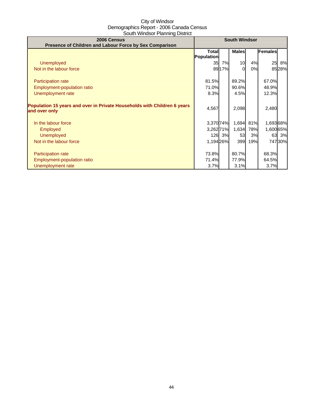| 2006 Census                                                              |              |        | <b>South Windsor</b> |     |                |        |
|--------------------------------------------------------------------------|--------------|--------|----------------------|-----|----------------|--------|
| Presence of Children and Labour Force by Sex Comparison                  |              |        |                      |     |                |        |
|                                                                          | <b>Total</b> |        | <b>Males</b>         |     | <b>Females</b> |        |
|                                                                          | Population   |        |                      |     |                |        |
| <b>Unemployed</b>                                                        | 35           | 7%     | 10                   | 4%  | 25             | 8%     |
| Not in the labour force                                                  |              | 89 17% | 0                    | 0%  |                | 8528%  |
|                                                                          |              |        |                      |     |                |        |
| <b>Participation rate</b>                                                | 81.5%        |        | 89.2%                |     | 67.0%          |        |
| Employment-population ratio                                              | 71.0%        |        | 90.6%                |     | 48.9%          |        |
| Unemployment rate                                                        | 8.3%         |        | 4.5%                 |     | 12.3%          |        |
|                                                                          |              |        |                      |     |                |        |
| Population 15 years and over in Private Households with Children 6 years |              |        |                      |     |                |        |
| and over only                                                            | 4,567        |        | 2,098                |     | 2,480          |        |
|                                                                          |              |        |                      |     |                |        |
| In the labour force                                                      | 3,370 74%    |        | 1,694                | 81% | 1,69368%       |        |
| <b>Employed</b>                                                          | 3,26271%     |        | 1,634                | 78% | 1,600 65%      |        |
| <b>Unemployed</b>                                                        |              | 126 3% | 53                   | 3%  |                | 63 3%  |
|                                                                          |              |        |                      |     |                |        |
| Not in the labour force                                                  | 1,19426%     |        | 399                  | 19% |                | 74730% |
|                                                                          |              |        |                      |     |                |        |
| <b>Participation rate</b>                                                | 73.8%        |        | 80.7%                |     | 68.3%          |        |
| Employment-population ratio                                              | 71.4%        |        | 77.9%                |     | 64.5%          |        |
| Unemployment rate                                                        | 3.7%         |        | 3.1%                 |     | 3.7%           |        |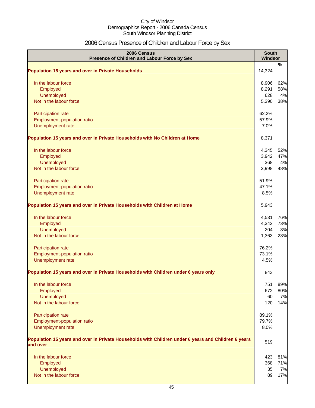# 2006 Census Presence of Children and Labour Force by Sex

| 2006 Census<br>Presence of Children and Labour Force by Sex                                                     | <b>South</b><br>Windsor |      |
|-----------------------------------------------------------------------------------------------------------------|-------------------------|------|
| <b>Population 15 years and over in Private Households</b>                                                       | 14,324                  | $\%$ |
| In the labour force                                                                                             | 8,906                   | 62%  |
| Employed                                                                                                        | 8,291                   | 58%  |
| Unemployed                                                                                                      | 628                     | 4%   |
| Not in the labour force                                                                                         | 5,390                   | 38%  |
| Participation rate                                                                                              | 62.2%                   |      |
| Employment-population ratio                                                                                     | 57.9%                   |      |
| Unemployment rate                                                                                               | 7.0%                    |      |
| Population 15 years and over in Private Households with No Children at Home                                     | 8,371                   |      |
| In the labour force                                                                                             | 4,345                   | 52%  |
| Employed                                                                                                        | 3,942                   | 47%  |
| Unemployed                                                                                                      | 368                     | 4%   |
| Not in the labour force                                                                                         | 3,998                   | 48%  |
| Participation rate                                                                                              | 51.9%                   |      |
| Employment-population ratio                                                                                     | 47.1%                   |      |
| Unemployment rate                                                                                               | 8.5%                    |      |
| Population 15 years and over in Private Households with Children at Home                                        | 5,943                   |      |
| In the labour force                                                                                             | 4,531                   | 76%  |
| Employed                                                                                                        | 4,342                   | 73%  |
| Unemployed                                                                                                      | 204                     | 3%   |
| Not in the labour force                                                                                         | 1,363                   | 23%  |
| Participation rate                                                                                              | 76.2%                   |      |
| Employment-population ratio                                                                                     | 73.1%                   |      |
| Unemployment rate                                                                                               | 4.5%                    |      |
| Population 15 years and over in Private Households with Children under 6 years only                             | 843                     |      |
| In the labour force                                                                                             | 751                     | 89%  |
| Employed                                                                                                        | 672                     | 80%  |
| Unemployed                                                                                                      | 60                      | 7%   |
| Not in the labour force                                                                                         | 120                     | 14%  |
| Participation rate                                                                                              | 89.1%                   |      |
| Employment-population ratio                                                                                     | 79.7%                   |      |
| Unemployment rate                                                                                               | 8.0%                    |      |
| Population 15 years and over in Private Households with Children under 6 years and Children 6 years<br>and over | 519                     |      |
| In the labour force                                                                                             | 423                     | 81%  |
| Employed                                                                                                        | 368                     | 71%  |
| Unemployed                                                                                                      | 35                      | 7%   |
| Not in the labour force                                                                                         | 89                      | 17%  |
|                                                                                                                 |                         |      |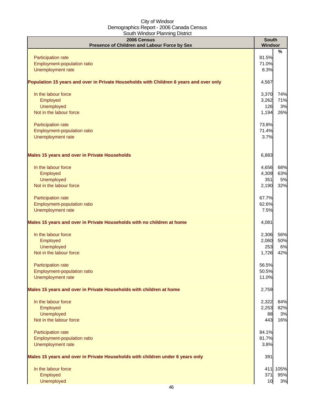| %<br>81.5%<br>Participation rate<br>Employment-population ratio<br>71.0%<br>Unemployment rate<br>8.3%<br>4,567<br>In the labour force<br>3,370<br>74%<br>Employed<br>3,262<br>71%<br>Unemployed<br>126<br>3%<br>Not in the labour force<br>1,194<br>26%<br>73.8%<br>Participation rate<br>Employment-population ratio<br>71.4%<br>Unemployment rate<br>3.7%<br>6,883<br>68%<br>In the labour force<br>4,656<br>63%<br>Employed<br>4,309<br>Unemployed<br>5%<br>351<br>Not in the labour force<br>32%<br>2,190<br>Participation rate<br>67.7%<br>Employment-population ratio<br>62.6%<br>Unemployment rate<br>7.5%<br>4,081<br>In the labour force<br>56%<br>2,306<br>50%<br>Employed<br>2,060<br>Unemployed<br>253<br>6%<br>Not in the labour force<br>1,726<br>42%<br>56.5%<br><b>Participation rate</b><br>Employment-population ratio<br>50.5%<br>Unemployment rate<br>11.0%<br>2,759<br>In the labour force<br>2,322<br>Employed<br>2,253<br>Unemployed<br>88<br>Not in the labour force<br>443<br>Participation rate<br>84.1%<br>Employment-population ratio<br>81.7%<br>Unemployment rate<br>3.8%<br>391<br>In the labour force<br>Employed<br>371<br>Unemployed<br>10 | 2006 Census<br>Presence of Children and Labour Force by Sex                            | <b>South</b><br><b>Windsor</b> |  |
|------------------------------------------------------------------------------------------------------------------------------------------------------------------------------------------------------------------------------------------------------------------------------------------------------------------------------------------------------------------------------------------------------------------------------------------------------------------------------------------------------------------------------------------------------------------------------------------------------------------------------------------------------------------------------------------------------------------------------------------------------------------------------------------------------------------------------------------------------------------------------------------------------------------------------------------------------------------------------------------------------------------------------------------------------------------------------------------------------------------------------------------------------------------------------|----------------------------------------------------------------------------------------|--------------------------------|--|
|                                                                                                                                                                                                                                                                                                                                                                                                                                                                                                                                                                                                                                                                                                                                                                                                                                                                                                                                                                                                                                                                                                                                                                              |                                                                                        |                                |  |
|                                                                                                                                                                                                                                                                                                                                                                                                                                                                                                                                                                                                                                                                                                                                                                                                                                                                                                                                                                                                                                                                                                                                                                              |                                                                                        |                                |  |
|                                                                                                                                                                                                                                                                                                                                                                                                                                                                                                                                                                                                                                                                                                                                                                                                                                                                                                                                                                                                                                                                                                                                                                              |                                                                                        |                                |  |
|                                                                                                                                                                                                                                                                                                                                                                                                                                                                                                                                                                                                                                                                                                                                                                                                                                                                                                                                                                                                                                                                                                                                                                              | Population 15 years and over in Private Households with Children 6 years and over only |                                |  |
|                                                                                                                                                                                                                                                                                                                                                                                                                                                                                                                                                                                                                                                                                                                                                                                                                                                                                                                                                                                                                                                                                                                                                                              |                                                                                        |                                |  |
|                                                                                                                                                                                                                                                                                                                                                                                                                                                                                                                                                                                                                                                                                                                                                                                                                                                                                                                                                                                                                                                                                                                                                                              |                                                                                        |                                |  |
|                                                                                                                                                                                                                                                                                                                                                                                                                                                                                                                                                                                                                                                                                                                                                                                                                                                                                                                                                                                                                                                                                                                                                                              |                                                                                        |                                |  |
|                                                                                                                                                                                                                                                                                                                                                                                                                                                                                                                                                                                                                                                                                                                                                                                                                                                                                                                                                                                                                                                                                                                                                                              |                                                                                        |                                |  |
|                                                                                                                                                                                                                                                                                                                                                                                                                                                                                                                                                                                                                                                                                                                                                                                                                                                                                                                                                                                                                                                                                                                                                                              |                                                                                        |                                |  |
|                                                                                                                                                                                                                                                                                                                                                                                                                                                                                                                                                                                                                                                                                                                                                                                                                                                                                                                                                                                                                                                                                                                                                                              |                                                                                        |                                |  |
|                                                                                                                                                                                                                                                                                                                                                                                                                                                                                                                                                                                                                                                                                                                                                                                                                                                                                                                                                                                                                                                                                                                                                                              |                                                                                        |                                |  |
|                                                                                                                                                                                                                                                                                                                                                                                                                                                                                                                                                                                                                                                                                                                                                                                                                                                                                                                                                                                                                                                                                                                                                                              | <b>Males 15 years and over in Private Households</b>                                   |                                |  |
|                                                                                                                                                                                                                                                                                                                                                                                                                                                                                                                                                                                                                                                                                                                                                                                                                                                                                                                                                                                                                                                                                                                                                                              |                                                                                        |                                |  |
|                                                                                                                                                                                                                                                                                                                                                                                                                                                                                                                                                                                                                                                                                                                                                                                                                                                                                                                                                                                                                                                                                                                                                                              |                                                                                        |                                |  |
|                                                                                                                                                                                                                                                                                                                                                                                                                                                                                                                                                                                                                                                                                                                                                                                                                                                                                                                                                                                                                                                                                                                                                                              |                                                                                        |                                |  |
|                                                                                                                                                                                                                                                                                                                                                                                                                                                                                                                                                                                                                                                                                                                                                                                                                                                                                                                                                                                                                                                                                                                                                                              |                                                                                        |                                |  |
|                                                                                                                                                                                                                                                                                                                                                                                                                                                                                                                                                                                                                                                                                                                                                                                                                                                                                                                                                                                                                                                                                                                                                                              |                                                                                        |                                |  |
|                                                                                                                                                                                                                                                                                                                                                                                                                                                                                                                                                                                                                                                                                                                                                                                                                                                                                                                                                                                                                                                                                                                                                                              |                                                                                        |                                |  |
|                                                                                                                                                                                                                                                                                                                                                                                                                                                                                                                                                                                                                                                                                                                                                                                                                                                                                                                                                                                                                                                                                                                                                                              |                                                                                        |                                |  |
|                                                                                                                                                                                                                                                                                                                                                                                                                                                                                                                                                                                                                                                                                                                                                                                                                                                                                                                                                                                                                                                                                                                                                                              | Males 15 years and over in Private Households with no children at home                 |                                |  |
|                                                                                                                                                                                                                                                                                                                                                                                                                                                                                                                                                                                                                                                                                                                                                                                                                                                                                                                                                                                                                                                                                                                                                                              |                                                                                        |                                |  |
|                                                                                                                                                                                                                                                                                                                                                                                                                                                                                                                                                                                                                                                                                                                                                                                                                                                                                                                                                                                                                                                                                                                                                                              |                                                                                        |                                |  |
|                                                                                                                                                                                                                                                                                                                                                                                                                                                                                                                                                                                                                                                                                                                                                                                                                                                                                                                                                                                                                                                                                                                                                                              |                                                                                        |                                |  |
|                                                                                                                                                                                                                                                                                                                                                                                                                                                                                                                                                                                                                                                                                                                                                                                                                                                                                                                                                                                                                                                                                                                                                                              |                                                                                        |                                |  |
|                                                                                                                                                                                                                                                                                                                                                                                                                                                                                                                                                                                                                                                                                                                                                                                                                                                                                                                                                                                                                                                                                                                                                                              |                                                                                        |                                |  |
|                                                                                                                                                                                                                                                                                                                                                                                                                                                                                                                                                                                                                                                                                                                                                                                                                                                                                                                                                                                                                                                                                                                                                                              |                                                                                        |                                |  |
|                                                                                                                                                                                                                                                                                                                                                                                                                                                                                                                                                                                                                                                                                                                                                                                                                                                                                                                                                                                                                                                                                                                                                                              |                                                                                        |                                |  |
| 84%<br>82%<br>3%<br>16%<br>411 105%<br>95%<br>3%                                                                                                                                                                                                                                                                                                                                                                                                                                                                                                                                                                                                                                                                                                                                                                                                                                                                                                                                                                                                                                                                                                                             | Males 15 years and over in Private Households with children at home                    |                                |  |
|                                                                                                                                                                                                                                                                                                                                                                                                                                                                                                                                                                                                                                                                                                                                                                                                                                                                                                                                                                                                                                                                                                                                                                              |                                                                                        |                                |  |
|                                                                                                                                                                                                                                                                                                                                                                                                                                                                                                                                                                                                                                                                                                                                                                                                                                                                                                                                                                                                                                                                                                                                                                              |                                                                                        |                                |  |
|                                                                                                                                                                                                                                                                                                                                                                                                                                                                                                                                                                                                                                                                                                                                                                                                                                                                                                                                                                                                                                                                                                                                                                              |                                                                                        |                                |  |
|                                                                                                                                                                                                                                                                                                                                                                                                                                                                                                                                                                                                                                                                                                                                                                                                                                                                                                                                                                                                                                                                                                                                                                              |                                                                                        |                                |  |
|                                                                                                                                                                                                                                                                                                                                                                                                                                                                                                                                                                                                                                                                                                                                                                                                                                                                                                                                                                                                                                                                                                                                                                              |                                                                                        |                                |  |
|                                                                                                                                                                                                                                                                                                                                                                                                                                                                                                                                                                                                                                                                                                                                                                                                                                                                                                                                                                                                                                                                                                                                                                              |                                                                                        |                                |  |
|                                                                                                                                                                                                                                                                                                                                                                                                                                                                                                                                                                                                                                                                                                                                                                                                                                                                                                                                                                                                                                                                                                                                                                              |                                                                                        |                                |  |
|                                                                                                                                                                                                                                                                                                                                                                                                                                                                                                                                                                                                                                                                                                                                                                                                                                                                                                                                                                                                                                                                                                                                                                              | Males 15 years and over in Private Households with children under 6 years only         |                                |  |
|                                                                                                                                                                                                                                                                                                                                                                                                                                                                                                                                                                                                                                                                                                                                                                                                                                                                                                                                                                                                                                                                                                                                                                              |                                                                                        |                                |  |
|                                                                                                                                                                                                                                                                                                                                                                                                                                                                                                                                                                                                                                                                                                                                                                                                                                                                                                                                                                                                                                                                                                                                                                              |                                                                                        |                                |  |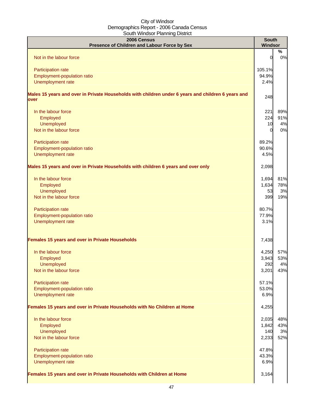| 2006 Census<br>Presence of Children and Labour Force by Sex                                                | <b>South</b><br>Windsor |         |
|------------------------------------------------------------------------------------------------------------|-------------------------|---------|
| Not in the labour force                                                                                    | $\overline{0}$          | %<br>0% |
|                                                                                                            |                         |         |
| Participation rate                                                                                         | 105.1%                  |         |
| Employment-population ratio                                                                                | 94.9%                   |         |
| Unemployment rate                                                                                          | 2.4%                    |         |
| Males 15 years and over in Private Households with children under 6 years and children 6 years and<br>over | 248                     |         |
| In the labour force                                                                                        | 221                     | 89%     |
| Employed                                                                                                   | 224                     | 91%     |
| Unemployed                                                                                                 | 10                      | 4%      |
| Not in the labour force                                                                                    | $\Omega$                | 0%      |
|                                                                                                            |                         |         |
| Participation rate                                                                                         | 89.2%                   |         |
| Employment-population ratio                                                                                | 90.6%                   |         |
| Unemployment rate                                                                                          | 4.5%                    |         |
| Males 15 years and over in Private Households with children 6 years and over only                          | 2,098                   |         |
| In the labour force                                                                                        | 1,694                   | 81%     |
| Employed                                                                                                   | 1,634                   | 78%     |
| <b>Unemployed</b>                                                                                          | 53                      | 3%      |
| Not in the labour force                                                                                    | 399                     | 19%     |
| Participation rate                                                                                         | 80.7%                   |         |
| Employment-population ratio                                                                                | 77.9%                   |         |
| Unemployment rate                                                                                          | 3.1%                    |         |
|                                                                                                            |                         |         |
| Females 15 years and over in Private Households                                                            | 7,438                   |         |
| In the labour force                                                                                        | 4,250                   | 57%     |
| Employed                                                                                                   | 3,943                   | 53%     |
| Unemployed                                                                                                 | 292                     | 4%      |
| Not in the labour force                                                                                    | 3,201                   | 43%     |
|                                                                                                            |                         |         |
| Participation rate                                                                                         | 57.1%                   |         |
| Employment-population ratio                                                                                | 53.0%                   |         |
| Unemployment rate                                                                                          | 6.9%                    |         |
| Females 15 years and over in Private Households with No Children at Home                                   | 4,255                   |         |
| In the labour force                                                                                        | 2,035                   | 48%     |
| Employed                                                                                                   | 1,842                   | 43%     |
| Unemployed                                                                                                 | 140                     | 3%      |
| Not in the labour force                                                                                    | 2,233                   | 52%     |
|                                                                                                            |                         |         |
| Participation rate                                                                                         | 47.8%                   |         |
| Employment-population ratio                                                                                | 43.3%                   |         |
| Unemployment rate                                                                                          | 6.9%                    |         |
| Females 15 years and over in Private Households with Children at Home                                      | 3,164                   |         |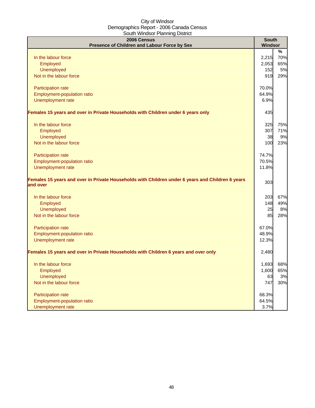| 2006 Census<br>Presence of Children and Labour Force by Sex                                                  | <b>South</b><br>Windsor |     |
|--------------------------------------------------------------------------------------------------------------|-------------------------|-----|
|                                                                                                              |                         | %   |
| In the labour force                                                                                          | 2,215                   | 70% |
| Employed                                                                                                     | 2,053                   | 65% |
| Unemployed                                                                                                   | 152                     | 5%  |
| Not in the labour force                                                                                      | 919                     | 29% |
| Participation rate                                                                                           | 70.0%                   |     |
| Employment-population ratio                                                                                  | 64.9%                   |     |
| Unemployment rate                                                                                            | 6.9%                    |     |
| Females 15 years and over in Private Households with Children under 6 years only                             | 435                     |     |
| In the labour force                                                                                          | 325                     | 75% |
| Employed                                                                                                     | 307                     | 71% |
| Unemployed                                                                                                   | 38                      | 9%  |
| Not in the labour force                                                                                      | 100                     | 23% |
| <b>Participation rate</b>                                                                                    | 74.7%                   |     |
| Employment-population ratio                                                                                  | 70.5%                   |     |
| Unemployment rate                                                                                            | 11.8%                   |     |
| Females 15 years and over in Private Households with Children under 6 years and Children 6 years<br>and over | 303                     |     |
| In the labour force                                                                                          | 203                     | 67% |
| Employed                                                                                                     | 148                     | 49% |
| <b>Unemployed</b>                                                                                            | 25                      | 8%  |
| Not in the labour force                                                                                      | 85                      | 28% |
| Participation rate                                                                                           | 67.0%                   |     |
| Employment-population ratio                                                                                  | 48.9%                   |     |
| Unemployment rate                                                                                            | 12.3%                   |     |
| Females 15 years and over in Private Households with Children 6 years and over only                          | 2,480                   |     |
| In the labour force                                                                                          | 1,693                   | 68% |
| Employed                                                                                                     | 1,600                   | 65% |
| <b>Unemployed</b>                                                                                            | 63                      | 3%  |
| Not in the labour force                                                                                      | 747                     | 30% |
| Participation rate                                                                                           | 68.3%                   |     |
| Employment-population ratio                                                                                  | 64.5%                   |     |
| Unemployment rate                                                                                            | 3.7%                    |     |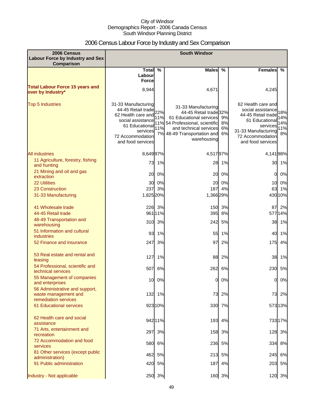# 2006 Census Labour Force by Industry and Sex Comparison

| 2006 Census<br><b>Labour Force by Industry and Sex</b><br><b>Comparison</b>    | <b>South Windsor</b>                                                                                                                                        |                          |                                                                                                                                                                                 |                      |                                                                                                                                                             |                                |
|--------------------------------------------------------------------------------|-------------------------------------------------------------------------------------------------------------------------------------------------------------|--------------------------|---------------------------------------------------------------------------------------------------------------------------------------------------------------------------------|----------------------|-------------------------------------------------------------------------------------------------------------------------------------------------------------|--------------------------------|
|                                                                                | Total %                                                                                                                                                     |                          | <b>Males</b>                                                                                                                                                                    | $\%$                 | <b>Females</b>                                                                                                                                              | $\mathcal{C}_{\infty}$         |
|                                                                                | Labour<br><b>Force</b>                                                                                                                                      |                          |                                                                                                                                                                                 |                      |                                                                                                                                                             |                                |
| <b>Total Labour Force 15 years and</b><br>over by Industry*                    | 8,944                                                                                                                                                       |                          | 4,671                                                                                                                                                                           |                      | 4,245                                                                                                                                                       |                                |
| <b>Top 5 Industries</b>                                                        | 31-33 Manufacturing<br>44-45 Retail trade<br>62 Health care and<br>social assistance<br>61 Educational<br>services<br>72 Accommodation<br>and food services | 22%<br>11%<br>11%<br>11% | 31-33 Manufacturing<br>44-45 Retail trade 32%<br>61 Educational services<br>54 Professional, scientific<br>and technical services<br>7% 48-49 Transportation and<br>warehousing | 9%<br>8%<br>6%<br>6% | 62 Health care and<br>social assistance<br>44-45 Retail trade<br>61 Educational<br>services<br>31-33 Manufacturing<br>72 Accommodation<br>and food services | 18%<br>14%<br>14%<br>11%<br>8% |
| <b>All industries</b>                                                          | 8,649 97%                                                                                                                                                   |                          | 4,51797%                                                                                                                                                                        |                      | 4,14198%                                                                                                                                                    |                                |
| 11 Agriculture, forestry, fishing<br>and hunting                               | 73                                                                                                                                                          | 1%                       |                                                                                                                                                                                 | 28 1%                |                                                                                                                                                             | 30 1%                          |
| 21 Mining and oil and gas<br>extraction                                        | 20                                                                                                                                                          | 0%                       | 20                                                                                                                                                                              | 0%                   | 0                                                                                                                                                           | 0%                             |
| <b>22 Utilities</b>                                                            | 30                                                                                                                                                          | 0%                       | 20                                                                                                                                                                              | 0%                   | 10                                                                                                                                                          | 0%                             |
| 23 Construction                                                                | 237                                                                                                                                                         | 3%                       | 187                                                                                                                                                                             | 4%                   | 63                                                                                                                                                          | 1%                             |
| 31-33 Manufacturing                                                            | 1,825 20%                                                                                                                                                   |                          | 1,366 29%                                                                                                                                                                       |                      |                                                                                                                                                             | 430 10%                        |
| 41 Wholesale trade<br>44-45 Retail trade                                       |                                                                                                                                                             | 226 3%<br>961 11%        | 395                                                                                                                                                                             | 150 3%<br>8%         |                                                                                                                                                             | 87 2%<br>577 14%               |
| 48-49 Transportation and<br>warehousing                                        | 310                                                                                                                                                         | 3%                       | 242                                                                                                                                                                             | 5%                   | 38                                                                                                                                                          | 1%                             |
| 51 Information and cultural<br><b>industries</b>                               | 93                                                                                                                                                          | 1%                       | 55                                                                                                                                                                              | 1%                   | 40                                                                                                                                                          | 1%                             |
| 52 Finance and insurance                                                       | 247                                                                                                                                                         | 3%                       | 97                                                                                                                                                                              | 2%                   | 175                                                                                                                                                         | 4%                             |
| 53 Real estate and rental and<br>leasing                                       | 127                                                                                                                                                         | 1%                       | 88                                                                                                                                                                              | 2%                   | 38                                                                                                                                                          | 1%                             |
| 54 Professional, scientific and<br>technical services                          | 507                                                                                                                                                         | 6%                       |                                                                                                                                                                                 | 262 6%               |                                                                                                                                                             | 230 5%                         |
| 55 Management of companies<br>and enterprises                                  |                                                                                                                                                             | 10 0%                    |                                                                                                                                                                                 | 0 0%                 | UI                                                                                                                                                          | U%                             |
| 56 Administrative and support,<br>waste management and<br>remediation services |                                                                                                                                                             | 132 1%                   | 73                                                                                                                                                                              | 2%                   | 73                                                                                                                                                          | 2%                             |
| <b>61 Educational services</b>                                                 |                                                                                                                                                             | 923 10%                  |                                                                                                                                                                                 | 330 7%               |                                                                                                                                                             | 573 13%                        |
| 62 Health care and social<br>assistance                                        |                                                                                                                                                             | 942 11%                  |                                                                                                                                                                                 | 193 4%               |                                                                                                                                                             | 733 17%                        |
| 71 Arts, entertainment and<br>recreation                                       | 297                                                                                                                                                         | 3%                       |                                                                                                                                                                                 | 158 3%               |                                                                                                                                                             | 128 3%                         |
| 72 Accommodation and food<br>services                                          | 580                                                                                                                                                         | 6%                       |                                                                                                                                                                                 | 236 5%               | 334                                                                                                                                                         | 8%                             |
| 81 Other services (except public<br>administration)                            | 462                                                                                                                                                         | 5%                       |                                                                                                                                                                                 | 213 5%               | 245                                                                                                                                                         | 6%                             |
| 91 Public administration                                                       | 420                                                                                                                                                         | 5%                       |                                                                                                                                                                                 | 187 4%               |                                                                                                                                                             | 203 5%                         |
| Industry - Not applicable                                                      |                                                                                                                                                             | 250 3%                   |                                                                                                                                                                                 | 160 3%               |                                                                                                                                                             | 120 3%                         |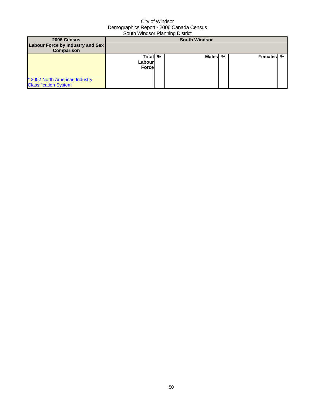| 2006 Census<br>Labour Force by Industry and Sex<br><b>Comparison</b> | <b>South Windsor</b>              |   |         |  |           |  |
|----------------------------------------------------------------------|-----------------------------------|---|---------|--|-----------|--|
| * 2002 North American Industry<br><b>Classification System</b>       | Total<br>Labourl<br><b>Forcel</b> | % | Males % |  | Females % |  |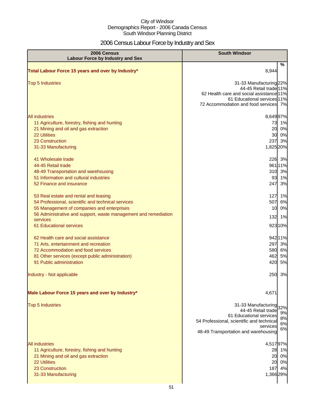# 2006 Census Labour Force by Industry and Sex

| 2006 Census<br><b>Labour Force by Industry and Sex</b>                                                                                                                                                                                              | <b>South Windsor</b>                                                                                                                                                                              |
|-----------------------------------------------------------------------------------------------------------------------------------------------------------------------------------------------------------------------------------------------------|---------------------------------------------------------------------------------------------------------------------------------------------------------------------------------------------------|
| Total Labour Force 15 years and over by Industry*                                                                                                                                                                                                   | $\%$<br>8,944                                                                                                                                                                                     |
| <b>Top 5 Industries</b>                                                                                                                                                                                                                             | 31-33 Manufacturing 22%<br>44-45 Retail trade 11%<br>62 Health care and social assistance 11%<br>61 Educational services 11%<br>72 Accommodation and food services 7%                             |
| <b>All industries</b><br>11 Agriculture, forestry, fishing and hunting<br>21 Mining and oil and gas extraction<br><b>22 Utilities</b><br>23 Construction<br>31-33 Manufacturing<br>41 Wholesale trade                                               | 8,649 97%<br>73<br>1%<br>20<br>0%<br>30<br>0%<br>3%<br>237<br>1,825 20%<br>226 3%                                                                                                                 |
| 44-45 Retail trade<br>48-49 Transportation and warehousing<br>51 Information and cultural industries<br>52 Finance and insurance                                                                                                                    | 961 11%<br>310 3%<br>1%<br>93<br>3%<br>247                                                                                                                                                        |
| 53 Real estate and rental and leasing<br>54 Professional, scientific and technical services<br>55 Management of companies and enterprises<br>56 Administrative and support, waste management and remediation<br>services<br>61 Educational services | 1%<br>127<br>6%<br>507<br>0%<br>10<br>132<br>1%<br>923 10%                                                                                                                                        |
| 62 Health care and social assistance<br>71 Arts, entertainment and recreation<br>72 Accommodation and food services<br>81 Other services (except public administration)<br>91 Public administration                                                 | 942 11%<br>297<br>3%<br>580 6%<br>462<br>5%<br>420<br>5%                                                                                                                                          |
| Industry - Not applicable                                                                                                                                                                                                                           | 250<br>3%                                                                                                                                                                                         |
| Male Labour Force 15 years and over by Industry*                                                                                                                                                                                                    | 4,671                                                                                                                                                                                             |
| <b>Top 5 Industries</b>                                                                                                                                                                                                                             | 31-33 Manufacturing 32%<br>44-45 Retail trade<br>9%<br>61 Educational services<br>8%<br>54 Professional, scientific and technical<br>6%<br>services<br>6%<br>48-49 Transportation and warehousing |
| <b>All industries</b><br>11 Agriculture, forestry, fishing and hunting<br>21 Mining and oil and gas extraction<br>22 Utilities<br>23 Construction<br>31-33 Manufacturing                                                                            | 4,51797%<br>28<br>1%<br>0%<br>20<br>0%<br>20<br>4%<br>187<br>1,366 29%                                                                                                                            |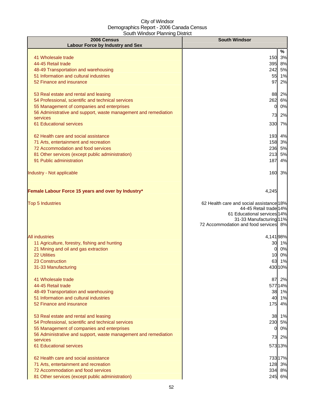| 2006 Census<br><b>Labour Force by Industry and Sex</b>                      | <b>South Windsor</b>                                             |         |  |  |
|-----------------------------------------------------------------------------|------------------------------------------------------------------|---------|--|--|
|                                                                             |                                                                  | %       |  |  |
| 41 Wholesale trade                                                          | 150                                                              | 3%      |  |  |
| 44-45 Retail trade                                                          |                                                                  | 395 8%  |  |  |
| 48-49 Transportation and warehousing                                        |                                                                  | 242 5%  |  |  |
| 51 Information and cultural industries                                      | 55                                                               | 1%      |  |  |
| 52 Finance and insurance                                                    | 97                                                               | 2%      |  |  |
| 53 Real estate and rental and leasing                                       |                                                                  | 88 2%   |  |  |
| 54 Professional, scientific and technical services                          |                                                                  | 262 6%  |  |  |
| 55 Management of companies and enterprises                                  | 0                                                                | 0%      |  |  |
| 56 Administrative and support, waste management and remediation             | 73                                                               | 2%      |  |  |
| services                                                                    |                                                                  |         |  |  |
| 61 Educational services                                                     |                                                                  | 330 7%  |  |  |
| 62 Health care and social assistance                                        |                                                                  | 193 4%  |  |  |
| 71 Arts, entertainment and recreation                                       |                                                                  | 158 3%  |  |  |
| 72 Accommodation and food services                                          | 236                                                              | 5%      |  |  |
| 81 Other services (except public administration)                            | 213                                                              | 5%      |  |  |
| 91 Public administration                                                    | 187                                                              | 4%      |  |  |
| Industry - Not applicable                                                   |                                                                  | 160 3%  |  |  |
| Female Labour Force 15 years and over by Industry*                          | 4,245                                                            |         |  |  |
| <b>Top 5 Industries</b>                                                     | 62 Health care and social assistance 18%                         |         |  |  |
|                                                                             | 44-45 Retail trade 14%                                           |         |  |  |
|                                                                             | 61 Educational services 14%                                      |         |  |  |
|                                                                             | 31-33 Manufacturing 11%<br>72 Accommodation and food services 8% |         |  |  |
|                                                                             |                                                                  |         |  |  |
| <b>All industries</b>                                                       | 4,14198%                                                         |         |  |  |
| 11 Agriculture, forestry, fishing and hunting                               |                                                                  | 30 1%   |  |  |
| 21 Mining and oil and gas extraction                                        | $\overline{0}$                                                   | 0%      |  |  |
| 22 Utilities                                                                |                                                                  | 10 0%   |  |  |
| 23 Construction                                                             |                                                                  | 63 1%   |  |  |
| 31-33 Manufacturing                                                         |                                                                  | 430 10% |  |  |
| 41 Wholesale trade                                                          |                                                                  | 87 2%   |  |  |
| 44-45 Retail trade                                                          |                                                                  | 577 14% |  |  |
| 48-49 Transportation and warehousing                                        |                                                                  | 38 1%   |  |  |
| 51 Information and cultural industries                                      |                                                                  | 40 1%   |  |  |
| 52 Finance and insurance                                                    |                                                                  | 175 4%  |  |  |
| 53 Real estate and rental and leasing                                       |                                                                  | 38 1%   |  |  |
| 54 Professional, scientific and technical services                          |                                                                  | 230 5%  |  |  |
| 55 Management of companies and enterprises                                  | 0                                                                | 0%      |  |  |
| 56 Administrative and support, waste management and remediation<br>services |                                                                  | 73 2%   |  |  |
| 61 Educational services                                                     |                                                                  | 573 13% |  |  |
| 62 Health care and social assistance                                        |                                                                  | 733 17% |  |  |
| 71 Arts, entertainment and recreation                                       |                                                                  | 128 3%  |  |  |
| 72 Accommodation and food services                                          |                                                                  | 334 8%  |  |  |
| 81 Other services (except public administration)                            |                                                                  | 245 6%  |  |  |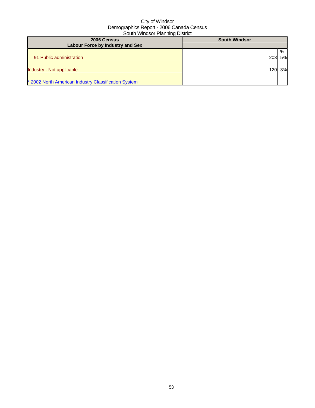| 2006 Census<br><b>Labour Force by Industry and Sex</b> | <b>South Windsor</b> |    |
|--------------------------------------------------------|----------------------|----|
|                                                        |                      |    |
|                                                        |                      | %  |
| 91 Public administration                               | 203                  | 5% |
|                                                        |                      |    |
|                                                        |                      |    |
| Industry - Not applicable                              | 120                  | 3% |
|                                                        |                      |    |
| * 2002 North American Industry Classification System   |                      |    |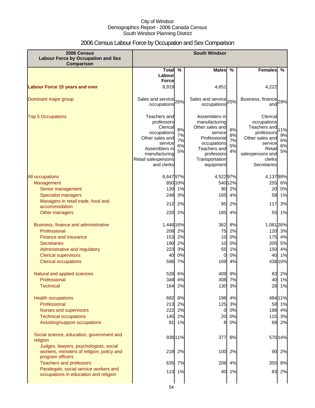# 2006 Census Labour Force by Occupation and Sex Comparison

| 2006 Census<br><b>Labour Force by Occupation and Sex</b><br>Comparison                                   | <b>South Windsor</b>                                                                                                                                       |                            |                                                                                                                                                          |                            |                                                                                                                                                                           |
|----------------------------------------------------------------------------------------------------------|------------------------------------------------------------------------------------------------------------------------------------------------------------|----------------------------|----------------------------------------------------------------------------------------------------------------------------------------------------------|----------------------------|---------------------------------------------------------------------------------------------------------------------------------------------------------------------------|
|                                                                                                          | Total %                                                                                                                                                    |                            | <b>Males</b>                                                                                                                                             | $\%$                       | <b>Females</b><br>%                                                                                                                                                       |
|                                                                                                          | Labour                                                                                                                                                     |                            |                                                                                                                                                          |                            |                                                                                                                                                                           |
|                                                                                                          | <b>Force</b>                                                                                                                                               |                            |                                                                                                                                                          |                            |                                                                                                                                                                           |
| <b>Labour Force 15 years and over</b>                                                                    | 8,919                                                                                                                                                      |                            | 4,651                                                                                                                                                    |                            | 4,222                                                                                                                                                                     |
| Dominant major group                                                                                     | Sales and service 26%<br>occupations                                                                                                                       |                            | Sales and service 25%<br>occupations                                                                                                                     |                            | Business, finance 29%<br>and                                                                                                                                              |
| <b>Top 5 Occupations</b>                                                                                 | Teachers and<br>professors<br>Clerical<br>occupations<br>Other sales and<br>service<br>Assemblers in<br>manufacturing<br>Retail salespersons<br>and clerks | 8%<br>7%<br>7%<br>6%<br>5% | Assemblers in<br>manufacturing<br>Other sales and<br>service<br>Professional<br>occupations<br>Teachers and<br>professors<br>Transportation<br>equipment | 8%<br>8%<br>7%<br>5%<br>4% | Clerical<br>occupations<br>Teachers and<br>11%<br>professors<br>9%<br>Other sales and<br>6%<br>service<br>6%<br>Retail<br>5%<br>salespersons and<br>clerks<br>Secretaries |
| All occupations                                                                                          | 8,64797%                                                                                                                                                   |                            | 4,52297%                                                                                                                                                 |                            | 4,13798%                                                                                                                                                                  |
| Management                                                                                               |                                                                                                                                                            | 850 10%                    |                                                                                                                                                          | 540 12%                    | 255 6%                                                                                                                                                                    |
| Senior management                                                                                        |                                                                                                                                                            | 130 1%                     | 90                                                                                                                                                       | 2%                         | 0%<br>20                                                                                                                                                                  |
| <b>Specialist managers</b>                                                                               | 248                                                                                                                                                        | 3%                         | 165                                                                                                                                                      | 4%                         | 58<br>1%                                                                                                                                                                  |
| Managers in retail trade, food and                                                                       | 212                                                                                                                                                        | 2%                         | 95                                                                                                                                                       | 2%                         | 3%<br>117                                                                                                                                                                 |
| accommodation                                                                                            |                                                                                                                                                            |                            |                                                                                                                                                          |                            |                                                                                                                                                                           |
| Other managers                                                                                           | 220                                                                                                                                                        | 2%                         | 185                                                                                                                                                      | 4%                         | 55<br>1%                                                                                                                                                                  |
| Business, finance and administrative                                                                     | 1,446 16%                                                                                                                                                  |                            | 362                                                                                                                                                      | 8%                         | 1,081 26%                                                                                                                                                                 |
| Professional                                                                                             | 208                                                                                                                                                        | 2%                         | 75                                                                                                                                                       | 2%                         | 120<br>3%                                                                                                                                                                 |
| Finance and insurance                                                                                    | 153                                                                                                                                                        | 2%                         | 10                                                                                                                                                       | 0%                         | 4%<br>175                                                                                                                                                                 |
| <b>Secretaries</b>                                                                                       | 190                                                                                                                                                        | 2%                         | 10                                                                                                                                                       | 0%                         | 205<br>5%                                                                                                                                                                 |
| Administrative and regulatory                                                                            | 223                                                                                                                                                        | 3%                         | 55                                                                                                                                                       | 1%                         | 4%<br>150                                                                                                                                                                 |
| <b>Clerical supervisors</b>                                                                              | 40                                                                                                                                                         | 0%                         | 0                                                                                                                                                        | 0%                         | 1%<br>40                                                                                                                                                                  |
| <b>Clerical occupations</b>                                                                              | 596                                                                                                                                                        | 7%                         | 169                                                                                                                                                      | 4%                         | 438 10%                                                                                                                                                                   |
| Natural and applied sciences                                                                             |                                                                                                                                                            | 528 6%                     | 409                                                                                                                                                      | 9%                         | 83<br>2%                                                                                                                                                                  |
| Professional                                                                                             |                                                                                                                                                            | 348 4%                     | 308                                                                                                                                                      | 7%                         | 1%<br>40I                                                                                                                                                                 |
| <b>Technical</b>                                                                                         | 164                                                                                                                                                        | 2%                         | 130                                                                                                                                                      | 3%                         | 28 1%                                                                                                                                                                     |
| <b>Health occupations</b>                                                                                |                                                                                                                                                            | 682 8%                     |                                                                                                                                                          | 198 4%                     | 484 11%                                                                                                                                                                   |
| Professional                                                                                             |                                                                                                                                                            | 213 2%                     | 125                                                                                                                                                      | 3%                         | 58 1%                                                                                                                                                                     |
| Nurses and supervisors                                                                                   |                                                                                                                                                            | 222 2%                     | 0                                                                                                                                                        | 0%                         | 188 4%                                                                                                                                                                    |
| <b>Technical occupations</b>                                                                             |                                                                                                                                                            | 145 2%                     | 20                                                                                                                                                       | 0%                         | 115 3%                                                                                                                                                                    |
| Assisting/support occupations                                                                            |                                                                                                                                                            | 81 1%                      | 8                                                                                                                                                        | 0%                         | 68 2%                                                                                                                                                                     |
| Social science, education, government and<br>religion                                                    |                                                                                                                                                            | 938 11%                    | 377                                                                                                                                                      | 8%                         | 570 14%                                                                                                                                                                   |
| Judges, lawyers, psychologists, social<br>workers, ministers of religion, policy and<br>program officers |                                                                                                                                                            | 218 2%                     | 100                                                                                                                                                      | 2%                         | 90<br>2%                                                                                                                                                                  |
| <b>Teachers and professors</b>                                                                           |                                                                                                                                                            | 635 7%                     | 208                                                                                                                                                      | 4%                         | 355<br>8%                                                                                                                                                                 |
| Paralegals, social service workers and                                                                   |                                                                                                                                                            | 113 1%                     | 40                                                                                                                                                       | 1%                         | 83 2%                                                                                                                                                                     |
| occupations in education and religion                                                                    |                                                                                                                                                            |                            |                                                                                                                                                          |                            |                                                                                                                                                                           |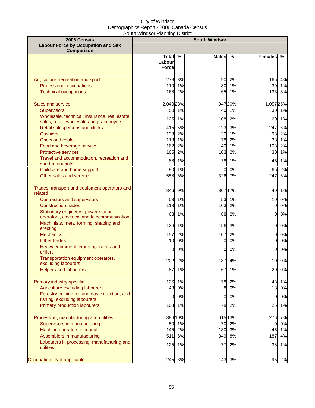| 2006 Census                                                                         | <b>South Windsor</b>   |               |              |               |                 |               |
|-------------------------------------------------------------------------------------|------------------------|---------------|--------------|---------------|-----------------|---------------|
| <b>Labour Force by Occupation and Sex</b>                                           |                        |               |              |               |                 |               |
| Comparison                                                                          |                        |               |              |               |                 | $\frac{9}{6}$ |
|                                                                                     | <b>Total</b><br>Labour | $\frac{0}{0}$ | <b>Males</b> | $\frac{0}{0}$ | <b>Females</b>  |               |
|                                                                                     | <b>Force</b>           |               |              |               |                 |               |
|                                                                                     |                        |               |              |               |                 |               |
| Art, culture, recreation and sport                                                  | 278                    | 3%            | 90           | 2%            | 165             | 4%            |
| Professional occupations                                                            |                        | 110 1%        | 30           | 1%            | 30              | 1%            |
| <b>Technical occupations</b>                                                        | 168                    | 2%            | 65           | 1%            | $133$           | 3%            |
|                                                                                     |                        |               |              |               |                 |               |
| Sales and service                                                                   | 2,040 23%              |               |              | 947 20%       | 1,057 25%       |               |
| <b>Supervisors</b>                                                                  | 50                     | 1%            | 40           | 1%            |                 | 30 1%         |
| Wholesale, technical, insurance, real estate                                        | 125                    | 1%            | 108          | 2%            | 60              | 1%            |
| sales, retail, wholesale and grain buyers                                           |                        |               |              |               |                 |               |
| Retail salespersons and clerks<br><b>Cashiers</b>                                   | 415<br>138             | 5%<br>2%      | 123<br>30    | 3%<br>1%      | 247<br>93       | 6%<br>2%      |
| Chefs and cooks                                                                     |                        | 118 1%        | 78           | 2%            |                 | 38 1%         |
| Food and beverage service                                                           | 162                    | 2%            | 40           | 1%            | 103             | 2%            |
| <b>Protective services</b>                                                          | 165                    | 2%            | 103          | 2%            | 30              | 1%            |
| Travel and accommodation, recreation and                                            |                        |               |              |               |                 |               |
| sport attendants                                                                    | 88                     | 1%            | 38           | 1%            | 45              | 1%            |
| Childcare and home support                                                          | 80                     | 1%            | $\Omega$     | 0%            | 65              | 2%            |
| Other sales and service                                                             | 558                    | 6%            |              | 326 7%        | 247             | 6%            |
|                                                                                     |                        |               |              |               |                 |               |
| Trades, transport and equipment operators and                                       | 846                    | 9%            |              | 807 17%       | 40              | 1%            |
| related                                                                             |                        |               |              |               |                 |               |
| <b>Contractors and supervisors</b>                                                  | 53                     | 1%            | 53           | 1%            | 10 <sup>1</sup> | 0%            |
| <b>Construction trades</b>                                                          | 113                    | 1%            | 103          | 2%            | $\mathbf{0}$    | 0%            |
| Stationary engineers, power station<br>operators, electrical and telecommunications | 68                     | 1%            | 88           | 2%            | 0               | $0\%$         |
| Machinists, metal forming, shaping and                                              |                        |               |              |               |                 |               |
| erecting                                                                            |                        | 126 1%        | 156          | 3%            | $\overline{O}$  | $0\%$         |
| <b>Mechanics</b>                                                                    | 157                    | 2%            | 107          | 2%            | $\mathbf{0}$    | 0%            |
| Other trades                                                                        | 10                     | 0%            | 0            | 0%            | 0l              | 0%            |
| Heavy equipment, crane operators and                                                | 0l                     | 0%            | <sub>0</sub> | 0%            | $\Omega$        | 0%            |
| drillers                                                                            |                        |               |              |               |                 |               |
| Transportation equipment operators,<br>excluding labourers                          | 202                    | 2%            | 187          | 4%            | 10              | 0%            |
| <b>Helpers and labourers</b>                                                        | 87                     | 1%            | 67           | 1%            | 20              | 0%            |
|                                                                                     |                        |               |              |               |                 |               |
| Primary industry-specific                                                           |                        | 126 1%        | 78           | 2%            | 43              | 1%            |
| Agriculture excluding labourers                                                     | 43                     | 0%            | 8            | 0%            | 18              | 0%            |
| Forestry, mining, oil and gas extraction, and                                       |                        |               |              |               |                 |               |
| fishing, excluding labourers                                                        | 0l                     | 0%            | 0            | 0%            | $\overline{0}$  | $0\%$         |
| Primary production labourers                                                        |                        | 103 1%        | 78           | 2%            | 25              | 1%            |
|                                                                                     |                        |               |              |               |                 |               |
| Processing, manufacturing and utilities                                             |                        | 886 10%       |              | 615 13%       | 276             | 7%            |
| Supervisors in manufacturing                                                        | 50                     | 1%            | 70           | 2%            | 0               | 0%            |
| Machine operators in manuf.                                                         | 145                    | 2%            | 130          | 3%            | 45              | 1%            |
| Assemblers in manufacturing                                                         | 511                    | 6%            | 349          | 8%            | 187             | 4%            |
| Labourers in processing, manufacturing and<br>utilities                             |                        | 125 1%        | 77           | 2%            | 38              | 1%            |
|                                                                                     |                        |               |              |               |                 |               |
| Occupation - Not applicable                                                         | 245                    | 3%            | 143          | 3%            | 95              | 2%            |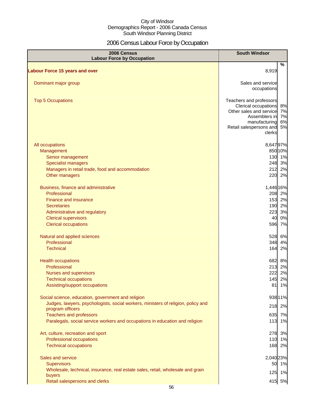# 2006 Census Labour Force by Occupation

| 2006 Census<br><b>Labour Force by Occupation</b>                                  | <b>South Windsor</b>                            |       |
|-----------------------------------------------------------------------------------|-------------------------------------------------|-------|
| <b>Labour Force 15 years and over</b>                                             | 8,919                                           | %     |
|                                                                                   |                                                 |       |
| Dominant major group                                                              | Sales and service<br>occupations                |       |
|                                                                                   |                                                 |       |
| <b>Top 5 Occupations</b>                                                          | Teachers and professors<br>Clerical occupations | 8%    |
|                                                                                   | Other sales and service                         | 7%    |
|                                                                                   | Assemblers in                                   | 7%    |
|                                                                                   | manufacturing                                   | 6%    |
|                                                                                   | Retail salespersons and<br>clerks               | 5%    |
| All occupations                                                                   | 8,647 97%                                       |       |
| Management                                                                        | 85010%                                          |       |
| Senior management                                                                 | 130 1%                                          |       |
| <b>Specialist managers</b>                                                        | 248 3%                                          |       |
| Managers in retail trade, food and accommodation                                  | 212 2%                                          |       |
| Other managers                                                                    | 220 2%                                          |       |
| Business, finance and administrative                                              | 1,446 16%                                       |       |
| Professional                                                                      | 208 2%                                          |       |
| Finance and insurance                                                             | 153 2%                                          |       |
| <b>Secretaries</b>                                                                | 190 2%                                          |       |
| Administrative and regulatory                                                     | 223 3%                                          |       |
| <b>Clerical supervisors</b><br><b>Clerical occupations</b>                        | 596 7%                                          | 40 0% |
|                                                                                   |                                                 |       |
| Natural and applied sciences                                                      | 528 6%                                          |       |
| Professional                                                                      | 348                                             | 4%    |
| <b>Technical</b>                                                                  | 164                                             | 2%    |
| <b>Health occupations</b>                                                         | 682 8%                                          |       |
| Professional                                                                      | 213 2%                                          |       |
| Nurses and supervisors                                                            | 222                                             | 2%    |
| <b>Technical occupations</b>                                                      | 145 2%                                          |       |
| Assisting/support occupations                                                     | 81                                              | 1%    |
| Social science, education, government and religion                                | 938 11%                                         |       |
| Judges, lawyers, psychologists, social workers, ministers of religion, policy and | 218                                             | 2%    |
| program officers<br><b>Teachers and professors</b>                                | 635 7%                                          |       |
| Paralegals, social service workers and occupations in education and religion      | 113                                             | 1%    |
|                                                                                   |                                                 |       |
| Art, culture, recreation and sport                                                | 278 3%                                          |       |
| Professional occupations                                                          | 110 1%                                          |       |
| <b>Technical occupations</b>                                                      | 168 2%                                          |       |
| Sales and service                                                                 | 2,040 23%                                       |       |
| <b>Supervisors</b>                                                                |                                                 | 50 1% |
| Wholesale, technical, insurance, real estate sales, retail, wholesale and grain   | 125 1%                                          |       |
| buyers<br>Retail salespersons and clerks                                          | 415 5%                                          |       |
|                                                                                   |                                                 |       |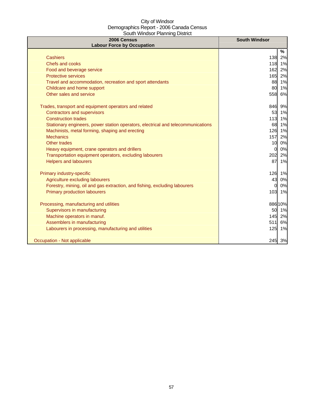| 2006 Census<br><b>Labour Force by Occupation</b>                                 | <b>South Windsor</b> |
|----------------------------------------------------------------------------------|----------------------|
|                                                                                  | %                    |
| <b>Cashiers</b>                                                                  | 138<br>2%            |
| Chefs and cooks                                                                  | 118 1%               |
| Food and beverage service                                                        | 2%<br>162            |
| <b>Protective services</b>                                                       | 165<br>2%            |
| Travel and accommodation, recreation and sport attendants                        | 88 1%                |
| Childcare and home support                                                       | 80<br>1%             |
| Other sales and service                                                          | 558<br>6%            |
| Trades, transport and equipment operators and related                            | 846<br>9%            |
| <b>Contractors and supervisors</b>                                               | 53<br>1%             |
| <b>Construction trades</b>                                                       | 113 1%               |
| Stationary engineers, power station operators, electrical and telecommunications | 68 1%                |
| Machinists, metal forming, shaping and erecting                                  | 126 1%               |
| <b>Mechanics</b>                                                                 | 157<br>2%            |
| <b>Other trades</b>                                                              | 0%<br>10             |
| Heavy equipment, crane operators and drillers                                    | 0%<br>$\Omega$       |
| Transportation equipment operators, excluding labourers                          | 202<br>2%            |
| <b>Helpers and labourers</b>                                                     | 87<br>1%             |
| Primary industry-specific                                                        | 126 1%               |
| Agriculture excluding labourers                                                  | 43<br>0%             |
| Forestry, mining, oil and gas extraction, and fishing, excluding labourers       | 0%<br><sub>0</sub>   |
| <b>Primary production labourers</b>                                              | 103<br>1%            |
| Processing, manufacturing and utilities                                          | 886 10%              |
| Supervisors in manufacturing                                                     | 50 1%                |
| Machine operators in manuf.                                                      | 2%<br>145            |
| Assemblers in manufacturing                                                      | 511<br>6%            |
| Labourers in processing, manufacturing and utilities                             | 125<br>1%            |
| Occupation - Not applicable                                                      | 245 3%               |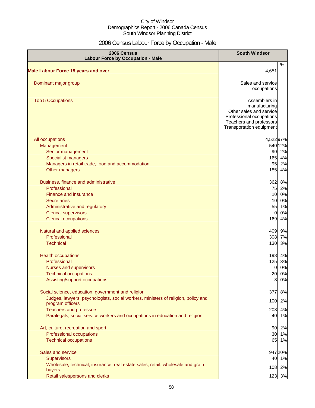# 2006 Census Labour Force by Occupation - Male

| 2006 Census<br><b>Labour Force by Occupation - Male</b>                                               | <b>South Windsor</b>                                |          |
|-------------------------------------------------------------------------------------------------------|-----------------------------------------------------|----------|
|                                                                                                       | %                                                   |          |
| <b>Male Labour Force 15 years and over</b>                                                            | 4,651                                               |          |
| Dominant major group                                                                                  | Sales and service                                   |          |
|                                                                                                       | occupations                                         |          |
| <b>Top 5 Occupations</b>                                                                              | Assemblers in                                       |          |
|                                                                                                       | manufacturing                                       |          |
|                                                                                                       | Other sales and service<br>Professional occupations |          |
|                                                                                                       | Teachers and professors                             |          |
|                                                                                                       | Transportation equipment                            |          |
| All occupations                                                                                       | 4,52297%                                            |          |
| Management                                                                                            | 54012%                                              |          |
| Senior management                                                                                     | 90 2%                                               |          |
| <b>Specialist managers</b>                                                                            | 165                                                 | 4%       |
| Managers in retail trade, food and accommodation                                                      | 95                                                  | 2%       |
| Other managers                                                                                        | 185                                                 | 4%       |
| Business, finance and administrative                                                                  | 362                                                 | 8%       |
| Professional                                                                                          | 75 2%                                               |          |
| <b>Finance and insurance</b>                                                                          | 10 0%                                               |          |
| <b>Secretaries</b>                                                                                    | 10 0%                                               |          |
| Administrative and regulatory                                                                         | 55 1%                                               |          |
| <b>Clerical supervisors</b><br><b>Clerical occupations</b>                                            | <sub>0</sub><br>169                                 | 0%<br>4% |
| Natural and applied sciences                                                                          | 409 9%                                              |          |
| Professional                                                                                          | 308 7%                                              |          |
| <b>Technical</b>                                                                                      | 130                                                 | 3%       |
|                                                                                                       |                                                     |          |
| <b>Health occupations</b>                                                                             | 198 4%                                              |          |
| Professional                                                                                          | 125 3%                                              |          |
| Nurses and supervisors                                                                                | $\overline{0}$                                      | 0%       |
| <b>Technical occupations</b>                                                                          | 20 0%                                               |          |
| Assisting/support occupations                                                                         | 8 0%                                                |          |
| Social science, education, government and religion                                                    | 377                                                 | 8%       |
| Judges, lawyers, psychologists, social workers, ministers of religion, policy and<br>program officers | 100                                                 | 2%       |
| <b>Teachers and professors</b>                                                                        | 208                                                 | 4%       |
| Paralegals, social service workers and occupations in education and religion                          | 40                                                  | 1%       |
| Art, culture, recreation and sport                                                                    | 90                                                  | 2%       |
| Professional occupations                                                                              | 30                                                  | 1%       |
| <b>Technical occupations</b>                                                                          | 65 1%                                               |          |
| Sales and service                                                                                     | 947 20%                                             |          |
| <b>Supervisors</b>                                                                                    | 40                                                  | 1%       |
| Wholesale, technical, insurance, real estate sales, retail, wholesale and grain                       | 108 2%                                              |          |
| buyers                                                                                                |                                                     |          |
| Retail salespersons and clerks                                                                        | 123 3%                                              |          |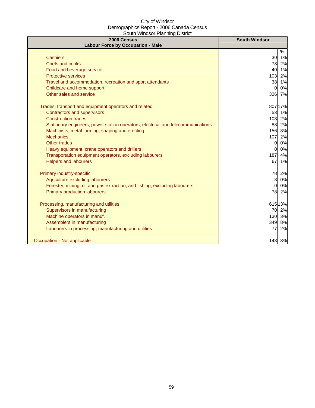| 2006 Census<br><b>Labour Force by Occupation - Male</b>                          | <b>South Windsor</b> |         |
|----------------------------------------------------------------------------------|----------------------|---------|
|                                                                                  |                      | %       |
| <b>Cashiers</b>                                                                  | 30                   | 1%      |
| Chefs and cooks                                                                  | 78                   | 2%      |
| Food and beverage service                                                        | 40                   | 1%      |
| <b>Protective services</b>                                                       | 103                  | 2%      |
| Travel and accommodation, recreation and sport attendants                        | 38                   | 1%      |
| Childcare and home support                                                       | 0                    | 0%      |
| Other sales and service                                                          | 326 7%               |         |
| Trades, transport and equipment operators and related                            |                      | 807 17% |
| <b>Contractors and supervisors</b>                                               | 53                   | 1%      |
| <b>Construction trades</b>                                                       |                      | 103 2%  |
| Stationary engineers, power station operators, electrical and telecommunications |                      | 88 2%   |
| Machinists, metal forming, shaping and erecting                                  |                      | 156 3%  |
| <b>Mechanics</b>                                                                 | 107                  | 2%      |
| Other trades                                                                     | 0                    | 0%      |
| Heavy equipment, crane operators and drillers                                    | 0                    | 0%      |
| Transportation equipment operators, excluding labourers                          | 187                  | 4%      |
| <b>Helpers and labourers</b>                                                     | 67                   | 1%      |
| Primary industry-specific                                                        | 78                   | 2%      |
| Agriculture excluding labourers                                                  | 8                    | 0%      |
| Forestry, mining, oil and gas extraction, and fishing, excluding labourers       | 0                    | 0%      |
| <b>Primary production labourers</b>                                              | 78                   | 2%      |
| Processing, manufacturing and utilities                                          | 61513%               |         |
| Supervisors in manufacturing                                                     |                      | 70 2%   |
| Machine operators in manuf.                                                      | 130                  | 3%      |
| Assemblers in manufacturing                                                      | 349                  | 8%      |
| Labourers in processing, manufacturing and utilities                             | 77                   | 2%      |
| Occupation - Not applicable                                                      |                      | 143 3%  |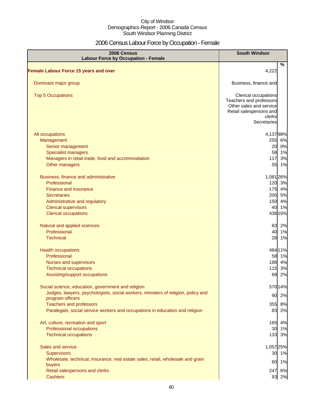# 2006 Census Labour Force by Occupation - Female

| 2006 Census<br><b>Labour Force by Occupation - Female</b>                                             | <b>South Windsor</b>                                                                                                           |  |  |
|-------------------------------------------------------------------------------------------------------|--------------------------------------------------------------------------------------------------------------------------------|--|--|
| <b>Female Labour Force 15 years and over</b>                                                          | %<br>4,222                                                                                                                     |  |  |
| Dominant major group                                                                                  | Business, finance and                                                                                                          |  |  |
| <b>Top 5 Occupations</b>                                                                              | Clerical occupations<br>Teachers and professors<br>Other sales and service<br>Retail salespersons and<br>clerks<br>Secretaries |  |  |
| All occupations                                                                                       | 4,13798%                                                                                                                       |  |  |
| Management                                                                                            | 255 6%                                                                                                                         |  |  |
| Senior management                                                                                     | 20 0%                                                                                                                          |  |  |
| <b>Specialist managers</b>                                                                            | 58 1%                                                                                                                          |  |  |
| Managers in retail trade, food and accommodation                                                      | 3%<br>117                                                                                                                      |  |  |
| Other managers                                                                                        | 1%<br>55                                                                                                                       |  |  |
| Business, finance and administrative                                                                  | 1,081 26%                                                                                                                      |  |  |
| Professional                                                                                          | 120 3%                                                                                                                         |  |  |
| Finance and insurance                                                                                 | 175 4%                                                                                                                         |  |  |
| <b>Secretaries</b>                                                                                    | 205 5%                                                                                                                         |  |  |
| Administrative and regulatory                                                                         | 150 4%                                                                                                                         |  |  |
| <b>Clerical supervisors</b>                                                                           | 40<br>1%                                                                                                                       |  |  |
| <b>Clerical occupations</b>                                                                           | 438 10%                                                                                                                        |  |  |
| Natural and applied sciences                                                                          | 83<br>2%                                                                                                                       |  |  |
| Professional                                                                                          | 1%<br>40                                                                                                                       |  |  |
| <b>Technical</b>                                                                                      | 28<br>1%                                                                                                                       |  |  |
| <b>Health occupations</b>                                                                             | 484 11%                                                                                                                        |  |  |
| Professional                                                                                          | 58 1%                                                                                                                          |  |  |
| <b>Nurses and supervisors</b>                                                                         | 188 4%                                                                                                                         |  |  |
| <b>Technical occupations</b>                                                                          | 3%<br>115                                                                                                                      |  |  |
| Assisting/support occupations                                                                         | 68<br>2%                                                                                                                       |  |  |
| Social science, education, government and religion                                                    | 570 14%                                                                                                                        |  |  |
| Judges, lawyers, psychologists, social workers, ministers of religion, policy and<br>program officers | 90 2%                                                                                                                          |  |  |
| <b>Teachers and professors</b>                                                                        | 355 8%                                                                                                                         |  |  |
| Paralegals, social service workers and occupations in education and religion                          | 83 2%                                                                                                                          |  |  |
| Art, culture, recreation and sport                                                                    | 165<br>4%                                                                                                                      |  |  |
| Professional occupations                                                                              | 30 1%                                                                                                                          |  |  |
| <b>Technical occupations</b>                                                                          | 133 3%                                                                                                                         |  |  |
| Sales and service                                                                                     | 1,057 25%                                                                                                                      |  |  |
| Supervisors                                                                                           | 30 1%                                                                                                                          |  |  |
| Wholesale, technical, insurance, real estate sales, retail, wholesale and grain                       | 60 1%                                                                                                                          |  |  |
| buyers                                                                                                |                                                                                                                                |  |  |
| Retail salespersons and clerks<br><b>Cashiers</b>                                                     | 247 6%<br>93 2%                                                                                                                |  |  |
|                                                                                                       |                                                                                                                                |  |  |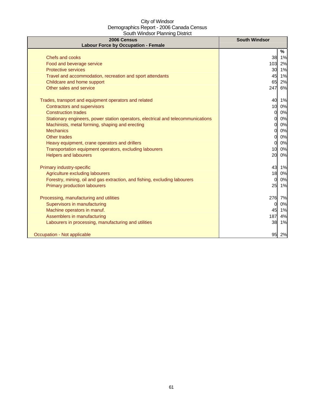| 2006 Census<br><b>Labour Force by Occupation - Female</b>                        | <b>South Windsor</b> |
|----------------------------------------------------------------------------------|----------------------|
|                                                                                  | %                    |
| Chefs and cooks                                                                  | 38 1%                |
| Food and beverage service                                                        | 103<br>2%            |
| <b>Protective services</b>                                                       | 30<br>1%             |
| Travel and accommodation, recreation and sport attendants                        | 1%<br>45             |
| Childcare and home support                                                       | 2%<br>65             |
| Other sales and service                                                          | 247<br>6%            |
| Trades, transport and equipment operators and related                            | 40<br>1%             |
| Contractors and supervisors                                                      | 10<br>0%             |
| <b>Construction trades</b>                                                       | 0%<br><sub>0</sub>   |
| Stationary engineers, power station operators, electrical and telecommunications | $0\%$<br>01          |
| Machinists, metal forming, shaping and erecting                                  | 0%<br>Ol             |
| <b>Mechanics</b>                                                                 | 0%<br>Ol             |
| <b>Other trades</b>                                                              | 0%<br>O              |
| Heavy equipment, crane operators and drillers                                    | 0%<br>$\Omega$       |
| Transportation equipment operators, excluding labourers                          | 0%<br>10             |
| <b>Helpers and labourers</b>                                                     | 20<br>0%             |
| Primary industry-specific                                                        | 43<br>1%             |
| Agriculture excluding labourers                                                  | 18<br>0%             |
| Forestry, mining, oil and gas extraction, and fishing, excluding labourers       | 0%<br>0              |
| <b>Primary production labourers</b>                                              | 25<br>1%             |
| Processing, manufacturing and utilities                                          | 276<br>7%            |
| Supervisors in manufacturing                                                     | $0\%$<br>0           |
| Machine operators in manuf.                                                      | 45 1%                |
| Assemblers in manufacturing                                                      | 187<br>4%            |
| Labourers in processing, manufacturing and utilities                             | 38<br>1%             |
| Occupation - Not applicable                                                      | 95<br>2%             |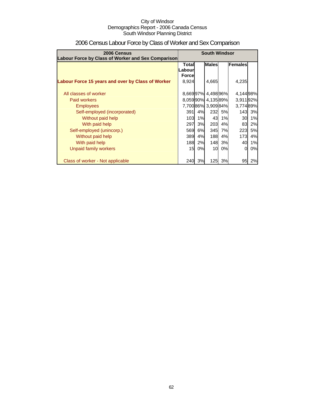| 2006 Census<br>Labour Force by Class of Worker and Sex Comparison | <b>South Windsor</b>                                         |    |                   |    |                  |           |
|-------------------------------------------------------------------|--------------------------------------------------------------|----|-------------------|----|------------------|-----------|
|                                                                   | <b>Males</b><br>Females<br>Total<br>ILabourl<br><b>Force</b> |    |                   |    |                  |           |
| Labour Force 15 years and over by Class of Worker                 | 8,924                                                        |    | 4,665             |    | 4,235            |           |
| All classes of worker                                             |                                                              |    | 8,66997% 4,49896% |    | 4,14498%         |           |
| Paid workers                                                      |                                                              |    | 8,05990% 4,13589% |    | 3,91192%         |           |
| <b>Employees</b>                                                  |                                                              |    | 7,70086% 3,90984% |    | 3,774 89%        |           |
| Self-employed (incorporated)                                      | 391                                                          | 4% | 232               | 5% |                  | 143 3%    |
| Without paid help                                                 | 103                                                          | 1% | 43                | 1% | 30               | 1%        |
| With paid help                                                    | 297                                                          | 3% | 203               | 4% | 83               | 2%        |
| Self-employed (unincorp.)                                         | 569                                                          | 6% | 345               | 7% | 223              | <b>5%</b> |
| Without paid help                                                 | 389                                                          | 4% | 188               | 4% | 173 <sub>l</sub> | 4%        |
| With paid help                                                    | <b>188</b>                                                   | 2% | <b>148</b>        | 3% | 40               | 1%        |
| Unpaid family workers                                             | 15                                                           | 0% | 10                | 0% | $\Omega$         | 0%        |
| Class of worker - Not applicable                                  | 240                                                          | 3% | 125               | 3% | 95               | 2%        |

# 2006 Census Labour Force by Class of Worker and Sex Comparison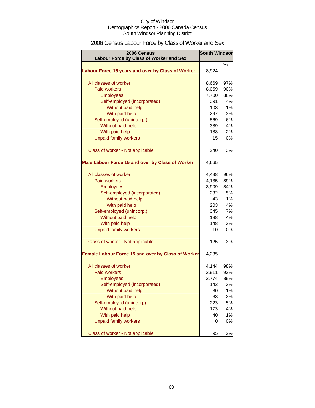# 2006 Census Labour Force by Class of Worker and Sex

| 2006 Census                                        | <b>South Windsor</b> |     |
|----------------------------------------------------|----------------------|-----|
| Labour Force by Class of Worker and Sex            |                      |     |
|                                                    |                      | %   |
| Labour Force 15 years and over by Class of Worker  | 8,924                |     |
| All classes of worker                              | 8,669                | 97% |
| <b>Paid workers</b>                                | 8,059                | 90% |
| <b>Employees</b>                                   | 7,700                | 86% |
| Self-employed (incorporated)                       | 391                  | 4%  |
| Without paid help                                  | 103                  | 1%  |
| With paid help                                     | 297                  | 3%  |
| Self-employed (unincorp.)                          | 569                  | 6%  |
| Without paid help                                  | 389                  | 4%  |
| With paid help                                     | 188                  | 2%  |
|                                                    | 15                   | 0%  |
| <b>Unpaid family workers</b>                       |                      |     |
| Class of worker - Not applicable                   | 240                  | 3%  |
| Male Labour Force 15 and over by Class of Worker   | 4,665                |     |
| All classes of worker                              | 4,498                | 96% |
| <b>Paid workers</b>                                | 4,135                | 89% |
| <b>Employees</b>                                   | 3,909                | 84% |
| Self-employed (incorporated)                       | 232                  | 5%  |
| Without paid help                                  | 43                   | 1%  |
| With paid help                                     | 203                  | 4%  |
| Self-employed (unincorp.)                          | 345                  | 7%  |
| Without paid help                                  | 188                  | 4%  |
| With paid help                                     | 148                  | 3%  |
| <b>Unpaid family workers</b>                       | 10                   | 0%  |
|                                                    |                      |     |
| Class of worker - Not applicable                   | 125                  | 3%  |
| Female Labour Force 15 and over by Class of Worker | 4,235                |     |
| All classes of worker                              | 4,144                | 98% |
| Paid workers                                       | 3,911                | 92% |
| <b>Employees</b>                                   | 3,774                | 89% |
| Self-employed (incorporated)                       | 143                  | 3%  |
| Without paid help                                  | 30                   | 1%  |
| With paid help                                     | 83                   | 2%  |
| Self-employed (unincorp)                           | 223                  | 5%  |
| Without paid help                                  | 173                  | 4%  |
| With paid help                                     | 40                   | 1%  |
| <b>Unpaid family workers</b>                       | 0                    | 0%  |
| Class of worker - Not applicable                   | 95                   | 2%  |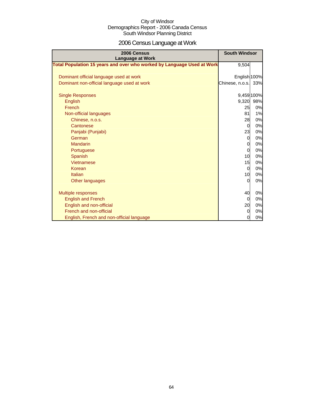# 2006 Census Language at Work

| 2006 Census<br><b>Language at Work</b>                                 | <b>South Windsor</b> |            |
|------------------------------------------------------------------------|----------------------|------------|
| Total Population 15 years and over who worked by Language Used at Work | 9,504                |            |
| Dominant official language used at work                                | English 100%         |            |
| Dominant non-official language used at work                            | Chinese, n.o.s.      | 33%        |
| <b>Single Responses</b>                                                |                      | 9,459 100% |
| English                                                                | 9,320                | 98%        |
| French                                                                 | 25                   | 0%         |
| Non-official languages                                                 | 81                   | 1%         |
| Chinese, n.o.s.                                                        | 28                   | 0%         |
| Cantonese                                                              | $\overline{0}$       | 0%         |
| Panjabi (Punjabi)                                                      | 23                   | 0%         |
| German                                                                 | $\overline{O}$       | 0%         |
| <b>Mandarin</b>                                                        | $\overline{0}$       | 0%         |
| Portuguese                                                             | $\Omega$             | 0%         |
| Spanish                                                                | 10 <sup>1</sup>      | 0%         |
| Vietnamese                                                             | 15                   | 0%         |
| Korean                                                                 | $\Omega$             | 0%         |
| Italian                                                                | 10 <sup>1</sup>      | 0%         |
| Other languages                                                        | $\Omega$             | 0%         |
| <b>Multiple responses</b>                                              | 40                   | 0%         |
| <b>English and French</b>                                              | $\overline{0}$       | 0%         |
| English and non-official                                               | 20                   | 0%         |
| French and non-official                                                | $\Omega$             | 0%         |
| English, French and non-official language                              | $\overline{0}$       | 0%         |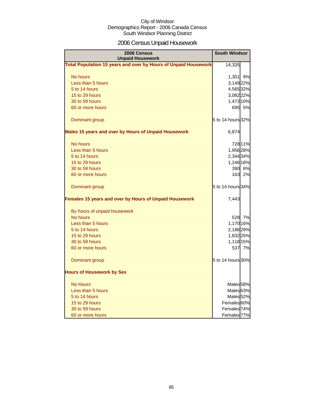# 2006 Census Unpaid Housework

| 2006 Census<br><b>Unpaid Housework</b>                                 | <b>South Windsor</b>   |
|------------------------------------------------------------------------|------------------------|
| <b>Total Population 15 years and over by Hours of Unpaid Housework</b> | 14,335                 |
| No hours                                                               | 1,301 9%               |
| Less than 5 hours                                                      | 3,149 22%              |
| 5 to 14 hours                                                          | 4,565 32%              |
| 15 to 29 hours                                                         | 3,082 22%              |
| 30 to 59 hours                                                         | 1,473 10%              |
| 60 or more hours                                                       | 695 5%                 |
| Dominant group                                                         | 5 to 14 hours 32%      |
| Males 15 years and over by Hours of Unpaid Housework                   | 6,874                  |
| No hours                                                               | 728 11%                |
| Less than 5 hours                                                      | 1,956 28%              |
| 5 to 14 hours                                                          | 2,344 34%              |
| 15 to 29 hours                                                         | 1,246 18%              |
| 30 to 59 hours                                                         | 390 6%                 |
| 60 or more hours                                                       | 163<br>2%              |
| Dominant group                                                         | 5 to 14 hours 34%      |
| Females 15 years and over by Hours of Unpaid Housework                 | 7,443                  |
| By hours of unpaid housework                                           |                        |
| No hours                                                               | 528 7%                 |
| Less than 5 hours                                                      | 1,170 16%              |
| 5 to 14 hours                                                          | 2,186 29%              |
| 15 to 29 hours                                                         | 1,832 25%              |
| 30 to 59 hours                                                         | 1,118 15%              |
| 60 or more hours                                                       | 537<br>7%              |
| Dominant group                                                         | 5 to 14 hours 30%      |
| <b>Hours of Housework by Sex</b>                                       |                        |
| <b>No Hours</b>                                                        | Males <sub>58%</sub>   |
| Less than 5 hours                                                      | Males <sup>63%</sup>   |
| 5 to 14 hours                                                          | Males <sub>52%</sub>   |
| 15 to 29 hours                                                         | Females 60%            |
| 30 to 59 hours                                                         | Females 74%            |
| 60 or more hours                                                       | Females <sup>77%</sup> |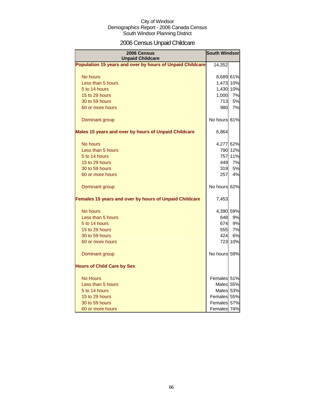# 2006 Census Unpaid Childcare

| 2006 Census<br><b>Unpaid Childcare</b>                    | <b>South Windsor</b> |         |
|-----------------------------------------------------------|----------------------|---------|
| Population 15 years and over by hours of Unpaid Childcare | 14,352               |         |
| No hours                                                  | 8,689 61%            |         |
| Less than 5 hours                                         | 1,473 10%            |         |
| 5 to 14 hours                                             | 1,430 10%            |         |
| 15 to 29 hours                                            | 1,000                | 7%      |
| 30 to 59 hours                                            | 713                  | 5%      |
| 60 or more hours                                          | 980                  | 7%      |
| Dominant group                                            | No hours 61%         |         |
| Males 15 years and over by hours of Unpaid Childcare      | 6,864                |         |
| No hours                                                  | 4,277 62%            |         |
| Less than 5 hours                                         |                      | 790 12% |
| 5 to 14 hours                                             |                      | 757 11% |
| 15 to 29 hours                                            | 449                  | 7%      |
| 30 to 59 hours                                            | 319                  | 5%      |
| 60 or more hours                                          | 257                  | 4%      |
| Dominant group                                            | No hours 62%         |         |
| Females 15 years and over by hours of Unpaid Childcare    | 7,453                |         |
| No hours                                                  | 4,390 59%            |         |
| Less than 5 hours                                         | 648                  | 9%      |
| 5 to 14 hours                                             | 674                  | 9%      |
| 15 to 29 hours                                            | 555                  | 7%      |
| 30 to 59 hours                                            | 424                  | 6%      |
| 60 or more hours                                          |                      | 723 10% |
| Dominant group                                            | No hours 59%         |         |
| <b>Hours of Child Care by Sex</b>                         |                      |         |
| <b>No Hours</b>                                           | Females 51%          |         |
| Less than 5 hours                                         | Males 55%            |         |
| 5 to 14 hours                                             | Males 53%            |         |
| 15 to 29 hours                                            | Females 55%          |         |
| 30 to 59 hours                                            | Females 57%          |         |
| 60 or more hours                                          | Females 74%          |         |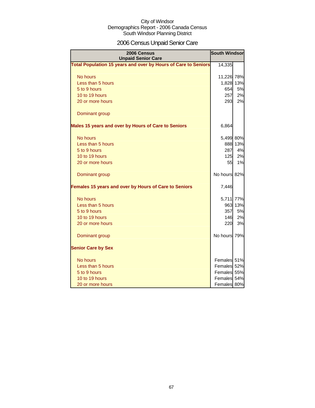# 2006 Census Unpaid Senior Care

| 2006 Census<br><b>Unpaid Senior Care</b>                       | <b>South Windsor</b> |           |
|----------------------------------------------------------------|----------------------|-----------|
| Total Population 15 years and over by Hours of Care to Seniors | 14,335               |           |
| No hours                                                       | 11,226 78%           |           |
| Less than 5 hours                                              |                      | 1,828 13% |
| 5 to 9 hours                                                   | 654                  | 5%        |
| 10 to 19 hours                                                 | 257                  | 2%        |
| 20 or more hours                                               | 293                  | 2%        |
| Dominant group                                                 |                      |           |
| Males 15 years and over by Hours of Care to Seniors            | 6,864                |           |
| No hours                                                       | 5,499 80%            |           |
| Less than 5 hours                                              |                      | 888 13%   |
| 5 to 9 hours                                                   | 287                  | 4%        |
| 10 to 19 hours                                                 | 125                  | 2%        |
| 20 or more hours                                               | 55                   | 1%        |
| Dominant group                                                 | No hours 82%         |           |
| Females 15 years and over by Hours of Care to Seniors          | 7,446                |           |
| No hours                                                       | 5,711                | 77%       |
| Less than 5 hours                                              |                      | 963 13%   |
| 5 to 9 hours                                                   | 357                  | 5%        |
| 10 to 19 hours                                                 | 146                  | 2%        |
| 20 or more hours                                               | 220                  | 3%        |
| Dominant group                                                 | No hours 79%         |           |
| <b>Senior Care by Sex</b>                                      |                      |           |
| No hours                                                       | Females 51%          |           |
| Less than 5 hours                                              | Females 52%          |           |
| 5 to 9 hours                                                   | Females 55%          |           |
| 10 to 19 hours                                                 | Females 54%          |           |
| 20 or more hours                                               | Females 80%          |           |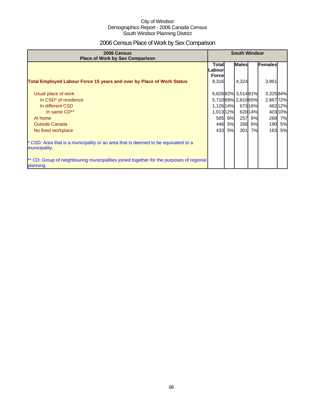# 2006 Census Place of Work by Sex Comparison

| 2006 Census<br><b>Place of Work by Sex Comparison</b>                                                 |                                    | <b>South Windsor</b> |                     |        |                |         |
|-------------------------------------------------------------------------------------------------------|------------------------------------|----------------------|---------------------|--------|----------------|---------|
|                                                                                                       | Totall<br>Labourl<br><b>Forcel</b> |                      | <b>Males</b>        |        | <b>Females</b> |         |
| <b>Total Employed Labour Force 15 years and over by Place of Work Status</b>                          | 8,316                              |                      | 4,324               |        | 3,961          |         |
| Usual place of work                                                                                   |                                    |                      | 6,82682% 3,51481%   |        | 3,32584%       |         |
| In CSD <sup>*</sup> of residence                                                                      |                                    |                      | 5,710 69% 2,810 65% |        | 2,86772%       |         |
| In different CSD                                                                                      | 1,126 14%                          |                      |                     | 67316% |                | 462 12% |
| In same CD**                                                                                          | 1,013 12%                          |                      |                     | 62014% |                | 403 10% |
| At home                                                                                               |                                    | 505 6%               | 257                 | 6%     |                | 268 7%  |
| <b>Outside Canada</b>                                                                                 |                                    | 446 5%               | 266                 | 6%     |                | 190 5%  |
| No fixed workplace                                                                                    |                                    | 433 5%               | 301                 | 7%     |                | 183 5%  |
| * CSD: Area that is a municipality or an area that is deemed to be equivalent to a<br>municipality.   |                                    |                      |                     |        |                |         |
| ** CD: Group of neighbouring municipalities joined together for the purposes of regional<br>planning. |                                    |                      |                     |        |                |         |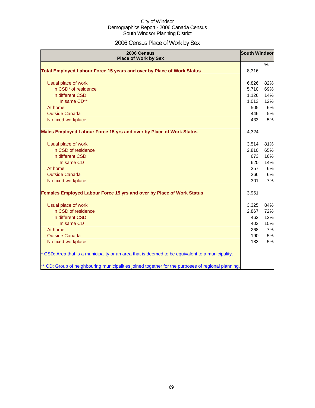# 2006 Census Place of Work by Sex

| 2006 Census<br><b>Place of Work by Sex</b>                                                         | <b>South Windsor</b> |               |
|----------------------------------------------------------------------------------------------------|----------------------|---------------|
| Total Employed Labour Force 15 years and over by Place of Work Status                              | 8,316                | $\frac{9}{6}$ |
| Usual place of work                                                                                | 6,826                | 82%           |
| In CSD* of residence                                                                               | 5,710                | 69%           |
| In different CSD                                                                                   | 1,126                | 14%           |
| In same CD**                                                                                       | 1,013                | 12%           |
| At home                                                                                            | 505                  | 6%            |
| <b>Outside Canada</b>                                                                              | 446                  | 5%            |
| No fixed workplace                                                                                 | 433                  | 5%            |
| Males Employed Labour Force 15 yrs and over by Place of Work Status                                | 4,324                |               |
| Usual place of work                                                                                | 3,514                | 81%           |
| In CSD of residence                                                                                | 2,810                | 65%           |
| In different CSD                                                                                   | 673                  | 16%           |
| In same CD                                                                                         | 620                  | 14%           |
| At home                                                                                            | 257                  | 6%            |
| <b>Outside Canada</b>                                                                              | 266                  | 6%            |
| No fixed workplace                                                                                 | 301                  | 7%            |
| Females Employed Labour Force 15 yrs and over by Place of Work Status                              | 3,961                |               |
| Usual place of work                                                                                | 3,325                | 84%           |
| In CSD of residence                                                                                | 2,867                | 72%           |
| In different CSD                                                                                   | 462                  | 12%           |
| In same CD                                                                                         | 403                  | 10%           |
| At home                                                                                            | 268                  | 7%            |
| <b>Outside Canada</b>                                                                              | 190                  | 5%            |
| No fixed workplace                                                                                 | 183                  | 5%            |
| * CSD: Area that is a municipality or an area that is deemed to be equivalent to a municipality.   |                      |               |
| ** CD: Group of neighbouring municipalities joined together for the purposes of regional planning. |                      |               |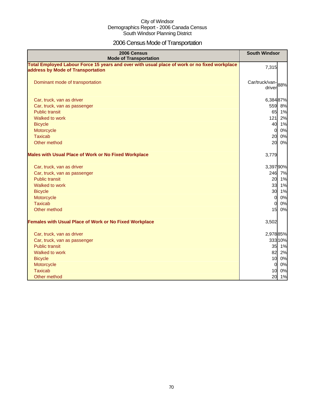# 2006 Census Mode of Transportation

| 2006 Census<br><b>Mode of Transportation</b>                                                                                      | <b>South Windsor</b>        |
|-----------------------------------------------------------------------------------------------------------------------------------|-----------------------------|
| Total Employed Labour Force 15 years and over with usual place of work or no fixed workplace<br>address by Mode of Transportation | 7,315                       |
| Dominant mode of transportation                                                                                                   | Car/truck/van-88%<br>driver |
| Car, truck, van as driver                                                                                                         | 6,38487%                    |
| Car, truck, van as passenger                                                                                                      | 559 8%                      |
| <b>Public transit</b>                                                                                                             | 65 1%                       |
| Walked to work                                                                                                                    | 121<br>2%                   |
| <b>Bicycle</b>                                                                                                                    | 40 1%                       |
| Motorcycle                                                                                                                        | 0%<br>$\overline{0}$        |
| <b>Taxicab</b>                                                                                                                    | 20<br>0%                    |
| Other method                                                                                                                      | 20<br>$0\%$                 |
| <b>Males with Usual Place of Work or No Fixed Workplace</b>                                                                       | 3,779                       |
| Car, truck, van as driver                                                                                                         | 3,397 90%                   |
| Car, truck, van as passenger                                                                                                      | 246 7%                      |
| <b>Public transit</b>                                                                                                             | 20 1%                       |
| Walked to work                                                                                                                    | 33<br>1%                    |
| <b>Bicycle</b>                                                                                                                    | 30 1%                       |
| Motorcycle                                                                                                                        | 0%<br>$\Omega$              |
| <b>Taxicab</b>                                                                                                                    | 0%<br>$\overline{0}$        |
| Other method                                                                                                                      | 15<br>0%                    |
| <b>Females with Usual Place of Work or No Fixed Workplace</b>                                                                     | 3,502                       |
| Car, truck, van as driver                                                                                                         | 2,978 85%                   |
| Car, truck, van as passenger                                                                                                      | 333 10%                     |
| <b>Public transit</b>                                                                                                             | 35 1%                       |
| Walked to work                                                                                                                    | 82 2%                       |
| <b>Bicycle</b>                                                                                                                    | 10 0%                       |
| Motorcycle                                                                                                                        | 0%<br>$\mathbf 0$           |
| <b>Taxicab</b>                                                                                                                    | 10<br>0%                    |
| Other method                                                                                                                      | 20<br>1%                    |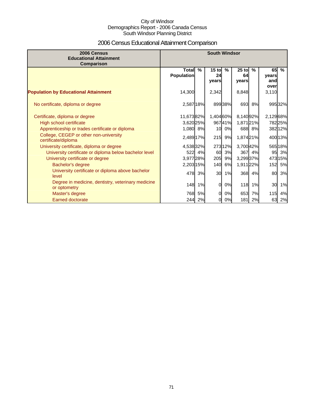# 2006 Census Educational Attainment Comparison

| 2006 Census<br><b>Educational Attainment</b><br>Comparison                                                       | <b>South Windsor</b>              |               |                        |               |                        |              |                    |                   |
|------------------------------------------------------------------------------------------------------------------|-----------------------------------|---------------|------------------------|---------------|------------------------|--------------|--------------------|-------------------|
|                                                                                                                  | <b>Total</b><br><b>Population</b> | $\frac{9}{6}$ | $15$ to<br>24<br>vears | $\frac{9}{6}$ | $25$ to<br>64<br>years | $\%$         | 65<br>years<br>and | $\frac{9}{6}$     |
| <b>Population by Educational Attainment</b>                                                                      | 14,300                            |               | 2,342                  |               | 8,848                  |              | over<br>3,110      |                   |
| No certificate, diploma or degree                                                                                | 2,587 18%                         |               |                        | 89938%        |                        | 693 8%       |                    | 99532%            |
| Certificate, diploma or degree<br>High school certificate                                                        | 11,67382%<br>3,620 25%            |               | 1,404 60%              | 96741%        | 8,14092%<br>1,87121%   |              | 2,129 68%          | 78225%            |
| Apprenticeship or trades certificate or diploma<br>College, CEGEP or other non-university<br>certificate/diploma | 1,080 8%<br>2,489 17%             |               | 10 <sup>1</sup><br>215 | 0%<br>9%      | 1,874 21%              | 688 8%       |                    | 38212%<br>400 13% |
| University certificate, diploma or degree<br>University certificate or diploma below bachelor level              | 4,538 32%<br>522                  | 4%            | 60                     | 273 12%<br>3% | 3,700 42%<br>367       | 4%           | 95                 | 565 18%<br>3%     |
| University certificate or degree<br>Bachelor's degree                                                            | 3,977 28%<br>2,203 15%            |               | 205<br>140             | 9%<br>6%      | 3,299 37%<br>1,911 22% |              | 152                | 473 15%<br>5%     |
| University certificate or diploma above bachelor<br>level                                                        | 478                               | 3%            | 30                     | 1%            | 368                    | 4%           | 80                 | 3%                |
| Degree in medicine, dentistry, veterinary medicine<br>or optometry                                               | 148                               | 1%            | $\Omega$               | 0%            | 118                    | 1%           | 30                 | 1%                |
| Master's degree<br><b>Earned doctorate</b>                                                                       | 768<br>244                        | 5%<br>2%      | $\Omega$<br>0          | 0%<br>0%      | 653                    | 7%<br>181 2% | 115<br>63          | 4%<br>2%          |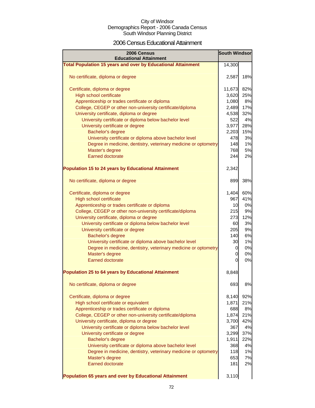### 2006 Census Educational Attainment

| 2006 Census<br><b>Educational Attainment</b>                        | <b>South Windsor</b> |     |
|---------------------------------------------------------------------|----------------------|-----|
| <b>Total Population 15 years and over by Educational Attainment</b> | 14,300               |     |
|                                                                     |                      |     |
| No certificate, diploma or degree                                   | 2,587                | 18% |
| Certificate, diploma or degree                                      | 11,673               | 82% |
| High school certificate                                             | 3,620                | 25% |
| Apprenticeship or trades certificate or diploma                     | 1,080                | 8%  |
| College, CEGEP or other non-university certificate/diploma          | 2,489                | 17% |
| University certificate, diploma or degree                           | 4,538                | 32% |
| University certificate or diploma below bachelor level              | 522                  | 4%  |
| University certificate or degree                                    | 3,977                | 28% |
| Bachelor's degree                                                   | 2,203                | 15% |
| University certificate or diploma above bachelor level              | 478                  | 3%  |
| Degree in medicine, dentistry, veterinary medicine or optometry     | 148                  | 1%  |
| Master's degree                                                     | 768                  | 5%  |
| <b>Earned doctorate</b>                                             | 244                  | 2%  |
|                                                                     |                      |     |
| <b>Population 15 to 24 years by Educational Attainment</b>          | 2,342                |     |
| No certificate, diploma or degree                                   | 899                  | 38% |
| Certificate, diploma or degree                                      | 1,404                | 60% |
| High school certificate                                             | 967                  | 41% |
| Apprenticeship or trades certificate or diploma                     | 10                   | 0%  |
| College, CEGEP or other non-university certificate/diploma          | 215                  | 9%  |
| University certificate, diploma or degree                           | 273                  | 12% |
| University certificate or diploma below bachelor level              | 60                   | 3%  |
| University certificate or degree                                    | 205                  | 9%  |
| Bachelor's degree                                                   | 140                  | 6%  |
| University certificate or diploma above bachelor level              | 30                   | 1%  |
| Degree in medicine, dentistry, veterinary medicine or optometry     | 0                    | 0%  |
| Master's degree                                                     | 0                    | 0%  |
| <b>Earned doctorate</b>                                             | 0                    | 0%  |
| <b>Population 25 to 64 years by Educational Attainment</b>          | 8,848                |     |
| No certificate, diploma or degree                                   | 693                  | 8%  |
|                                                                     |                      |     |
| Certificate, diploma or degree                                      | 8,140                | 92% |
| High school certificate or equivalent                               | 1,871                | 21% |
| Apprenticeship or trades certificate or diploma                     | 688                  | 8%  |
| College, CEGEP or other non-university certificate/diploma          | 1,874                | 21% |
| University certificate, diploma or degree                           | 3,700                | 42% |
| University certificate or diploma below bachelor level              | 367                  | 4%  |
| University certificate or degree                                    | 3,299                | 37% |
| Bachelor's degree                                                   | 1,911                | 22% |
| University certificate or diploma above bachelor level              | 368                  | 4%  |
| Degree in medicine, dentistry, veterinary medicine or optometry     | 118                  | 1%  |
| Master's degree                                                     | 653                  | 7%  |
| <b>Earned doctorate</b>                                             | 181                  | 2%  |
| Population 65 years and over by Educational Attainment              | 3,110                |     |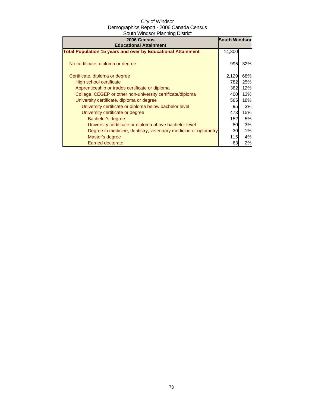| 2006 Census<br><b>Educational Attainment</b>                        | <b>South Windsor</b> |     |
|---------------------------------------------------------------------|----------------------|-----|
| <b>Total Population 15 years and over by Educational Attainment</b> | 14,300               |     |
| No certificate, diploma or degree                                   | 995                  | 32% |
| Certificate, diploma or degree                                      | 2,129                | 68% |
| High school certificate                                             | 782                  | 25% |
| Apprenticeship or trades certificate or diploma                     | 382                  | 12% |
| College, CEGEP or other non-university certificate/diploma          | 400                  | 13% |
| University certificate, diploma or degree                           | 565                  | 18% |
| University certificate or diploma below bachelor level              | 95                   | 3%  |
| University certificate or degree                                    | 473                  | 15% |
| Bachelor's degree                                                   | 152                  | 5%  |
| University certificate or diploma above bachelor level              | 80                   | 3%  |
| Degree in medicine, dentistry, veterinary medicine or optometry     | 30                   | 1%  |
| Master's degree                                                     | <b>115</b>           | 4%  |
| <b>Earned doctorate</b>                                             | 63                   | 2%  |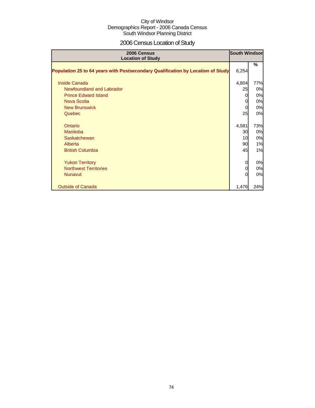# 2006 Census Location of Study

| 2006 Census<br><b>Location of Study</b>                                         | <b>South Windsor</b> |     |
|---------------------------------------------------------------------------------|----------------------|-----|
| Population 25 to 64 years with Postsecondary Qualification by Location of Study | 6,254                | %   |
| <b>Inside Canada</b>                                                            | 4,804                | 77% |
| Newfoundland and Labrador                                                       | 25                   | 0%  |
| <b>Prince Edward Island</b>                                                     | 0                    | 0%  |
| <b>Nova Scotia</b>                                                              | 0                    | 0%  |
| <b>New Brunswick</b>                                                            | $\Omega$             | 0%  |
| Quebec                                                                          | 25                   | 0%  |
| Ontario                                                                         | 4,581                | 73% |
| <b>Manitoba</b>                                                                 | 30                   | 0%  |
| <b>Saskatchewan</b>                                                             | 10                   | 0%  |
| Alberta                                                                         | 90                   | 1%  |
| <b>British Columbia</b>                                                         | 45                   | 1%  |
| <b>Yukon Territory</b>                                                          | 0                    | 0%  |
| <b>Northwest Territories</b>                                                    | 0                    | 0%  |
| <b>Nunavut</b>                                                                  | 0                    | 0%  |
| <b>Outside of Canada</b>                                                        | 1,476                | 24% |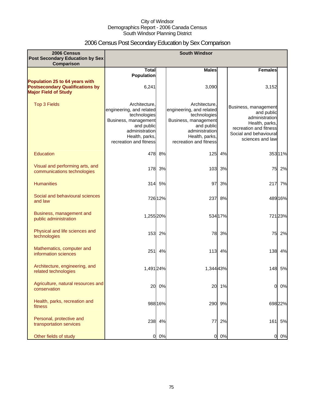# 2006 Census Post Secondary Education by Sex Comparison

| 2006 Census                                                                                             |                                                                                                                                                               |         | <b>South Windsor</b>                                                                                                                                          |         |                                                                                                                                                |         |
|---------------------------------------------------------------------------------------------------------|---------------------------------------------------------------------------------------------------------------------------------------------------------------|---------|---------------------------------------------------------------------------------------------------------------------------------------------------------------|---------|------------------------------------------------------------------------------------------------------------------------------------------------|---------|
| <b>Post Secondary Education by Sex</b><br>Comparison                                                    |                                                                                                                                                               |         |                                                                                                                                                               |         |                                                                                                                                                |         |
|                                                                                                         | <b>Total</b><br><b>Population</b>                                                                                                                             |         | <b>Males</b>                                                                                                                                                  |         | <b>Females</b>                                                                                                                                 |         |
| Population 25 to 64 years with<br><b>Postsecondary Qualifications by</b><br><b>Major Field of Study</b> | 6,241                                                                                                                                                         |         | 3,090                                                                                                                                                         |         | 3,152                                                                                                                                          |         |
| Top 3 Fields                                                                                            | Architecture.<br>engineering, and related<br>technologies<br>Business, management<br>and public<br>administration<br>Health, parks,<br>recreation and fitness |         | Architecture.<br>engineering, and related<br>technologies<br>Business, management<br>and public<br>administration<br>Health, parks,<br>recreation and fitness |         | Business, management<br>and public<br>administration<br>Health, parks,<br>recreation and fitness<br>Social and behavioural<br>sciences and law |         |
| Education                                                                                               | 478                                                                                                                                                           | 8%      | 125                                                                                                                                                           | 4%      |                                                                                                                                                | 35311%  |
| Visual and performing arts, and<br>communications technologies                                          | 178                                                                                                                                                           | 3%      | 103                                                                                                                                                           | 3%      | 75                                                                                                                                             | 2%      |
| <b>Humanities</b>                                                                                       |                                                                                                                                                               | 314 5%  | 97                                                                                                                                                            | 3%      | 217                                                                                                                                            | 7%      |
| Social and behavioural sciences<br>and law                                                              |                                                                                                                                                               | 726 12% | 237                                                                                                                                                           | 8%      |                                                                                                                                                | 489 16% |
| Business, management and<br>public administration                                                       | 1,255 20%                                                                                                                                                     |         |                                                                                                                                                               | 534 17% |                                                                                                                                                | 721 23% |
| Physical and life sciences and<br>technologies                                                          | 153                                                                                                                                                           | 2%      | 78                                                                                                                                                            | 3%      | 75                                                                                                                                             | 2%      |
| Mathematics, computer and<br>information sciences                                                       | 251                                                                                                                                                           | 4%      | $113$                                                                                                                                                         | 4%      | 138                                                                                                                                            | 4%      |
| Architecture, engineering, and<br>related technologies                                                  | 1,491 24%                                                                                                                                                     |         | 1,344 43%                                                                                                                                                     |         | 148                                                                                                                                            | 5%      |
| Agriculture, natural resources and<br>conservation                                                      | 20                                                                                                                                                            | 0%      | 20                                                                                                                                                            | 1%      | 0                                                                                                                                              | 0%      |
| Health, parks, recreation and<br>fitness                                                                |                                                                                                                                                               | 988 16% | 290                                                                                                                                                           | 9%      |                                                                                                                                                | 698 22% |
| Personal, protective and<br>transportation services                                                     | 238                                                                                                                                                           | 4%      | 77                                                                                                                                                            | 2%      | 161                                                                                                                                            | 5%      |
| Other fields of study                                                                                   | O                                                                                                                                                             | 0%      | $\overline{0}$                                                                                                                                                | 0%      | $\mathbf{0}$                                                                                                                                   | 0%      |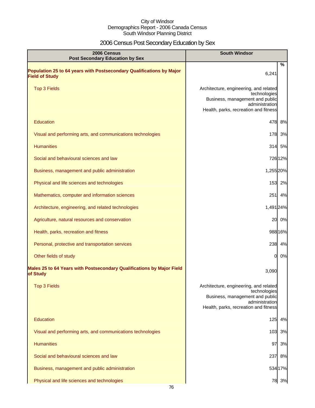# 2006 Census Post Secondary Education by Sex

| 2006 Census<br><b>Post Secondary Education by Sex</b>                                         | <b>South Windsor</b>                                                                                                                                 |
|-----------------------------------------------------------------------------------------------|------------------------------------------------------------------------------------------------------------------------------------------------------|
| Population 25 to 64 years with Postsecondary Qualifications by Major<br><b>Field of Study</b> | %<br>6,241                                                                                                                                           |
| <b>Top 3 Fields</b>                                                                           | Architecture, engineering, and related<br>technologies<br>Business, management and public<br>administration<br>Health, parks, recreation and fitness |
| Education                                                                                     | 478<br>8%                                                                                                                                            |
| Visual and performing arts, and communications technologies                                   | 178<br>3%                                                                                                                                            |
| <b>Humanities</b>                                                                             | 314<br>5%                                                                                                                                            |
| Social and behavioural sciences and law                                                       | 726 12%                                                                                                                                              |
| Business, management and public administration                                                | 1,255 20%                                                                                                                                            |
| Physical and life sciences and technologies                                                   | 153 2%                                                                                                                                               |
| Mathematics, computer and information sciences                                                | 251<br>4%                                                                                                                                            |
| Architecture, engineering, and related technologies                                           | 1,491 24%                                                                                                                                            |
| Agriculture, natural resources and conservation                                               | 0%<br>20                                                                                                                                             |
| Health, parks, recreation and fitness                                                         | 988 16%                                                                                                                                              |
| Personal, protective and transportation services                                              | 238 4%                                                                                                                                               |
| Other fields of study                                                                         | 0%<br>0                                                                                                                                              |
| Males 25 to 64 Years with Postsecondary Qualifications by Major Field<br>of Study             | 3,090                                                                                                                                                |
| <b>Top 3 Fields</b>                                                                           | Architecture, engineering, and related<br>technologies<br>Business, management and public<br>administration<br>Health, parks, recreation and fitness |
| Education                                                                                     | 125<br>4%                                                                                                                                            |
| Visual and performing arts, and communications technologies                                   | 3%<br>103                                                                                                                                            |
| <b>Humanities</b>                                                                             | 97<br>3%                                                                                                                                             |
| Social and behavioural sciences and law                                                       | 237<br>8%                                                                                                                                            |
| Business, management and public administration                                                | 534 17%                                                                                                                                              |
| Physical and life sciences and technologies                                                   | 78 3%                                                                                                                                                |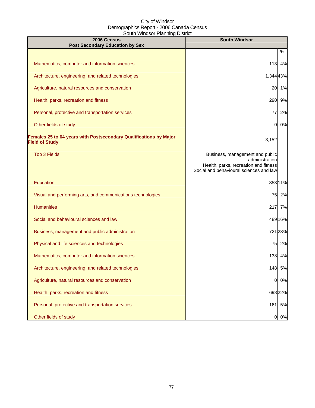| 2006 Census<br><b>Post Secondary Education by Sex</b>                                      | <b>South Windsor</b>                                                                                                                  |
|--------------------------------------------------------------------------------------------|---------------------------------------------------------------------------------------------------------------------------------------|
|                                                                                            | %                                                                                                                                     |
| Mathematics, computer and information sciences                                             | 113<br>4%                                                                                                                             |
| Architecture, engineering, and related technologies                                        | 1,344 43%                                                                                                                             |
| Agriculture, natural resources and conservation                                            | 1%<br>20                                                                                                                              |
| Health, parks, recreation and fitness                                                      | 290<br>9%                                                                                                                             |
| Personal, protective and transportation services                                           | 77<br>2%                                                                                                                              |
| Other fields of study                                                                      | 0%<br>0                                                                                                                               |
| Females 25 to 64 years with Postsecondary Qualifications by Major<br><b>Field of Study</b> | 3,152                                                                                                                                 |
| <b>Top 3 Fields</b>                                                                        | Business, management and public<br>administration<br>Health, parks, recreation and fitness<br>Social and behavioural sciences and law |
| <b>Education</b>                                                                           | 35311%                                                                                                                                |
| Visual and performing arts, and communications technologies                                | 75<br>2%                                                                                                                              |
| <b>Humanities</b>                                                                          | 217<br>7%                                                                                                                             |
| Social and behavioural sciences and law                                                    | 489 16%                                                                                                                               |
| Business, management and public administration                                             | 72123%                                                                                                                                |
| Physical and life sciences and technologies                                                | 75 2%                                                                                                                                 |
| Mathematics, computer and information sciences                                             | 138 4%                                                                                                                                |
| Architecture, engineering, and related technologies                                        | 148<br>5%                                                                                                                             |
| Agriculture, natural resources and conservation                                            | $\overline{0}$<br>0%                                                                                                                  |
| Health, parks, recreation and fitness                                                      | 698 22%                                                                                                                               |
| Personal, protective and transportation services                                           | 5%<br>161                                                                                                                             |
| Other fields of study                                                                      | 0%<br>0                                                                                                                               |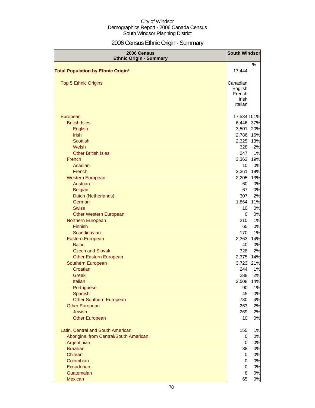# 2006 Census Ethnic Origin - Summary

| 2006 Census                               | <b>South Windsor</b> |             |
|-------------------------------------------|----------------------|-------------|
| <b>Ethnic Origin - Summary</b>            |                      | %           |
| <b>Total Population by Ethnic Origin*</b> | 17,444               |             |
|                                           |                      |             |
| <b>Top 5 Ethnic Origins</b>               | Canadian             |             |
|                                           | English              |             |
|                                           | French               |             |
|                                           | Irish                |             |
|                                           | Italian              |             |
| European                                  |                      | 17,534 101% |
| <b>British Isles</b>                      |                      | 6,446 37%   |
| English                                   | 3,501                | 20%         |
| <b>Irish</b>                              | 2,786                | 16%         |
| <b>Scottish</b>                           | 2,325                | 13%         |
| Welsh                                     | 328                  | 2%          |
| <b>Other British Isles</b>                | 247                  | 1%          |
| French                                    | 3,362                | 19%         |
| Acadian                                   | 10                   | 0%          |
| French                                    | 3,361                | 19%         |
| <b>Western European</b>                   | 2,205                | 13%         |
| Austrian                                  | 60                   | 0%          |
| <b>Belgian</b>                            | 67                   | 0%          |
| Dutch (Netherlands)                       | 307                  | 2%          |
| German                                    | 1,864                | 11%         |
| <b>Swiss</b>                              | 10                   | 0%          |
| <b>Other Western European</b>             | $\Omega$             | 0%          |
| Northern European                         | 210                  | 1%          |
| <b>Finnish</b>                            | 65                   | 0%          |
| Scandinavian                              | <b>170</b>           | 1%          |
| Eastern European                          | 2,363                | 14%         |
| <b>Baltic</b>                             | 40                   | 0%          |
| <b>Czech and Slovak</b>                   | 328                  | 2%          |
| <b>Other Eastern European</b>             | 2,375                | 14%         |
| Southern European                         | 3,723                | 21%         |
| Croatian                                  | 244                  | 1%          |
| Greek                                     | 288                  | 2%          |
| Italian                                   | 2,508<br>90          | 14%         |
| Portuguese<br>Spanish                     | 45                   | 1%<br>0%    |
| <b>Other Southern European</b>            | 730                  | 4%          |
| <b>Other European</b>                     | 263                  | 2%          |
| <b>Jewish</b>                             | 269                  | 2%          |
| <b>Other European</b>                     | 10                   | 0%          |
|                                           |                      |             |
| Latin, Central and South American         | 155                  | 1%          |
| Aboriginal from Central/South American    | $\overline{0}$       | 0%          |
| Argentinian                               | $\overline{0}$       | 0%          |
| <b>Brazilian</b>                          | 38                   | 0%          |
| Chilean                                   | $\overline{0}$       | 0%          |
| Colombian                                 | $\overline{0}$       | 0%          |
| Ecuadorian                                | $\overline{0}$       | 0%          |
| Guatemalan                                | $\bf{8}$             | 0%          |
| Mexican                                   | 65                   | 0%          |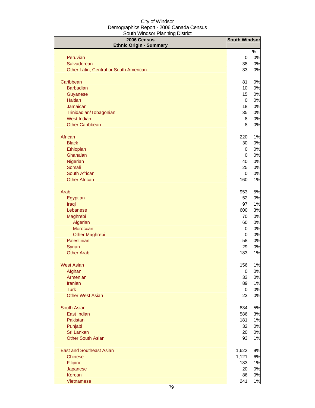| 2006 Census                                  | <b>South Windsor</b>   |          |
|----------------------------------------------|------------------------|----------|
| <b>Ethnic Origin - Summary</b>               |                        |          |
| Peruvian                                     | $\mathbf 0$            | %<br>0%  |
| Salvadorean                                  | 38                     | 0%       |
| Other Latin, Central or South American       | 33                     | 0%       |
|                                              |                        |          |
| Caribbean                                    | 81                     | 0%       |
| <b>Barbadian</b>                             | 10                     | 0%       |
| Guyanese                                     | 15                     | 0%       |
| <b>Haitian</b>                               | $\overline{0}$         | 0%       |
| Jamaican                                     | 18                     | 0%       |
| Trinidadian/Tobagonian<br><b>West Indian</b> | 35<br>$\boldsymbol{8}$ | 0%<br>0% |
| <b>Other Caribbean</b>                       | 8                      | 0%       |
|                                              |                        |          |
| African                                      | 220                    | 1%       |
| <b>Black</b>                                 | 30                     | 0%       |
| Ethiopian                                    | $\mathbf 0$            | 0%       |
| Ghanaian                                     | $\mathbf 0$            | 0%       |
| Nigerian                                     | 40                     | 0%       |
| Somali                                       | 25                     | 0%       |
| South African<br><b>Other African</b>        | $\mathbf 0$<br>160     | 0%<br>1% |
|                                              |                        |          |
| Arab                                         | 953                    | 5%       |
| Egyptian                                     | 52                     | 0%       |
| Iraqi                                        | 97                     | 1%       |
| Lebanese                                     | 600                    | 3%       |
| Maghrebi                                     | 70                     | 0%       |
| Algerian                                     | 60                     | 0%       |
| Moroccan                                     | $\mathbf 0$            | 0%       |
| <b>Other Maghrebi</b>                        | $\mathbf 0$            | 0%       |
| Palestinian<br>Syrian                        | 58<br>29               | 0%       |
| <b>Other Arab</b>                            | 183                    | 0%<br>1% |
|                                              |                        |          |
| <b>West Asian</b>                            | 156                    | 1%       |
| Afghan                                       | $\mathbf 0$            | 0%       |
| Armenian                                     | 33                     | 0%       |
| <b>Iranian</b>                               | 89                     | 1%       |
| <b>Turk</b>                                  | $\mathbf 0$            | 0%       |
| <b>Other West Asian</b>                      | 23                     | 0%       |
| South Asian                                  | 834                    | 5%       |
| East Indian                                  | 586                    | 3%       |
| Pakistani                                    | 181                    | 1%       |
| Punjabi                                      | 32                     | 0%       |
| Sri Lankan                                   | 20                     | 0%       |
| <b>Other South Asian</b>                     | 93                     | 1%       |
| <b>East and Southeast Asian</b>              | 1,622                  | 9%       |
| <b>Chinese</b>                               | 1,121                  | 6%       |
| Filipino                                     | 183                    | 1%       |
| Japanese                                     | 20                     | 0%       |
| Korean                                       | 86                     | 0%       |
| Vietnamese                                   | 241                    | 1%       |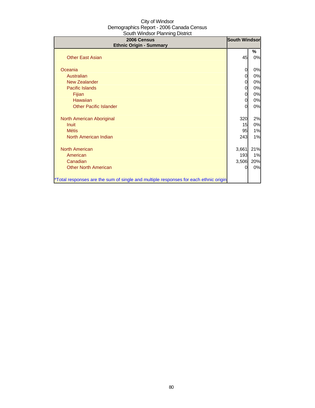| 2006 Census<br><b>Ethnic Origin - Summary</b>                                        | <b>South Windsor</b> |     |
|--------------------------------------------------------------------------------------|----------------------|-----|
|                                                                                      |                      | %   |
| <b>Other East Asian</b>                                                              | 45                   | 0%  |
| Oceania                                                                              | 0                    | 0%  |
| Australian                                                                           | $\Omega$             | 0%  |
| New Zealander                                                                        | $\Omega$             | 0%  |
| Pacific Islands                                                                      | 0                    | 0%  |
| Fijian                                                                               | 0                    | 0%  |
| Hawaiian                                                                             | 0                    | 0%  |
| <b>Other Pacific Islander</b>                                                        | O                    | 0%  |
| North American Aboriginal                                                            | 320                  | 2%  |
| Inuit                                                                                | 15                   | 0%  |
| <b>Métis</b>                                                                         | 95                   | 1%  |
| North American Indian                                                                | 243                  | 1%  |
| North American                                                                       | 3,661                | 21% |
| American                                                                             | 193                  | 1%  |
| Canadian                                                                             | 3,506                | 20% |
| <b>Other North American</b>                                                          | $\Omega$             | 0%  |
| *Total responses are the sum of single and multiple responses for each ethnic origin |                      |     |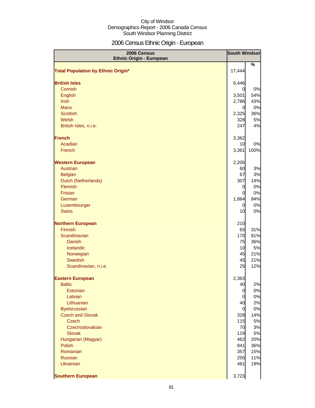# 2006 Census Ethnic Origin - European

| 2006 Census<br><b>Ethnic Origin - European</b> | <b>South Windsor</b> |            |
|------------------------------------------------|----------------------|------------|
|                                                |                      | %          |
| <b>Total Population by Ethnic Origin*</b>      | 17,444               |            |
|                                                |                      |            |
| <b>British Isles</b>                           | 6,446                |            |
| Cornish                                        | 0                    | 0%         |
| English<br><b>Irish</b>                        | 3,501<br>2,786       | 54%<br>43% |
| <b>Manx</b>                                    | $\overline{0}$       | 0%         |
| <b>Scottish</b>                                | 2,325                | 36%        |
| Welsh                                          | 328                  | 5%         |
| British Isles, n.i.e.                          | 247                  | 4%         |
|                                                |                      |            |
| <b>French</b>                                  | 3,362                |            |
| Acadian                                        | 10                   | 0%         |
| French                                         | 3,361                | 100%       |
|                                                |                      |            |
| <b>Western European</b>                        | 2,205                |            |
| Austrian                                       | 60                   | 3%         |
| <b>Belgian</b>                                 | 67                   | 3%         |
| Dutch (Netherlands)                            | 307                  | 14%        |
| Flemish                                        | 0                    | 0%         |
| Frisian                                        | 0                    | 0%         |
| German                                         | 1,864                | 84%        |
| Luxembourger                                   | $\overline{0}$       | 0%         |
| <b>Swiss</b>                                   | 10                   | 0%         |
| <b>Northern European</b>                       | 210                  |            |
| <b>Finnish</b>                                 | 65                   | 31%        |
| Scandinavian                                   | 170                  | 81%        |
| <b>Danish</b>                                  | 75                   | 36%        |
| Icelandic                                      | 10                   | 5%         |
| Norwegian                                      | 45                   | 21%        |
| <b>Swedish</b>                                 | 45                   | 21%        |
| Scandinavian, n.i.e.                           | 25                   | 12%        |
| <b>Eastern European</b>                        | 2,363                |            |
| <b>Baltic</b>                                  | 40                   | 2%         |
| Estonian                                       | $\overline{0}$       | 0%         |
| Latvian                                        | 0                    | 0%         |
| Lithuanian                                     | 40                   | 2%         |
| <b>Byelorussian</b>                            | $\overline{0}$       | 0%         |
| <b>Czech and Slovak</b>                        | 328                  | 14%        |
| <b>Czech</b>                                   | 115                  | 5%         |
| Czechoslovakian                                | 70                   | 3%         |
| <b>Slovak</b>                                  | 119                  | 5%         |
| Hungarian (Magyar)                             | 462                  | 20%        |
| Polish                                         | 841                  | 36%        |
| Romanian                                       | 357                  | 15%        |
| <b>Russian</b>                                 | 255                  | 11%        |
| <b>Ukrainian</b>                               | 461                  | 19%        |
| <b>Southern European</b>                       | 3,723                |            |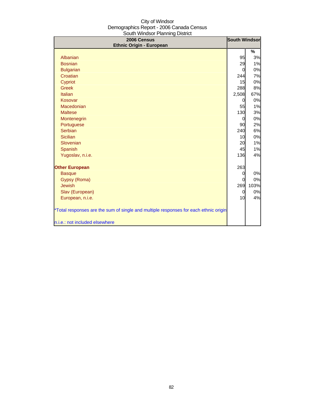| 2006 Census<br><b>Ethnic Origin - European</b>                                       | <b>South Windsor</b> |      |
|--------------------------------------------------------------------------------------|----------------------|------|
|                                                                                      |                      | %    |
| Albanian                                                                             | 95                   | 3%   |
| <b>Bosnian</b>                                                                       | 29                   | 1%   |
| <b>Bulgarian</b>                                                                     | 0                    | 0%   |
| Croatian                                                                             | 244                  | 7%   |
| Cypriot                                                                              | 15                   | 0%   |
| <b>Greek</b>                                                                         | 288                  | 8%   |
| Italian                                                                              | 2,508                | 67%  |
| Kosovar                                                                              | 0                    | 0%   |
| Macedonian                                                                           | 55                   | 1%   |
| <b>Maltese</b>                                                                       | 130                  | 3%   |
| Montenegrin                                                                          | 0                    | 0%   |
| Portuguese                                                                           | 90                   | 2%   |
| Serbian                                                                              | 240                  | 6%   |
| <b>Sicilian</b>                                                                      | 10                   | 0%   |
| Slovenian                                                                            | 20                   | 1%   |
| Spanish                                                                              | 45                   | 1%   |
| Yugoslav, n.i.e.                                                                     | 136                  | 4%   |
| <b>Other European</b>                                                                | 263                  |      |
| <b>Basque</b>                                                                        | 0                    | 0%   |
| Gypsy (Roma)                                                                         | 0                    | 0%   |
| <b>Jewish</b>                                                                        | 269                  | 103% |
| Slav (European)                                                                      | 0                    | 0%   |
| European, n.i.e.                                                                     | 10                   | 4%   |
| *Total responses are the sum of single and multiple responses for each ethnic origin |                      |      |
| n.i.e.: not included elsewhere                                                       |                      |      |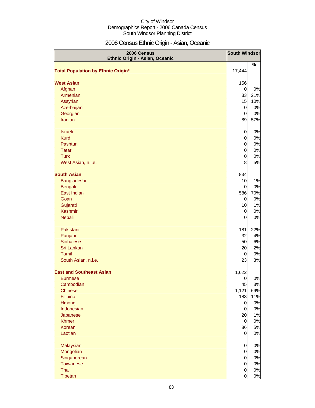# 2006 Census Ethnic Origin - Asian, Oceanic

| 2006 Census<br>Ethnic Origin - Asian, Oceanic | <b>South Windsor</b> |       |
|-----------------------------------------------|----------------------|-------|
| <b>Total Population by Ethnic Origin*</b>     | 17,444               | %     |
|                                               |                      |       |
| <b>West Asian</b>                             | 156                  |       |
| Afghan                                        | $\overline{0}$       | 0%    |
| Armenian                                      | 33                   | 21%   |
| Assyrian                                      | 15                   | 10%   |
| Azerbaijani                                   | $\overline{0}$       | 0%    |
| Georgian                                      | $\overline{0}$       | 0%    |
| <b>Iranian</b>                                | 89                   | 57%   |
| <b>Israeli</b>                                | $\overline{0}$       | 0%    |
| <b>Kurd</b>                                   | $\overline{0}$       | 0%    |
| Pashtun                                       | $\overline{0}$       | 0%    |
| <b>Tatar</b>                                  | $\overline{0}$       | 0%    |
| <b>Turk</b>                                   | $\overline{0}$       | 0%    |
| West Asian, n.i.e.                            | 8                    | 5%    |
| <b>South Asian</b>                            | 834                  |       |
| Bangladeshi                                   | 10                   | 1%    |
| <b>Bengali</b>                                | 0                    | $0\%$ |
| East Indian                                   | 586                  | 70%   |
| Goan                                          | $\overline{0}$       | 0%    |
| Gujarati                                      | 10                   | 1%    |
| Kashmiri                                      | $\overline{0}$       | $0\%$ |
| Nepali                                        | $\Omega$             | 0%    |
| Pakistani                                     | 181                  | 22%   |
| Punjabi                                       | 32                   | 4%    |
| <b>Sinhalese</b>                              | 50                   | 6%    |
| Sri Lankan                                    | 20                   | 2%    |
| Tamil                                         | $\mathbf 0$          | 0%    |
| South Asian, n.i.e.                           | 23                   | 3%    |
| <b>East and Southeast Asian</b>               | 1,622                |       |
| <b>Burmese</b>                                | $\overline{O}$       | 0%    |
| Cambodian                                     | 45                   | 3%    |
| <b>Chinese</b>                                | 1,121                | 69%   |
| Filipino                                      | 183                  | 11%   |
| Hmong                                         | $\overline{0}$       | 0%    |
| Indonesian                                    | $\overline{0}$       | 0%    |
| Japanese                                      | 20                   | 1%    |
| <b>Khmer</b>                                  | $\overline{0}$       | 0%    |
| Korean                                        | 86                   | 5%    |
| Laotian                                       | $\overline{0}$       | 0%    |
| Malaysian                                     | $\overline{0}$       | 0%    |
| Mongolian                                     | $\overline{0}$       | $0\%$ |
| Singaporean                                   | $\overline{0}$       | $0\%$ |
| <b>Taiwanese</b>                              | $\overline{0}$       | $0\%$ |
| Thai                                          | $\overline{0}$       | 0%    |
| <b>Tibetan</b>                                | $\overline{0}$       | 0%    |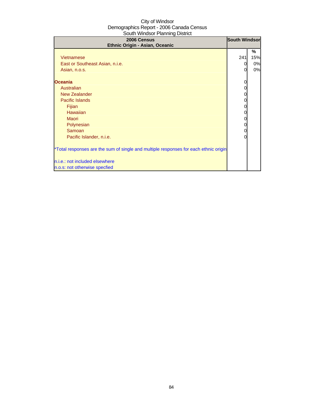| 2006 Census<br>Ethnic Origin - Asian, Oceanic                                        | <b>South Windsor</b> |     |
|--------------------------------------------------------------------------------------|----------------------|-----|
|                                                                                      |                      | %   |
| Vietnamese                                                                           | 241                  | 15% |
| East or Southeast Asian, n.i.e.                                                      | 0                    | 0%  |
| Asian, n.o.s.                                                                        | 0                    | 0%  |
| <b>Oceania</b>                                                                       |                      |     |
| Australian                                                                           | 0                    |     |
| <b>New Zealander</b>                                                                 | 0                    |     |
| <b>Pacific Islands</b>                                                               | 0                    |     |
| Fijian                                                                               | 0                    |     |
| Hawaiian                                                                             | 0                    |     |
| <b>Maori</b>                                                                         | 0                    |     |
| Polynesian                                                                           | 0                    |     |
| Samoan                                                                               | 0                    |     |
| Pacific Islander, n.i.e.                                                             | 0                    |     |
| *Total responses are the sum of single and multiple responses for each ethnic origin |                      |     |
| n.i.e.: not included elsewhere                                                       |                      |     |
| n.o.s: not otherwise specfied                                                        |                      |     |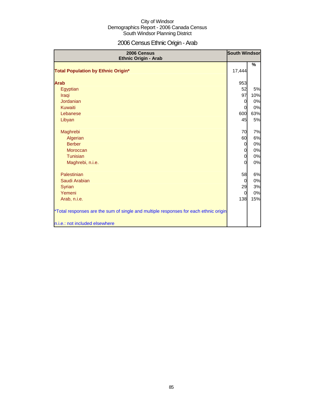# 2006 Census Ethnic Origin - Arab

| 2006 Census<br>Ethnic Origin - Arab                                                  | <b>South Windsor</b> |     |
|--------------------------------------------------------------------------------------|----------------------|-----|
| <b>Total Population by Ethnic Origin*</b>                                            | 17,444               | %   |
|                                                                                      |                      |     |
| <b>Arab</b>                                                                          | 953                  |     |
| Egyptian                                                                             | 52                   | 5%  |
| Iraqi                                                                                | 97                   | 10% |
| <b>Jordanian</b>                                                                     | $\mathbf 0$          | 0%  |
| Kuwaiti                                                                              | $\mathbf 0$          | 0%  |
| Lebanese                                                                             | 600                  | 63% |
| Libyan                                                                               | 45                   | 5%  |
| Maghrebi                                                                             | 70                   | 7%  |
| Algerian                                                                             | 60                   | 6%  |
| <b>Berber</b>                                                                        | $\mathbf 0$          | 0%  |
| Moroccan                                                                             | $\overline{0}$       | 0%  |
| Tunisian                                                                             | $\mathbf 0$          | 0%  |
| Maghrebi, n.i.e.                                                                     | $\Omega$             | 0%  |
| Palestinian                                                                          | 58                   | 6%  |
| Saudi Arabian                                                                        | $\Omega$             | 0%  |
| <b>Syrian</b>                                                                        | 29                   | 3%  |
| Yemeni                                                                               | 0                    | 0%  |
| Arab, n.i.e.                                                                         | 138                  | 15% |
| *Total responses are the sum of single and multiple responses for each ethnic origin |                      |     |
| n.i.e.: not included elsewhere                                                       |                      |     |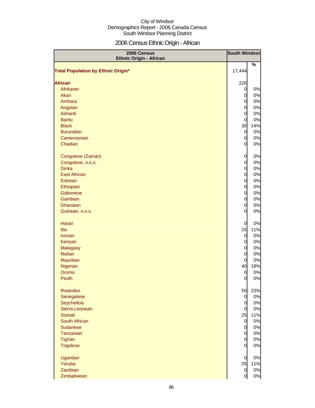# 2006 Census Ethnic Origin - African

| 2006 Census<br><b>Ethnic Origin - African</b> |                | <b>South Windsor</b> |
|-----------------------------------------------|----------------|----------------------|
|                                               |                | %                    |
| <b>Total Population by Ethnic Origin*</b>     | 17,444         |                      |
| <b>African</b>                                | 220            |                      |
| Afrikaner                                     | $\overline{0}$ | 0%                   |
| Akan                                          | $\overline{0}$ | $0\%$                |
| Amhara                                        | $\overline{0}$ | 0%                   |
| Angolan                                       | $\overline{0}$ | 0%                   |
| Ashanti                                       | $\overline{0}$ | 0%                   |
| <b>Bantu</b>                                  | $\overline{0}$ | 0%                   |
| <b>Black</b>                                  | 30             | 14%                  |
| <b>Burundian</b>                              | $\overline{0}$ | 0%                   |
| Cameroonian                                   | $\overline{0}$ | 0%                   |
| Chadian                                       | $\overline{0}$ | 0%                   |
|                                               |                |                      |
| Congolese (Zairian)                           | $\overline{0}$ | 0%                   |
| Congolese, n.o.s.                             | $\overline{0}$ | 0%                   |
| <b>Dinka</b>                                  | $\overline{O}$ | 0%                   |
| <b>East African</b>                           | $\overline{0}$ | 0%                   |
| Eritrean                                      | $\overline{0}$ | 0%                   |
| Ethiopian                                     | $\overline{0}$ | 0%                   |
| Gabonese                                      | $\overline{0}$ | 0%                   |
| Gambian                                       | $\overline{0}$ | 0%                   |
| Ghanaian                                      | $\overline{0}$ | 0%                   |
| Guinean, n.o.s.                               | 0              | 0%                   |
| Harari                                        | $\mathbf 0$    | 0%                   |
| Ibo                                           | 25             | 11%                  |
| <b>Ivorian</b>                                | $\overline{0}$ | 0%                   |
| Kenyan                                        | $\overline{0}$ | 0%                   |
| Malagasy                                      | $\overline{0}$ | 0%                   |
| <b>Malian</b>                                 | $\overline{0}$ | 0%                   |
| <b>Mauritian</b>                              | $\overline{0}$ | 0%                   |
| Nigerian                                      | 40             | 18%                  |
| Oromo                                         | $\overline{0}$ | 0%                   |
| Peulh                                         | $\overline{0}$ | 0%                   |
| Rwandan                                       | 50             | 23%                  |
| Senegalese                                    | $\overline{O}$ | $0\%$                |
| Seychellois                                   | $\overline{0}$ | 0%                   |
| Sierra Leonean                                | $\overline{0}$ | 0%                   |
| Somali                                        | 25             | 11%                  |
| South African                                 | $\overline{0}$ | 0%                   |
| Sudanese                                      | $\overline{0}$ | 0%                   |
| Tanzanian                                     | $\overline{0}$ | 0%                   |
| <b>Tigrian</b>                                | $\overline{0}$ | 0%                   |
| <b>Togolese</b>                               | $\overline{0}$ | 0%                   |
| Ugandan                                       | $\mathbf 0$    | 0%                   |
| Yoruba                                        | 25             | 11%                  |
| Zambian                                       | $\overline{0}$ | 0%                   |
| Zimbabwean                                    | $\overline{0}$ | $0\%$                |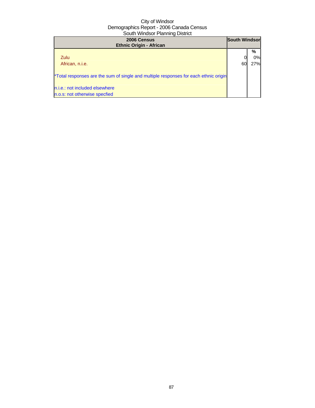| 2006 Census<br><b>Ethnic Origin - African</b>                                        | <b>South Windsor</b> |     |
|--------------------------------------------------------------------------------------|----------------------|-----|
|                                                                                      |                      | %   |
| <b>Zulu</b>                                                                          |                      | 0%  |
| African, n.i.e.                                                                      | 60                   | 27% |
| *Total responses are the sum of single and multiple responses for each ethnic origin |                      |     |
| n.i.e.: not included elsewhere                                                       |                      |     |
| n.o.s: not otherwise specfied                                                        |                      |     |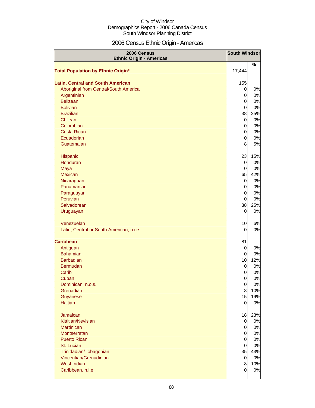# 2006 Census Ethnic Origin - Americas

| 2006 Census<br><b>Ethnic Origin - Americas</b> |                                  |               |
|------------------------------------------------|----------------------------------|---------------|
|                                                |                                  | $\frac{9}{6}$ |
| <b>Total Population by Ethnic Origin*</b>      | 17,444                           |               |
|                                                |                                  |               |
| <b>Latin, Central and South American</b>       | 155                              |               |
| Aboriginal from Central/South America          | $\overline{0}$                   | 0%            |
| Argentinian<br><b>Belizean</b>                 | $\overline{0}$<br>$\overline{0}$ | 0%<br>0%      |
| <b>Bolivian</b>                                | $\overline{0}$                   | 0%            |
| <b>Brazilian</b>                               | 38                               | 25%           |
| Chilean                                        | $\overline{0}$                   | 0%            |
| Colombian                                      | $\overline{0}$                   | 0%            |
| <b>Costa Rican</b>                             | $\overline{0}$                   | 0%            |
| Ecuadorian                                     | $\overline{0}$                   | 0%            |
| Guatemalan                                     | 8                                | 5%            |
|                                                |                                  |               |
| Hispanic                                       | 23                               | 15%           |
| Honduran                                       | $\overline{0}$                   | 0%            |
| Maya                                           | $\overline{0}$                   | 0%            |
| Mexican                                        | 65                               | 42%           |
| Nicaraguan                                     | $\overline{0}$                   | 0%            |
| Panamanian                                     | $\overline{0}$                   | 0%            |
| Paraguayan                                     | $\overline{0}$                   | 0%            |
| Peruvian                                       | $\overline{0}$                   | 0%            |
| Salvadorean                                    | 38                               | 25%           |
| Uruguayan                                      | $\overline{0}$                   | 0%            |
|                                                |                                  |               |
| Venezuelan                                     | 10                               | 6%            |
| Latin, Central or South American, n.i.e.       | 0                                | 0%            |
|                                                |                                  |               |
| <b>Caribbean</b>                               | 81                               |               |
| Antiguan                                       | $\overline{0}$                   | 0%            |
| <b>Bahamian</b>                                | 0                                | 0%            |
| <b>Barbadian</b>                               | 10                               | 12%           |
| <b>Bermudan</b>                                | $\overline{0}$                   | 0%            |
| Carib                                          | $\overline{0}$                   | 0%            |
| Cuban                                          | $\overline{0}$                   | 0%            |
| Dominican, n.o.s.                              | $\overline{0}$                   | 0%            |
| Grenadian                                      | 8                                | 10%           |
| Guyanese                                       | 15                               | 19%           |
| <b>Haitian</b>                                 | $\overline{0}$                   | 0%            |
|                                                |                                  |               |
| Jamaican                                       | 18                               | 23%           |
| Kittitian/Nevisian<br><b>Martinican</b>        | $\overline{0}$                   | 0%<br>0%      |
| Montserratan                                   | $\overline{0}$<br>$\overline{0}$ | 0%            |
| <b>Puerto Rican</b>                            | $\overline{0}$                   | 0%            |
| St. Lucian                                     | $\overline{0}$                   | 0%            |
| Trinidadian/Tobagonian                         | 35                               | 43%           |
| Vincentian/Grenadinian                         | $\overline{0}$                   | 0%            |
| <b>West Indian</b>                             | 8                                | 10%           |
| Caribbean, n.i.e.                              | $\overline{0}$                   | 0%            |
|                                                |                                  |               |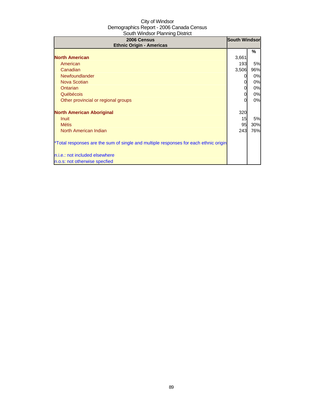| 2006 Census<br><b>Ethnic Origin - Americas</b>                                       | <b>South Windsor</b> |     |
|--------------------------------------------------------------------------------------|----------------------|-----|
|                                                                                      |                      | %   |
| <b>North American</b>                                                                | 3,661                |     |
| American                                                                             | 193                  | 5%  |
| Canadian                                                                             | 3,506                | 96% |
| Newfoundlander                                                                       |                      | 0%  |
| Nova Scotian                                                                         |                      | 0%  |
| Ontarian                                                                             | 0                    | 0%  |
| Québécois                                                                            |                      | 0%  |
| Other provincial or regional groups                                                  |                      | 0%  |
| <b>North American Aboriginal</b>                                                     | 320                  |     |
| Inuit                                                                                | 15                   | 5%  |
| <b>Métis</b>                                                                         | 95                   | 30% |
| North American Indian                                                                | 243                  | 76% |
| *Total responses are the sum of single and multiple responses for each ethnic origin |                      |     |
| n.i.e.: not included elsewhere                                                       |                      |     |
| n.o.s: not otherwise specfied                                                        |                      |     |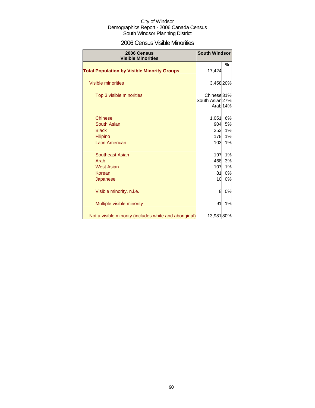### 2006 Census Visible Minorities

| 2006 Census<br><b>Visible Minorities</b>               | <b>South Windsor</b>   |                     |
|--------------------------------------------------------|------------------------|---------------------|
| <b>Total Population by Visible Minority Groups</b>     | 17,424                 | %                   |
|                                                        |                        |                     |
| <b>Visible minorities</b>                              | 3,458 20%              |                     |
| Top 3 visible minorities                               | Chinese <sup>31%</sup> |                     |
|                                                        | South Asian 27%        | Arab <sub>14%</sub> |
| <b>Chinese</b>                                         | 1,051                  | 6%                  |
| South Asian                                            | 904                    | 5%                  |
| <b>Black</b>                                           | 253                    | 1%                  |
| Filipino                                               | 178                    | 1%                  |
| <b>Latin American</b>                                  | 103                    | 1%                  |
| <b>Southeast Asian</b>                                 | 197                    | 1%                  |
| Arab                                                   | 468                    | 3%                  |
| <b>West Asian</b>                                      | 107                    | 1%                  |
| Korean                                                 | 81                     | 0%                  |
| Japanese                                               | 10                     | 0%                  |
| Visible minority, n.i.e.                               | 8                      | 0%                  |
| Multiple visible minority                              | 91                     | 1%                  |
| Not a visible minority (includes white and aboriginal) | 13,981 80%             |                     |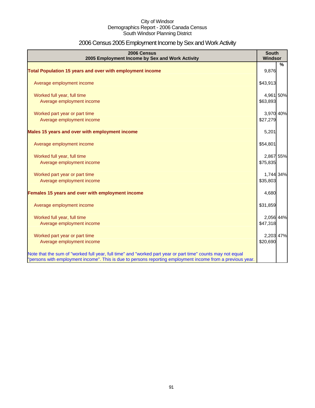# 2006 Census 2005 Employment Income by Sex and Work Activity

| 2006 Census<br>2005 Employment Income by Sex and Work Activity                                                                                                                                                            | <b>South</b><br>Windsor |   |
|---------------------------------------------------------------------------------------------------------------------------------------------------------------------------------------------------------------------------|-------------------------|---|
|                                                                                                                                                                                                                           |                         | % |
| Total Population 15 years and over with employment income                                                                                                                                                                 | 9,876                   |   |
| Average employment income                                                                                                                                                                                                 | \$43,913                |   |
| Worked full year, full time                                                                                                                                                                                               | 4,961 50%               |   |
| Average employment income                                                                                                                                                                                                 | \$63,893                |   |
| Worked part year or part time                                                                                                                                                                                             | 3,970 40%               |   |
| Average employment income                                                                                                                                                                                                 | \$27,279                |   |
| Males 15 years and over with employment income                                                                                                                                                                            | 5,201                   |   |
| Average employment income                                                                                                                                                                                                 | \$54,801                |   |
| Worked full year, full time                                                                                                                                                                                               | 2,867 55%               |   |
| Average employment income                                                                                                                                                                                                 | \$75,835                |   |
| Worked part year or part time                                                                                                                                                                                             | 1,744 34%               |   |
| Average employment income                                                                                                                                                                                                 | \$35,803                |   |
| Females 15 years and over with employment income                                                                                                                                                                          | 4,680                   |   |
| Average employment income                                                                                                                                                                                                 | \$31,859                |   |
| Worked full year, full time                                                                                                                                                                                               | 2,056 44%               |   |
| Average employment income                                                                                                                                                                                                 | \$47,318                |   |
| Worked part year or part time                                                                                                                                                                                             | 2,203 47%               |   |
| Average employment income                                                                                                                                                                                                 | \$20,690                |   |
| Note that the sum of "worked full year, full time" and "worked part year or part time" counts may not equal<br>"persons with employment income". This is due to persons reporting employment income from a previous year. |                         |   |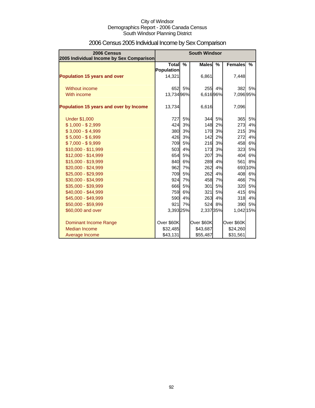| 2006 Census<br>2005 Individual Income by Sex Comparison |                            | <b>South Windsor</b> |              |               |                |         |
|---------------------------------------------------------|----------------------------|----------------------|--------------|---------------|----------------|---------|
|                                                         | Total<br><b>Population</b> | $\frac{9}{6}$        | <b>Males</b> | $\frac{9}{6}$ | <b>Females</b> | %       |
| <b>Population 15 years and over</b>                     | 14,321                     |                      | 6,861        |               | 7,448          |         |
| Without income                                          | 652                        | 5%                   | 255          | 4%            | 382            | 5%      |
| With income                                             | 13,734 96%                 |                      | 6,61696%     |               | 7,096 95%      |         |
| Population 15 years and over by Income                  | 13,734                     |                      | 6,616        |               | 7,096          |         |
| <b>Under \$1,000</b>                                    | 727                        | 5%                   | 344          | 5%            | 365            | 5%      |
| $$1,000 - $2,999$                                       | 424                        | 3%                   | 148          | 2%            | 273            | 4%      |
| $$3,000 - $4,999$                                       | 380                        | 3%                   | 170          | 3%            | 215            | 3%      |
| $$5,000 - $6,999$                                       | 426                        | 3%                   | 142          | 2%            | 272            | 4%      |
| $$7,000 - $9,999$                                       | 709                        | 5%                   | 216          | 3%            | 458            | 6%      |
| \$10,000 - \$11,999                                     | 503                        | 4%                   | 173          | 3%            | 323            | 5%      |
| \$12,000 - \$14,999                                     | 654                        | 5%                   | 207          | 3%            | 404            | 6%      |
| \$15,000 - \$19,999                                     | 840                        | 6%                   | 289          | 4%            | 561            | 8%      |
| \$20,000 - \$24,999                                     | 962                        | 7%                   | 262          | 4%            |                | 693 10% |
| \$25,000 - \$29,999                                     | 709                        | 5%                   | 262          | 4%            | 408            | 6%      |
| \$30,000 - \$34,999                                     | 924                        | 7%                   | 458          | 7%            | 466            | 7%      |
| \$35,000 - \$39,999                                     | 666                        | 5%                   | 301          | 5%            | 320            | 5%      |
| \$40,000 - \$44,999                                     | 759                        | 6%                   | 321          | 5%            | 415            | 6%      |
| \$45,000 - \$49,999                                     | 590                        | 4%                   | 263          | 4%            | 318            | 4%      |
| \$50,000 - \$59,999                                     | 921                        | 7%                   |              | 524 8%        | 390            | 5%      |
| \$60,000 and over                                       | 3,393 25%                  |                      | 2,337 35%    |               | 1,042 15%      |         |
| Dominant Income Range                                   | Over \$60K                 |                      | Over \$60K   |               | Over \$60K     |         |
| Median Income                                           | \$32,485                   |                      | \$43,687     |               | \$24,260       |         |
| Average Income                                          | \$43,131                   |                      | \$55,487     |               | \$31,561       |         |

# 2006 Census 2005 Individual Income by Sex Comparison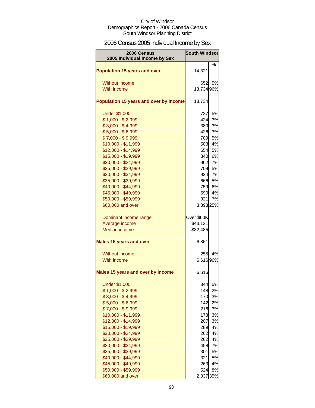# 2006 Census 2005 Individual Income by Sex

| <b>2006 Census</b><br>2005 Individual Income by Sex | <b>South Windsor</b> |          |
|-----------------------------------------------------|----------------------|----------|
|                                                     |                      | ℅        |
| <b>Population 15 years and over</b>                 | 14,321               |          |
|                                                     | 652                  |          |
| <b>Without income</b><br>With income                | 13,734 96%           | 5%       |
|                                                     |                      |          |
| Population 15 years and over by Income              | 13,734               |          |
| <b>Under \$1,000</b>                                | 727                  | 5%       |
| $$1,000 - $2,999$                                   | 424                  | 3%       |
| $$3,000 - $4,999$                                   | 380                  | 3%       |
| $$5,000 - $6,999$                                   | 426<br>709           | 3%       |
| $$7,000 - $9,999$<br>\$10,000 - \$11,999            | 503                  | 5%<br>4% |
| \$12,000 - \$14,999                                 | 654                  | 5%       |
| \$15,000 - \$19,999                                 | 840                  | 6%       |
| \$20,000 - \$24,999                                 | 962                  | 7%       |
| \$25,000 - \$29,999                                 | 709                  | 5%       |
| \$30,000 - \$34,999                                 | 924                  | 7%       |
| \$35,000 - \$39,999                                 | 666                  | 5%       |
| \$40,000 - \$44,999                                 | 759                  | 6%       |
| \$45,000 - \$49,999                                 | 590                  | 4%       |
| \$50,000 - \$59,999                                 | 921                  | 7%       |
| \$60,000 and over                                   | 3,393 25%            |          |
| Dominant income range                               | Over \$60K           |          |
| Average income                                      | \$43,131             |          |
| <b>Median income</b>                                | \$32,485             |          |
| <b>Males 15 years and over</b>                      | 6,861                |          |
| Without income                                      | 255                  | 4%       |
| With income                                         | 6,616 96%            |          |
| <b>Males 15 years and over by Income</b>            | 6,616                |          |
| <b>Under \$1,000</b>                                | 344                  | 5%       |
| $$1,000 - $2,999$                                   | 148                  | 2%       |
| $$3,000 - $4,999$                                   | 170                  | 3%       |
| $$5,000 - $6,999$                                   | 142                  | 2%       |
| \$7,000 - \$9,999                                   | 216                  | 3%       |
| \$10,000 - \$11,999                                 | 173                  | 3%       |
| \$12,000 - \$14,999                                 | 207                  | 3%       |
| \$15,000 - \$19,999<br>\$20,000 - \$24,999          | 289<br>262           | 4%<br>4% |
| \$25,000 - \$29,999                                 | 262                  | 4%       |
| \$30,000 - \$34,999                                 | 458                  | 7%       |
| \$35,000 - \$39,999                                 | 301                  | 5%       |
| \$40,000 - \$44,999                                 | 321                  | 5%       |
| \$45,000 - \$49,999                                 | 263                  | 4%       |
| \$50,000 - \$59,999                                 | 524                  | 8%       |
| \$60,000 and over                                   | 2,337 35%            |          |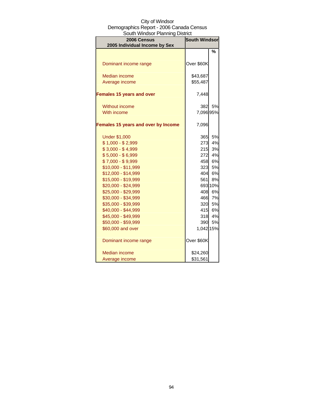| ouun vviilusui Fianinių Distilut             |                      |         |  |
|----------------------------------------------|----------------------|---------|--|
| 2006 Census<br>2005 Individual Income by Sex | <b>South Windsor</b> |         |  |
|                                              |                      | %       |  |
|                                              |                      |         |  |
| Dominant income range                        | Over \$60K           |         |  |
| <b>Median income</b>                         | \$43,687             |         |  |
| Average income                               | \$55,487             |         |  |
| <b>Females 15 years and over</b>             | 7,448                |         |  |
| <b>Without income</b>                        | 382                  | 5%      |  |
| With income                                  | 7,096 95%            |         |  |
| <b>Females 15 years and over by Income</b>   | 7,096                |         |  |
| <b>Under \$1,000</b>                         | 365                  | 5%      |  |
| $$1,000 - $2,999$                            | 273                  | 4%      |  |
| $$3,000 - $4,999$                            | 215                  | 3%      |  |
| $$5,000 - $6,999$                            | 272                  | 4%      |  |
| $$7,000 - $9,999$                            | 458                  | 6%      |  |
| \$10,000 - \$11,999                          | 323                  | 5%      |  |
| \$12,000 - \$14,999                          | 404                  | 6%      |  |
| \$15,000 - \$19,999                          | 561                  | 8%      |  |
| \$20,000 - \$24,999                          |                      | 693 10% |  |
| \$25,000 - \$29,999                          | 408                  | 6%      |  |
| \$30,000 - \$34,999                          | 466                  | 7%      |  |
| \$35,000 - \$39,999                          | 320                  | 5%      |  |
| \$40,000 - \$44,999                          | 415                  | 6%      |  |
| \$45,000 - \$49,999                          | 318                  | 4%      |  |
| \$50,000 - \$59,999                          | 390                  | 5%      |  |
| \$60,000 and over                            | 1,042 15%            |         |  |
| Dominant income range                        | Over \$60K           |         |  |
| <b>Median income</b>                         | \$24,260             |         |  |
| Average income                               | \$31,561             |         |  |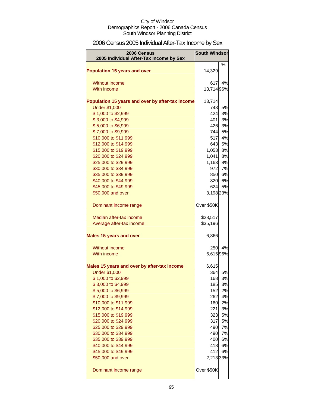# 2006 Census 2005 Individual After-Tax Income by Sex

| 2006 Census                                         | <b>South Windsor</b> |          |
|-----------------------------------------------------|----------------------|----------|
| 2005 Individual After-Tax Income by Sex             |                      |          |
|                                                     |                      | $\%$     |
| <b>Population 15 years and over</b>                 | 14,329               |          |
|                                                     |                      |          |
| Without income                                      | 617                  | 4%       |
| With income                                         | 13,714 96%           |          |
| Population 15 years and over by after-tax income    | 13,714               |          |
| <b>Under \$1,000</b>                                | 743                  | 5%       |
| \$1,000 to \$2,999                                  | 424                  | 3%       |
| \$3,000 to \$4,999                                  | 401 <b>1</b>         | 3%       |
| \$5,000 to \$6,999                                  | 426                  | 3%       |
| \$7,000 to \$9,999                                  | 744                  | 5%       |
| \$10,000 to \$11,999                                | 517                  | 4%       |
| \$12,000 to \$14,999                                | 643                  | 5%       |
| \$15,000 to \$19,999                                | 1,053                | 8%       |
| \$20,000 to \$24,999                                | 1,041                | 8%       |
| \$25,000 to \$29,999                                | 1,163                | 8%       |
| \$30,000 to \$34,999                                | 972                  | 7%       |
| \$35,000 to \$39,999                                | 850                  | 6%       |
| \$40,000 to \$44,999                                | 820                  | 6%       |
| \$45,000 to \$49,999<br>\$50,000 and over           | 624<br>3,198 23%     | 5%       |
|                                                     |                      |          |
| Dominant income range                               | Over \$50K           |          |
|                                                     |                      |          |
| Median after-tax income<br>Average after-tax income | \$28,517<br>\$35,196 |          |
|                                                     |                      |          |
| <b>Males 15 years and over</b>                      | 6,866                |          |
| Without income                                      | 250                  | 4%       |
| With income                                         | 6,615 96%            |          |
|                                                     |                      |          |
| Males 15 years and over by after-tax income         | 6,615                |          |
| <b>Under \$1,000</b>                                | 364                  | 5%       |
| \$1,000 to \$2,999                                  | 168                  | 3%       |
| \$3,000 to \$4,999                                  | 185                  | 3%       |
| \$5,000 to \$6,999<br>\$7,000 to \$9,999            | 152<br>262           | 2%<br>4% |
| \$10,000 to \$11,999                                | 160                  | 2%       |
| \$12,000 to \$14,999                                | 221                  | 3%       |
| \$15,000 to \$19,999                                | 323                  | 5%       |
| \$20,000 to \$24,999                                | 317                  | 5%       |
| \$25,000 to \$29,999                                | 490                  | 7%       |
| \$30,000 to \$34,999                                | 490                  | 7%       |
| \$35,000 to \$39,999                                | 400                  | 6%       |
| \$40,000 to \$44,999                                | 418                  | 6%       |
| \$45,000 to \$49,999                                | 412                  | 6%       |
| \$50,000 and over                                   | 2,213 33%            |          |
| Dominant income range                               | Over \$50K           |          |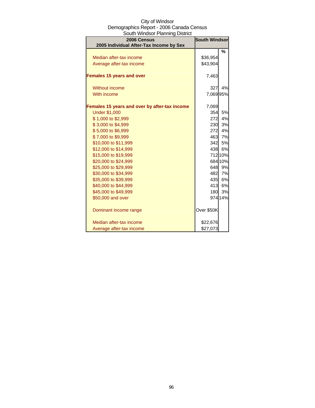| South Windsor Planning District               |            |         |  |
|-----------------------------------------------|------------|---------|--|
| <b>South Windsor</b><br>2006 Census           |            |         |  |
| 2005 Individual After-Tax Income by Sex       |            |         |  |
|                                               |            | %       |  |
| Median after-tax income                       | \$36,954   |         |  |
| Average after-tax income                      | \$43,904   |         |  |
| <b>Females 15 years and over</b>              | 7,463      |         |  |
| <b>Without income</b>                         | 327        | 4%      |  |
| With income                                   | 7,06995%   |         |  |
| Females 15 years and over by after-tax income | 7,069      |         |  |
| <b>Under \$1,000</b>                          | 354        | 5%      |  |
| \$1,000 to \$2,999                            | 272        | 4%      |  |
| \$3,000 to \$4,999                            | 230        | 3%      |  |
| \$5,000 to \$6,999                            | 272        | 4%      |  |
| \$7,000 to \$9,999                            | 463        | 7%      |  |
| \$10,000 to \$11,999                          |            | 342 5%  |  |
| \$12,000 to \$14,999                          | 438        | 6%      |  |
| \$15,000 to \$19,999                          |            | 712 10% |  |
| \$20,000 to \$24,999                          |            | 684 10% |  |
| \$25,000 to \$29,999                          | 648        | 9%      |  |
| \$30,000 to \$34,999                          | 482        | 7%      |  |
| \$35,000 to \$39,999                          |            | 435 6%  |  |
| \$40,000 to \$44,999                          |            | 413 6%  |  |
| \$45,000 to \$49,999                          | 180        | 3%      |  |
| \$50,000 and over                             |            | 974 14% |  |
| Dominant income range                         | Over \$50K |         |  |
| Median after-tax income                       | \$22,676   |         |  |
| Average after-tax income                      | \$27,073   |         |  |

# City of Windsor Demographics Report - 2006 Canada Census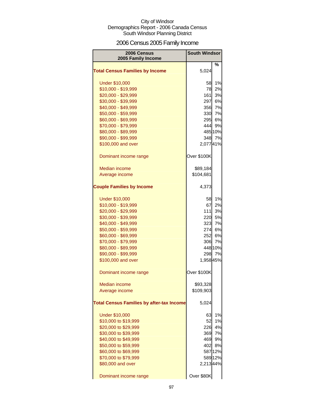# 2006 Census 2005 Family Income

| 2006 Census<br>2005 Family Income                | <b>South Windsor</b> |         |
|--------------------------------------------------|----------------------|---------|
|                                                  |                      | %       |
| <b>Total Census Families by Income</b>           | 5,024                |         |
| <b>Under \$10,000</b>                            | 58                   | 1%      |
| \$10,000 - \$19,999                              | 78                   | 2%      |
| \$20,000 - \$29,999                              | 161                  | 3%      |
| \$30,000 - \$39,999                              | 297                  | 6%      |
| \$40,000 - \$49,999                              | 356                  | 7%      |
| \$50,000 - \$59,999                              | 330                  | 7%      |
| \$60,000 - \$69,999                              | 295                  | 6%      |
| \$70,000 - \$79,999                              | 444                  | 9%      |
| \$80,000 - \$89,999                              |                      | 485 10% |
| \$90,000 - \$99,999                              | 348                  | 7%      |
| \$100,000 and over                               | 2,07741%             |         |
| Dominant income range                            | Over \$100K          |         |
| Median income                                    | \$89,184             |         |
| Average income                                   | \$104,681            |         |
| <b>Couple Families by Income</b>                 | 4,373                |         |
| <b>Under \$10,000</b>                            | 58                   | 1%      |
| \$10,000 - \$19,999                              | 67                   | 2%      |
| \$20,000 - \$29,999                              | 111                  | 3%      |
| \$30,000 - \$39,999                              | 220                  | 5%      |
| \$40,000 - \$49,999                              | 323                  | 7%      |
| \$50,000 - \$59,999                              | 274                  | 6%      |
| \$60,000 - \$69,999                              | 252                  | 6%      |
| \$70,000 - \$79,999                              | 306                  | 7%      |
| \$80,000 - \$89,999                              |                      | 448 10% |
| \$90,000 - \$99,999                              | 298                  | 7%      |
| \$100,000 and over                               | 1,958 45%            |         |
| Dominant income range                            | Over \$100K          |         |
| <b>Median income</b>                             | \$93,328             |         |
| Average income                                   | \$109,903            |         |
| <b>Total Census Families by after-tax Income</b> | 5,024                |         |
| <b>Under \$10,000</b>                            | 63                   | 1%      |
| \$10,000 to \$19,999                             | 52                   | 1%      |
| \$20,000 to \$29,999                             | 226                  | 4%      |
| \$30,000 to \$39,999                             | 369                  | 7%      |
| \$40,000 to \$49,999                             | 469                  | 9%      |
| \$50,000 to \$59,999                             | 402                  | 8%      |
| \$60,000 to \$69,999                             |                      | 587 12% |
| \$70,000 to \$79,999                             |                      | 589 12% |
| \$80,000 and over                                | 2,21344%             |         |
| Dominant income range                            | Over \$80K           |         |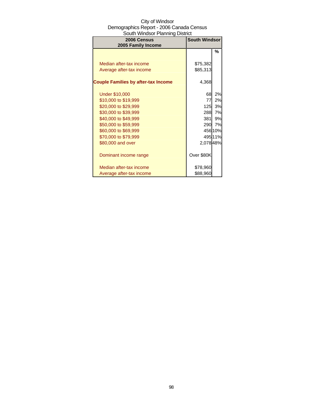| 2006 Census<br>2005 Family Income          | <b>South Windsor</b> |         |
|--------------------------------------------|----------------------|---------|
|                                            |                      | %       |
| Median after-tax income                    | \$75,382             |         |
| Average after-tax income                   | \$85,313             |         |
| <b>Couple Families by after-tax Income</b> | 4,368                |         |
| <b>Under \$10,000</b>                      | 68                   | 2%      |
| \$10,000 to \$19,999                       | 77                   | 2%      |
| \$20,000 to \$29,999                       | 125                  | 3%      |
| \$30,000 to \$39,999                       | 288                  | 7%      |
| \$40,000 to \$49,999                       | 381                  | 9%      |
| \$50,000 to \$59,999                       |                      | 290 7%  |
| \$60,000 to \$69,999                       |                      | 456 10% |
| \$70,000 to \$79,999                       |                      | 49511%  |
| \$80,000 and over                          | 2,078 48%            |         |
| Dominant income range                      | Over \$80K           |         |
| Median after-tax income                    | \$78,960             |         |
| Average after-tax income                   | \$88,960             |         |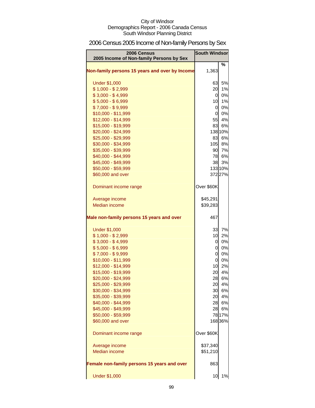# 2006 Census 2005 Income of Non-family Persons by Sex

| 2006 Census<br>2005 Income of Non-family Persons by Sex | <b>South Windsor</b> |         |
|---------------------------------------------------------|----------------------|---------|
| Non-family persons 15 years and over by Income          | 1,363                | %       |
| <b>Under \$1,000</b>                                    | 63                   | 5%      |
| $$1,000 - $2,999$                                       | 20                   | 1%      |
| $$3,000 - $4,999$                                       | 0                    | 0%      |
| $$5,000 - $6,999$                                       | 10                   | 1%      |
| $$7,000 - $9,999$                                       | $\overline{0}$       | 0%      |
| \$10,000 - \$11,999                                     | $\overline{0}$       | 0%      |
| \$12,000 - \$14,999                                     | 55                   | 4%      |
| \$15,000 - \$19,999                                     | 83                   | 6%      |
| \$20,000 - \$24,999                                     |                      | 138 10% |
| \$25,000 - \$29,999                                     | 83                   | 6%      |
| \$30,000 - \$34,999                                     | 105                  | 8%      |
| \$35,000 - \$39,999                                     | 90                   | 7%      |
| \$40,000 - \$44,999                                     | 78                   | 6%      |
| \$45,000 - \$49,999                                     | 38                   | 3%      |
| \$50,000 - \$59,999                                     |                      | 133 10% |
| \$60,000 and over                                       |                      | 372 27% |
| Dominant income range                                   | Over \$60K           |         |
| Average income                                          | \$45,291             |         |
| <b>Median income</b>                                    | \$39,283             |         |
| Male non-family persons 15 years and over               | 467                  |         |
| <b>Under \$1,000</b>                                    | 33                   | 7%      |
| $$1,000 - $2,999$                                       | 10                   | 2%      |
| $$3,000 - $4,999$                                       | 0                    | 0%      |
| $$5,000 - $6,999$                                       | 0                    | 0%      |
| $$7,000 - $9,999$                                       | $\overline{0}$       | 0%      |
| $$10,000 - $11,999$                                     | $\overline{0}$       | 0%      |
| \$12,000 - \$14,999                                     | 10                   | 2%      |
| \$15,000 - \$19,999                                     | 20                   | 4%      |
| \$20,000 - \$24,999                                     | 28                   | 6%      |
| \$25,000 - \$29,999                                     | 20                   | 4%      |
| \$30,000 - \$34,999                                     | 30                   | 6%      |
| \$35,000 - \$39,999                                     | 20                   | 4%      |
| \$40,000 - \$44,999                                     | 28                   | 6%      |
| \$45,000 - \$49,999                                     | 28                   | 6%      |
| \$50,000 - \$59,999                                     |                      | 78 17%  |
| \$60,000 and over                                       |                      | 168 36% |
| Dominant income range                                   | Over \$60K           |         |
| Average income                                          | \$37,340             |         |
| <b>Median income</b>                                    | \$51,210             |         |
| Female non-family persons 15 years and over             | 863                  |         |
| <b>Under \$1,000</b>                                    | 10                   | 1%      |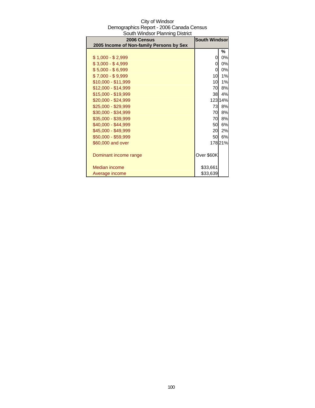| South Windsor Planning District          |                      |         |
|------------------------------------------|----------------------|---------|
| 2006 Census                              | <b>South Windsor</b> |         |
| 2005 Income of Non-family Persons by Sex |                      |         |
|                                          |                      | %       |
| $$1,000 - $2,999$                        | 0                    | 0%      |
| $$3,000 - $4,999$                        | 0                    | 0%      |
| $$5,000 - $6,999$                        | 0                    | 0%      |
| $$7,000 - $9,999$                        | 10                   | 1%      |
| \$10,000 - \$11,999                      | 10                   | 1%      |
| $$12,000 - $14,999$                      | 70                   | 8%      |
| \$15,000 - \$19,999                      | 38                   | 4%      |
| \$20,000 - \$24,999                      |                      | 123 14% |
| \$25,000 - \$29,999                      | 73                   | 8%      |
| \$30,000 - \$34,999                      | 70                   | 8%      |
| \$35,000 - \$39,999                      | 70                   | 8%      |
| \$40,000 - \$44,999                      | 50                   | 6%      |
| \$45,000 - \$49,999                      | 20                   | 2%      |
| \$50,000 - \$59,999                      | 50                   | 6%      |
| \$60,000 and over                        |                      | 17821%  |
|                                          |                      |         |
| Dominant income range                    | Over \$60K           |         |
|                                          |                      |         |
| Median income                            | \$33,661             |         |
| Average income                           | \$33,639             |         |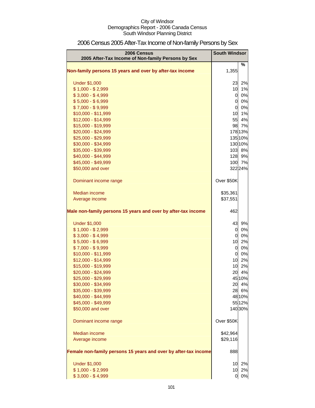| 2006 Census<br>2005 After-Tax Income of Non-family Persons by Sex | <b>South Windsor</b> |         |
|-------------------------------------------------------------------|----------------------|---------|
|                                                                   |                      | %       |
| Non-family persons 15 years and over by after-tax income          | 1,355                |         |
| <b>Under \$1,000</b>                                              | 23                   | 2%      |
| $$1,000 - $2,999$                                                 | 10                   | 1%      |
| $$3,000 - $4,999$                                                 | $\overline{0}$       | 0%      |
| $$5,000 - $6,999$                                                 | 0                    | 0%      |
| $$7,000 - $9,999$                                                 | $\overline{0}$       | 0%      |
| \$10,000 - \$11,999                                               | 10                   | 1%      |
| \$12,000 - \$14,999                                               | 55                   | 4%      |
| \$15,000 - \$19,999                                               | 98                   | 7%      |
| \$20,000 - \$24,999                                               |                      | 178 13% |
| \$25,000 - \$29,999                                               |                      | 135 10% |
| \$30,000 - \$34,999                                               |                      | 130 10% |
| \$35,000 - \$39,999                                               |                      | 103 8%  |
| \$40,000 - \$44,999                                               |                      | 128 9%  |
| \$45,000 - \$49,999                                               |                      | 100 7%  |
| \$50,000 and over                                                 |                      | 322 24% |
| Dominant income range                                             | Over \$50K           |         |
| Median income                                                     | \$35,361             |         |
| Average income                                                    | \$37,551             |         |
|                                                                   |                      |         |
| Male non-family persons 15 years and over by after-tax income     | 462                  |         |
| <b>Under \$1,000</b>                                              | 43                   | 9%      |
| $$1,000 - $2,999$                                                 | 0                    | 0%      |
| $$3,000 - $4,999$                                                 | $\overline{O}$       | 0%      |
| $$5,000 - $6,999$                                                 | 10                   | 2%      |
| $$7,000 - $9,999$                                                 | $\overline{O}$       | 0%      |
| \$10,000 - \$11,999                                               | $\overline{0}$       | 0%      |
| \$12,000 - \$14,999                                               | 10                   | 2%      |
| \$15,000 - \$19,999                                               | 10                   | 2%      |
| \$20,000 - \$24,999                                               | 20                   | 4%      |
| \$25,000 - \$29,999                                               |                      | 45 10%  |
| \$30,000 - \$34,999                                               | 20                   | 4%      |
| \$35,000 - \$39,999                                               |                      | 28 6%   |
| \$40,000 - \$44,999                                               |                      | 48 10%  |
| \$45,000 - \$49,999                                               |                      | 55 12%  |
| \$50,000 and over                                                 |                      | 14030%  |
| Dominant income range                                             | Over \$50K           |         |
| Median income                                                     | \$42,964             |         |
| Average income                                                    | \$29,116             |         |
| Female non-family persons 15 years and over by after-tax income   | 888                  |         |
| <b>Under \$1,000</b>                                              | 10                   | 2%      |
| $$1,000 - $2,999$                                                 | 10                   | 2%      |
| $$3,000 - $4,999$                                                 | 0                    | 0%      |

# 2006 Census 2005 After-Tax Income of Non-family Persons by Sex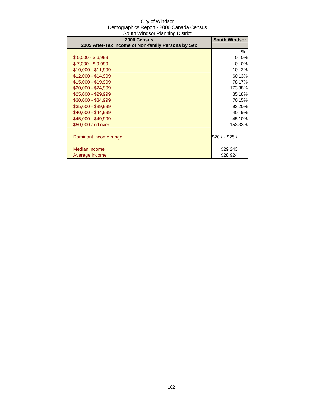| 2006 Census<br>2005 After-Tax Income of Non-family Persons by Sex | <b>South Windsor</b> |        |
|-------------------------------------------------------------------|----------------------|--------|
|                                                                   |                      | ℅      |
|                                                                   |                      |        |
| $$5,000 - $6,999$                                                 | 0                    | 0%     |
| $$7,000 - $9,999$                                                 | $\Omega$             | 0%     |
| \$10,000 - \$11,999                                               | 10                   | 2%     |
| $$12,000 - $14,999$                                               |                      | 60 13% |
| \$15,000 - \$19,999                                               |                      | 7817%  |
| $$20,000 - $24,999$                                               |                      | 17338% |
| \$25,000 - \$29,999                                               |                      | 85 18% |
| \$30,000 - \$34,999                                               |                      | 7015%  |
| \$35,000 - \$39,999                                               |                      | 9320%  |
| $$40,000 - $44,999$                                               |                      | 40 9%  |
| \$45,000 - \$49,999                                               |                      | 45 10% |
| \$50,000 and over                                                 |                      | 15333% |
|                                                                   |                      |        |
| Dominant income range                                             | \$20K - \$25K        |        |
|                                                                   |                      |        |
| Median income                                                     | \$29,243             |        |
| Average income                                                    | \$28,924             |        |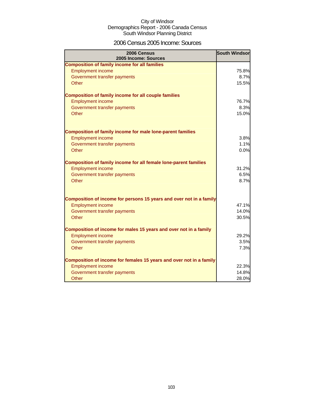### 2006 Census 2005 Income: Sources

| 2006 Census<br>2005 Income: Sources                                 | <b>South Windsor</b> |
|---------------------------------------------------------------------|----------------------|
| <b>Composition of family income for all families</b>                |                      |
| <b>Employment income</b>                                            | 75.8%                |
| Government transfer payments                                        | 8.7%                 |
| <b>Other</b>                                                        | 15.5%                |
| <b>Composition of family income for all couple families</b>         |                      |
| <b>Employment income</b>                                            | 76.7%                |
| Government transfer payments                                        | 8.3%                 |
| Other                                                               | 15.0%                |
| <b>Composition of family income for male lone-parent families</b>   |                      |
| <b>Employment income</b>                                            | 3.8%                 |
| Government transfer payments                                        | 1.1%                 |
| Other                                                               | 0.0%                 |
| Composition of family income for all female lone-parent families    |                      |
| <b>Employment income</b>                                            | 31.2%                |
| Government transfer payments                                        | 6.5%                 |
| Other                                                               | 8.7%                 |
| Composition of income for persons 15 years and over not in a family |                      |
| <b>Employment income</b>                                            | 47.1%                |
| Government transfer payments                                        | 14.0%                |
| Other                                                               | 30.5%                |
| Composition of income for males 15 years and over not in a family   |                      |
| <b>Employment income</b>                                            | 29.2%                |
| Government transfer payments                                        | 3.5%                 |
| Other                                                               | 7.3%                 |
| Composition of income for females 15 years and over not in a family |                      |
| <b>Employment income</b>                                            | 22.3%                |
| Government transfer payments                                        | 14.8%                |
| Other                                                               | 28.0%                |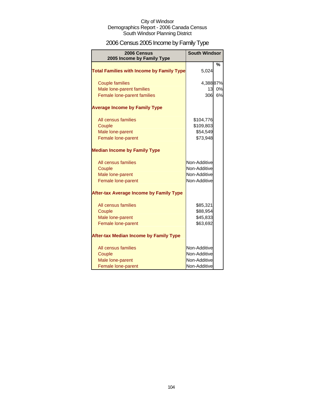# 2006 Census 2005 Income by Family Type

| 2006 Census<br>2005 Income by Family Type        | <b>South Windsor</b> |    |
|--------------------------------------------------|----------------------|----|
| <b>Total Families with Income by Family Type</b> | 5,024                | %  |
| <b>Couple families</b>                           | 4,38887%             |    |
| Male lone-parent families                        | 13                   | 0% |
| Female lone-parent families                      | 306                  | 6% |
| <b>Average Income by Family Type</b>             |                      |    |
| All census families                              | \$104,776            |    |
| Couple                                           | \$109,803            |    |
| Male lone-parent                                 | \$54,549             |    |
| Female lone-parent                               | \$73,948             |    |
| <b>Median Income by Family Type</b>              |                      |    |
| All census families                              | Non-Additive         |    |
| Couple                                           | Non-Additive         |    |
| Male lone-parent                                 | Non-Additive         |    |
| Female lone-parent                               | Non-Additive         |    |
| <b>After-tax Average Income by Family Type</b>   |                      |    |
| All census families                              | \$85,321             |    |
| Couple                                           | \$88,954             |    |
| Male lone-parent                                 | \$45,833             |    |
| Female lone-parent                               | \$63,692             |    |
| <b>After-tax Median Income by Family Type</b>    |                      |    |
| All census families                              | Non-Additive         |    |
| Couple                                           | Non-Additive         |    |
| Male lone-parent                                 | Non-Additive         |    |
| Female lone-parent                               | Non-Additive         |    |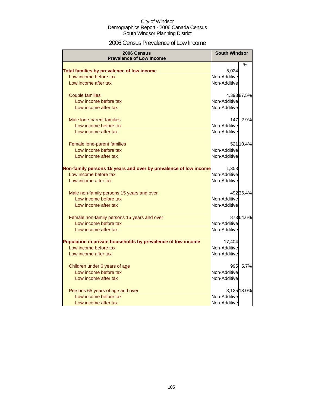### 2006 Census Prevalence of Low Income

| 2006 Census<br><b>Prevalence of Low Income</b>                   | <b>South Windsor</b> |             |
|------------------------------------------------------------------|----------------------|-------------|
|                                                                  |                      | %           |
| Total families by prevalence of low income                       | 5,024                |             |
| Low income before tax                                            | Non-Additive         |             |
| Low income after tax                                             | Non-Additive         |             |
|                                                                  |                      |             |
| <b>Couple families</b>                                           |                      | 4,39387.5%  |
| Low income before tax                                            | Non-Additive         |             |
| Low income after tax                                             | Non-Additive         |             |
| Male lone-parent families                                        |                      | 147 2.9%    |
| Low income before tax                                            | Non-Additive         |             |
| Low income after tax                                             | Non-Additive         |             |
| Female lone-parent families                                      |                      | 521 10.4%   |
| Low income before tax                                            | Non-Additive         |             |
| Low income after tax                                             | Non-Additive         |             |
|                                                                  |                      |             |
| Non-family persons 15 years and over by prevalence of low income | 1,353                |             |
| Low income before tax                                            | Non-Additive         |             |
| Low income after tax                                             | Non-Additive         |             |
| Male non-family persons 15 years and over                        |                      | 492 36.4%   |
| Low income before tax                                            | Non-Additive         |             |
| Low income after tax                                             | Non-Additive         |             |
| Female non-family persons 15 years and over                      |                      | 87364.6%    |
| Low income before tax                                            | Non-Additive         |             |
| Low income after tax                                             | Non-Additive         |             |
| Population in private households by prevalence of low income     | 17,404               |             |
| Low income before tax                                            | Non-Additive         |             |
| Low income after tax                                             | Non-Additive         |             |
|                                                                  | 995                  | 5.7%        |
| Children under 6 years of age<br>Low income before tax           | Non-Additive         |             |
| Low income after tax                                             | Non-Additive         |             |
|                                                                  |                      |             |
| Persons 65 years of age and over                                 |                      | 3,125 18.0% |
| Low income before tax                                            | Non-Additive         |             |
| Low income after tax                                             | Non-Additive         |             |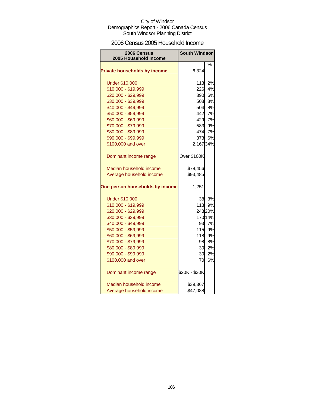### 2006 Census 2005 Household Income

| 2006 Census<br>2005 Household Income | <b>South Windsor</b> |         |
|--------------------------------------|----------------------|---------|
|                                      |                      | %       |
| <b>Private households by income</b>  | 6,324                |         |
| <b>Under \$10,000</b>                | 113                  | 2%      |
| \$10,000 - \$19,999                  | 226                  | 4%      |
| \$20,000 - \$29,999                  | 390                  | 6%      |
| \$30,000 - \$39,999                  | 508                  | 8%      |
| \$40,000 - \$49,999                  | 504                  | 8%      |
| \$50,000 - \$59,999                  | 442                  | 7%      |
| \$60,000 - \$69,999                  | 429                  | 7%      |
| \$70,000 - \$79,999                  | 583                  | 9%      |
| \$80,000 - \$89,999                  | 474                  | 7%      |
| \$90,000 - \$99,999                  | 373                  | 6%      |
| \$100,000 and over                   | 2,16734%             |         |
| Dominant income range                | Over \$100K          |         |
| Median household income              | \$78,456             |         |
| Average household income             | \$93,485             |         |
| One person households by income      | 1,251                |         |
| <b>Under \$10,000</b>                | 38                   | 3%      |
| \$10,000 - \$19,999                  | 118                  | 9%      |
| \$20,000 - \$29,999                  |                      | 248 20% |
| \$30,000 - \$39,999                  |                      | 170 14% |
| \$40,000 - \$49,999                  | 93                   | 7%      |
| \$50,000 - \$59,999                  | 115                  | 9%      |
| \$60,000 - \$69,999                  | 118                  | 9%      |
| \$70,000 - \$79,999                  | 98                   | 8%      |
| \$80,000 - \$89,999                  | 30                   | 2%      |
| \$90,000 - \$99,999                  | 30                   | 2%      |
| \$100,000 and over                   | 70                   | 6%      |
| Dominant income range                | \$20K - \$30K        |         |
| Median household income              | \$39,367             |         |
| Average household income             | \$47,088             |         |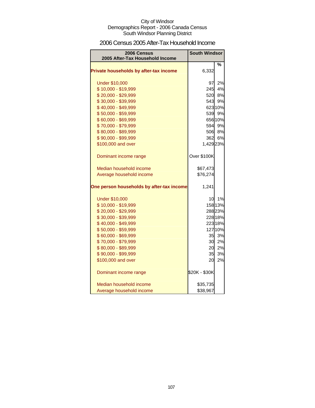### 2006 Census 2005 After-Tax Household Income

| 2006 Census<br>2005 After-Tax Household Income | <b>South Windsor</b> |         |
|------------------------------------------------|----------------------|---------|
|                                                |                      |         |
| Private households by after-tax income         | 6,332                | %       |
| <b>Under \$10,000</b>                          | 97                   | 2%      |
| \$10,000 - \$19,999                            |                      | 245 4%  |
| \$20,000 - \$29,999                            | 520                  | 8%      |
| \$30,000 - \$39,999                            | 543                  | 9%      |
| \$40,000 - \$49,999                            |                      | 623 10% |
| \$50,000 - \$59,999                            |                      | 539 9%  |
| \$60,000 - \$69,999                            |                      | 656 10% |
| \$70,000 - \$79,999                            |                      | 594 9%  |
| \$80,000 - \$89,999                            |                      | 506 8%  |
| \$90,000 - \$99,999                            |                      | 362 6%  |
| \$100,000 and over                             | 1,429 23%            |         |
| Dominant income range                          | Over \$100K          |         |
| Median household income                        | \$67,473             |         |
| Average household income                       | \$76,274             |         |
| One person households by after-tax income      | 1,241                |         |
| <b>Under \$10,000</b>                          | 10 <sup>1</sup>      | 1%      |
| \$10,000 - \$19,999                            |                      | 158 13% |
| \$20,000 - \$29,999                            |                      | 288 23% |
| \$30,000 - \$39,999                            |                      | 228 18% |
| \$40,000 - \$49,999                            |                      | 223 18% |
| \$50,000 - \$59,999                            |                      | 127 10% |
| \$60,000 - \$69,999                            | 35                   | 3%      |
| \$70,000 - \$79,999                            | 30 <sup>°</sup>      | 2%      |
| \$80,000 - \$89,999                            | 20                   | 2%      |
| \$90,000 - \$99,999                            | 35                   | 3%      |
| \$100,000 and over                             | 20                   | 2%      |
| Dominant income range                          | \$20K - \$30K        |         |
| Median household income                        | \$35,735             |         |
| Average household income                       | \$38,967             |         |